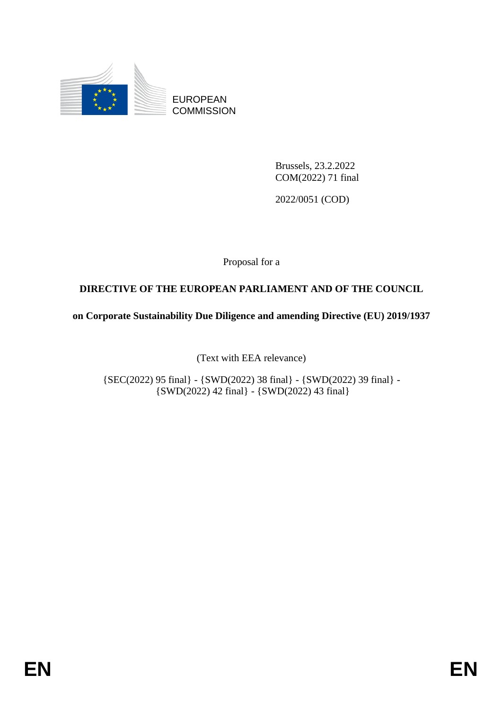

EUROPEAN **COMMISSION** 

> Brussels, 23.2.2022 COM(2022) 71 final

2022/0051 (COD)

Proposal for a

# **DIRECTIVE OF THE EUROPEAN PARLIAMENT AND OF THE COUNCIL**

**on Corporate Sustainability Due Diligence and amending Directive (EU) 2019/1937**

(Text with EEA relevance)

{SEC(2022) 95 final} - {SWD(2022) 38 final} - {SWD(2022) 39 final} - {SWD(2022) 42 final} - {SWD(2022) 43 final}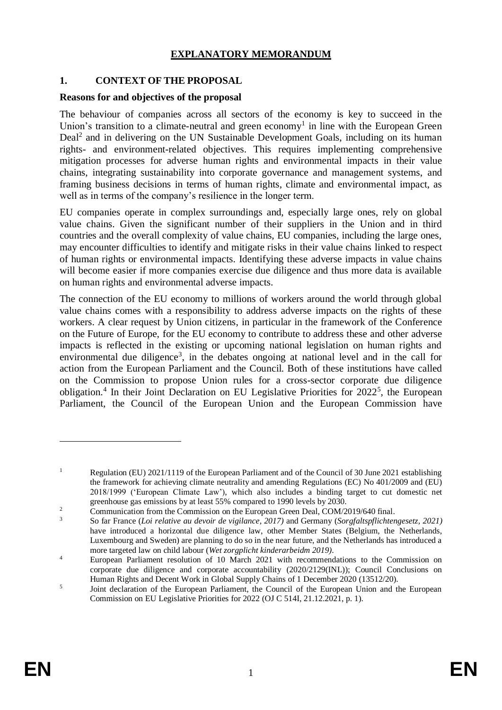## **EXPLANATORY MEMORANDUM**

### **1. CONTEXT OF THE PROPOSAL**

### **Reasons for and objectives of the proposal**

The behaviour of companies across all sectors of the economy is key to succeed in the Union's transition to a climate-neutral and green economy<sup>1</sup> in line with the European Green Deal<sup>2</sup> and in delivering on the UN Sustainable Development Goals, including on its human rights- and environment-related objectives. This requires implementing comprehensive mitigation processes for adverse human rights and environmental impacts in their value chains, integrating sustainability into corporate governance and management systems, and framing business decisions in terms of human rights, climate and environmental impact, as well as in terms of the company's resilience in the longer term.

EU companies operate in complex surroundings and, especially large ones, rely on global value chains. Given the significant number of their suppliers in the Union and in third countries and the overall complexity of value chains, EU companies, including the large ones, may encounter difficulties to identify and mitigate risks in their value chains linked to respect of human rights or environmental impacts. Identifying these adverse impacts in value chains will become easier if more companies exercise due diligence and thus more data is available on human rights and environmental adverse impacts.

<span id="page-1-0"></span>The connection of the EU economy to millions of workers around the world through global value chains comes with a responsibility to address adverse impacts on the rights of these workers. A clear request by Union citizens, in particular in the framework of the Conference on the Future of Europe, for the EU economy to contribute to address these and other adverse impacts is reflected in the existing or upcoming national legislation on human rights and environmental due diligence<sup>3</sup>, in the debates ongoing at national level and in the call for action from the European Parliament and the Council. Both of these institutions have called on the Commission to propose Union rules for a cross-sector corporate due diligence obligation.<sup>4</sup> In their Joint Declaration on EU Legislative Priorities for 2022<sup>5</sup>, the European Parliament, the Council of the European Union and the European Commission have

<sup>&</sup>lt;sup>1</sup> Regulation (EU) 2021/1119 of the European Parliament and of the Council of 30 June 2021 establishing the framework for achieving climate neutrality and amending Regulations (EC) No 401/2009 and (EU) 2018/1999 ('European Climate Law'), which also includes a binding target to cut domestic net greenhouse gas emissions by at least 55% compared to 1990 levels by 2030.

<sup>&</sup>lt;sup>2</sup> Communication from the Commission on the European Green Deal, COM/2019/640 final.

<sup>3</sup> So far France (*Loi relative au devoir de vigilance, 2017)* and Germany (*Sorgfaltspflichtengesetz, 2021)* have introduced a horizontal due diligence law, other Member States (Belgium, the Netherlands, Luxembourg and Sweden) are planning to do so in the near future, and the Netherlands has introduced a more targeted law on child labour (*Wet zorgplicht kinderarbeidm 2019)*.

<sup>4</sup> European Parliament resolution of 10 March 2021 with recommendations to the Commission on corporate due diligence and corporate accountability [\(2020/2129\(INL\)\)](https://oeil.secure.europarl.europa.eu/oeil/popups/ficheprocedure.do?lang=en&reference=2020/2129(INL)); Council Conclusions on Human Rights and Decent Work in Global Supply Chains of 1 December 2020 (13512/20).

<sup>5</sup> Joint declaration of the European Parliament, the Council of the European Union and the European Commission on EU Legislative Priorities for 2022 (OJ C 514I, 21.12.2021, p. 1).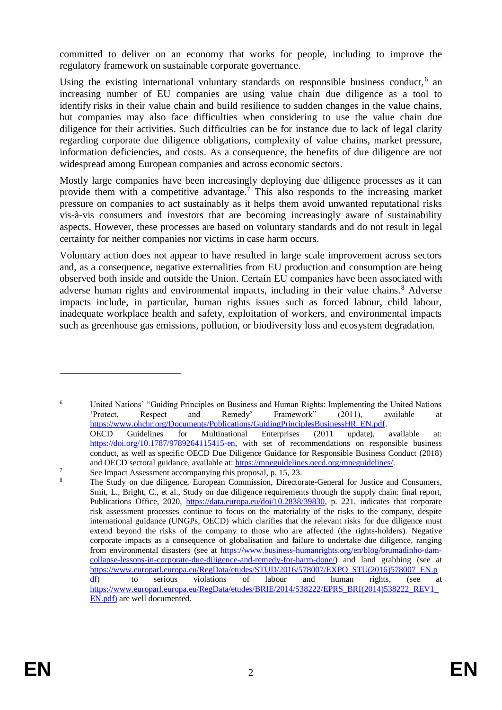committed to deliver on an economy that works for people, including to improve the regulatory framework on sustainable corporate governance.

<span id="page-2-0"></span>Using the existing international voluntary standards on responsible business conduct,<sup>6</sup> an increasing number of EU companies are using value chain due diligence as a tool to identify risks in their value chain and build resilience to sudden changes in the value chains, but companies may also face difficulties when considering to use the value chain due diligence for their activities. Such difficulties can be for instance due to lack of legal clarity regarding corporate due diligence obligations, complexity of value chains, market pressure, information deficiencies, and costs. As a consequence, the benefits of due diligence are not widespread among European companies and across economic sectors.

Mostly large companies have been increasingly deploying due diligence processes as it can provide them with a competitive advantage.<sup>7</sup> This also responds to the increasing market pressure on companies to act sustainably as it helps them avoid unwanted reputational risks vis-à-vis consumers and investors that are becoming increasingly aware of sustainability aspects. However, these processes are based on voluntary standards and do not result in legal certainty for neither companies nor victims in case harm occurs.

Voluntary action does not appear to have resulted in large scale improvement across sectors and, as a consequence, negative externalities from EU production and consumption are being observed both inside and outside the Union. Certain EU companies have been associated with adverse human rights and environmental impacts, including in their value chains.<sup>8</sup> Adverse impacts include, in particular, human rights issues such as forced labour, child labour, inadequate workplace health and safety, exploitation of workers, and environmental impacts such as greenhouse gas emissions, pollution, or biodiversity loss and ecosystem degradation.

<sup>6</sup> United Nations' "Guiding Principles on Business and Human Rights: Implementing the United Nations 'Protect, Respect and Remedy' Framework" (2011), available at [https://www.ohchr.org/Documents/Publications/GuidingPrinciplesBusinessHR\\_EN.pdf.](https://www.ohchr.org/Documents/Publications/GuidingPrinciplesBusinessHR_EN.pdf) OECD Guidelines for Multinational Enterprises (2011 update), available at: [https://doi.org/10.1787/9789264115415-en,](https://doi.org/10.1787/9789264115415-en) with set of recommendations on responsible business conduct, as well as specific OECD Due Diligence Guidance for Responsible Business Conduct (2018) and OECD sectoral guidance, available at: [https://mneguidelines.oecd.org/mneguidelines/.](https://mneguidelines.oecd.org/mneguidelines/)

 $\frac{7}{8}$  See Impact Assessment accompanying this proposal, p. 15, 23.

<sup>8</sup> The Study on due diligence, European Commission, Directorate-General for Justice and Consumers, Smit, L., Bright, C., et al., Study on due diligence requirements through the supply chain: final report, Publications Office, 2020, [https://data.europa.eu/doi/10.2838/39830,](https://data.europa.eu/doi/10.2838/39830) p. 221, indicates that corporate risk assessment processes continue to focus on the materiality of the risks to the company, despite international guidance (UNGPs, OECD) which clarifies that the relevant risks for due diligence must extend beyond the risks of the company to those who are affected (the rights-holders). Negative corporate impacts as a consequence of globalisation and failure to undertake due diligence, ranging from environmental disasters (see at [https://www.business-humanrights.org/en/blog/brumadinho-dam](https://www.business-humanrights.org/en/blog/brumadinho-dam-collapse-lessons-in-corporate-due-diligence-and-remedy-for-harm-done/)[collapse-lessons-in-corporate-due-diligence-and-remedy-for-harm-done/\)](https://www.business-humanrights.org/en/blog/brumadinho-dam-collapse-lessons-in-corporate-due-diligence-and-remedy-for-harm-done/) and land grabbing (see at [https://www.europarl.europa.eu/RegData/etudes/STUD/2016/578007/EXPO\\_STU\(2016\)578007\\_EN.p](https://www.europarl.europa.eu/RegData/etudes/STUD/2016/578007/EXPO_STU(2016)578007_EN.pdf) [df\)](https://www.europarl.europa.eu/RegData/etudes/STUD/2016/578007/EXPO_STU(2016)578007_EN.pdf) to serious violations of labour and human rights, (see at [https://www.europarl.europa.eu/RegData/etudes/BRIE/2014/538222/EPRS\\_BRI\(2014\)538222\\_REV1\\_](https://www.europarl.europa.eu/RegData/etudes/BRIE/2014/538222/EPRS_BRI(2014)538222_REV1_EN.pdf)) [EN.pdf\)](https://www.europarl.europa.eu/RegData/etudes/BRIE/2014/538222/EPRS_BRI(2014)538222_REV1_EN.pdf)) are well documented.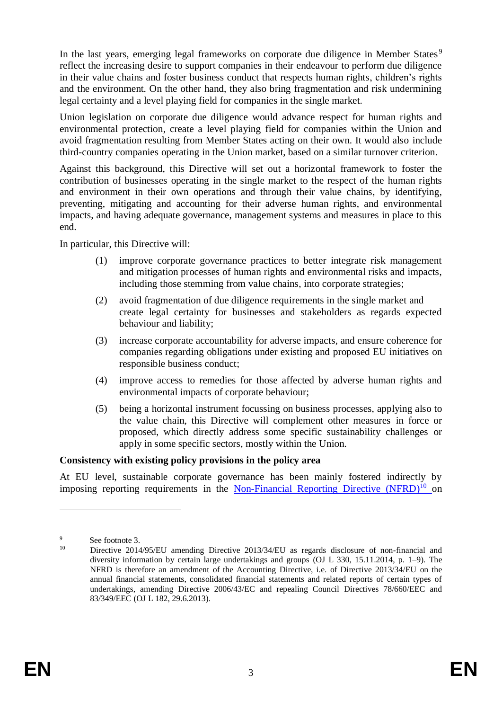In the last years, emerging legal frameworks on corporate due diligence in Member States<sup>9</sup> reflect the increasing desire to support companies in their endeavour to perform due diligence in their value chains and foster business conduct that respects human rights, children's rights and the environment. On the other hand, they also bring fragmentation and risk undermining legal certainty and a level playing field for companies in the single market.

Union legislation on corporate due diligence would advance respect for human rights and environmental protection, create a level playing field for companies within the Union and avoid fragmentation resulting from Member States acting on their own. It would also include third-country companies operating in the Union market, based on a similar turnover criterion.

Against this background, this Directive will set out a horizontal framework to foster the contribution of businesses operating in the single market to the respect of the human rights and environment in their own operations and through their value chains, by identifying, preventing, mitigating and accounting for their adverse human rights, and environmental impacts, and having adequate governance, management systems and measures in place to this end.

In particular, this Directive will:

- (1) improve corporate governance practices to better integrate risk management and mitigation processes of human rights and environmental risks and impacts, including those stemming from value chains, into corporate strategies;
- (2) avoid fragmentation of due diligence requirements in the single market and create legal certainty for businesses and stakeholders as regards expected behaviour and liability;
- (3) increase corporate accountability for adverse impacts, and ensure coherence for companies regarding obligations under existing and proposed EU initiatives on responsible business conduct;
- (4) improve access to remedies for those affected by adverse human rights and environmental impacts of corporate behaviour;
- (5) being a horizontal instrument focussing on business processes, applying also to the value chain, this Directive will complement other measures in force or proposed, which directly address some specific sustainability challenges or apply in some specific sectors, mostly within the Union.

### **Consistency with existing policy provisions in the policy area**

At EU level, sustainable corporate governance has been mainly fostered indirectly by imposing reporting requirements in the [Non-Financial Reporting Directive \(NFRD\)](https://eur-lex.europa.eu/legal-content/EN/TXT/?uri=CELEX%3A32014L0095)<sup>10</sup> on

 $\frac{9}{10}$  See footnote [3.](#page-1-0)

Directive 2014/95/EU amending Directive 2013/34/EU as regards disclosure of non-financial and diversity information by certain large undertakings and groups (OJ L 330, 15.11.2014, p. 1–9). The NFRD is therefore an amendment of the Accounting Directive, i.e. of Directive 2013/34/EU on the annual financial statements, consolidated financial statements and related reports of certain types of undertakings, amending Directive 2006/43/EC and repealing Council Directives 78/660/EEC and 83/349/EEC (OJ L 182, 29.6.2013).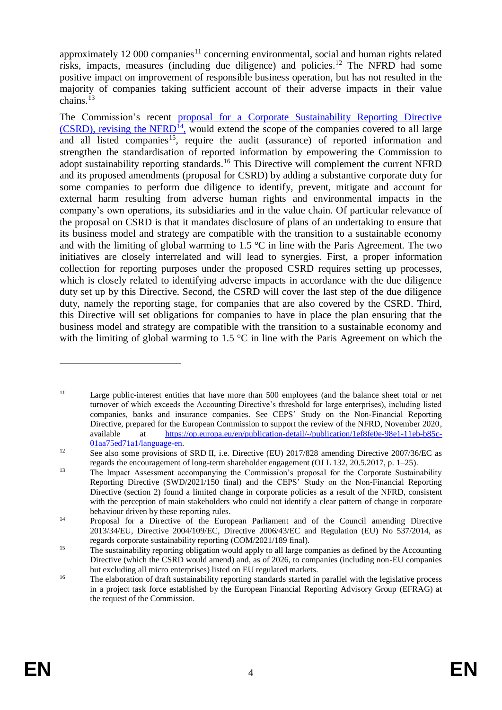approximately 12 000 companies<sup>11</sup> concerning environmental, social and human rights related risks, impacts, measures (including due diligence) and policies.<sup>12</sup> The NFRD had some positive impact on improvement of responsible business operation, but has not resulted in the majority of companies taking sufficient account of their adverse impacts in their value chains. 13

The Commission's recent proposal for a Corporate Sustainability Reporting Directive  $(CSRD)$ , revising the NFRD<sup>14</sup>, would extend the scope of the companies covered to all large and all listed companies<sup>15</sup>, require the audit (assurance) of reported information and strengthen the standardisation of reported information by empowering the Commission to adopt sustainability reporting standards.<sup>16</sup> This Directive will complement the current NFRD and its proposed amendments (proposal for CSRD) by adding a substantive corporate duty for some companies to perform due diligence to identify, prevent, mitigate and account for external harm resulting from adverse human rights and environmental impacts in the company's own operations, its subsidiaries and in the value chain. Of particular relevance of the proposal on CSRD is that it mandates disclosure of plans of an undertaking to ensure that its business model and strategy are compatible with the transition to a sustainable economy and with the limiting of global warming to  $1.5 \degree C$  in line with the Paris Agreement. The two initiatives are closely interrelated and will lead to synergies. First, a proper information collection for reporting purposes under the proposed CSRD requires setting up processes, which is closely related to identifying adverse impacts in accordance with the due diligence duty set up by this Directive. Second, the CSRD will cover the last step of the due diligence duty, namely the reporting stage, for companies that are also covered by the CSRD. Third, this Directive will set obligations for companies to have in place the plan ensuring that the business model and strategy are compatible with the transition to a sustainable economy and with the limiting of global warming to 1.5  $\degree$ C in line with the Paris Agreement on which the

<sup>&</sup>lt;sup>11</sup> Large public-interest entities that have more than 500 employees (and the balance sheet total or net turnover of which exceeds the Accounting Directive's threshold for large enterprises), including listed companies, banks and insurance companies. See CEPS' Study on the Non-Financial Reporting Directive, prepared for the European Commission to support the review of the NFRD, November 2020, available at [https://op.europa.eu/en/publication-detail/-/publication/1ef8fe0e-98e1-11eb-b85c-](https://op.europa.eu/en/publication-detail/-/publication/1ef8fe0e-98e1-11eb-b85c-01aa75ed71a1/language-en%22﷟HYPERLINK%20%22https:/op.europa.eu/en/publication-detail/-/publication/1ef8fe0e-98e1-11eb-b85c-01aa75ed71a1/language-en)[01aa75ed71a1/language-en.](https://op.europa.eu/en/publication-detail/-/publication/1ef8fe0e-98e1-11eb-b85c-01aa75ed71a1/language-en%22﷟HYPERLINK%20%22https:/op.europa.eu/en/publication-detail/-/publication/1ef8fe0e-98e1-11eb-b85c-01aa75ed71a1/language-en)

<sup>&</sup>lt;sup>12</sup> See also some provisions of SRD II, i.e. Directive (EU) 2017/828 amending Directive 2007/36/EC as regards the encouragement of long-term shareholder engagement (OJ L 132, 20.5.2017, p. 1–25).

<sup>&</sup>lt;sup>13</sup> The Impact Assessment accompanying the Commission's proposal for the Corporate Sustainability Reporting Directive (SWD/2021/150 final) and the CEPS' Study on the Non-Financial Reporting Directive (section 2) found a limited change in corporate policies as a result of the NFRD, consistent with the perception of main stakeholders who could not identify a clear pattern of change in corporate behaviour driven by these reporting rules.

<sup>&</sup>lt;sup>14</sup> Proposal for a Directive of the European Parliament and of the Council amending Directive 2013/34/EU, Directive 2004/109/EC, Directive 2006/43/EC and Regulation (EU) No 537/2014, as regards corporate sustainability reporting (COM/2021/189 final).

<sup>&</sup>lt;sup>15</sup> The sustainability reporting obligation would apply to all large companies as defined by the Accounting Directive (which the CSRD would amend) and, as of 2026, to companies (including non-EU companies but excluding all micro enterprises) listed on EU regulated markets.

<sup>&</sup>lt;sup>16</sup> The elaboration of draft sustainability reporting standards started in parallel with the legislative process in a project task force established by the European Financial Reporting Advisory Group (EFRAG) at the request of the Commission.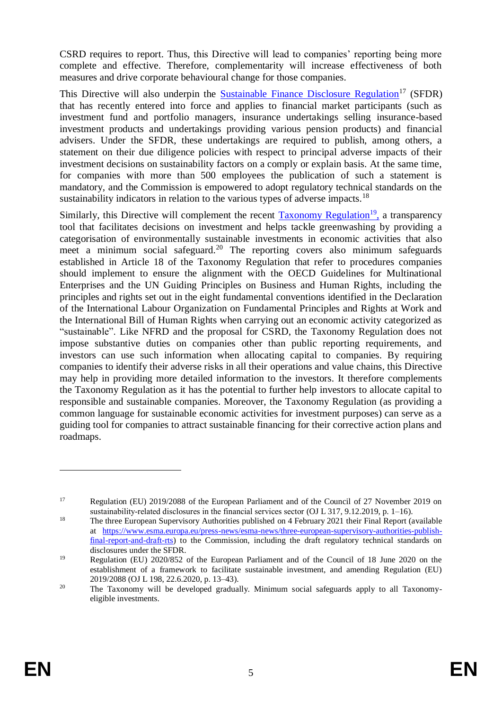CSRD requires to report. Thus, this Directive will lead to companies' reporting being more complete and effective. Therefore, complementarity will increase effectiveness of both measures and drive corporate behavioural change for those companies.

This Directive will also underpin the [Sustainable Finance Disclosure Regulation](https://eur-lex.europa.eu/legal-content/EN/TXT/?uri=CELEX%3A02019R2088-20200712)<sup>17</sup> (SFDR) that has recently entered into force and applies to financial market participants (such as investment fund and portfolio managers, insurance undertakings selling insurance-based investment products and undertakings providing various pension products) and financial advisers. Under the SFDR, these undertakings are required to publish, among others, a statement on their due diligence policies with respect to principal adverse impacts of their investment decisions on sustainability factors on a comply or explain basis. At the same time, for companies with more than 500 employees the publication of such a statement is mandatory, and the Commission is empowered to adopt regulatory technical standards on the sustainability indicators in relation to the various types of adverse impacts.<sup>18</sup>

Similarly, this Directive will complement the recent **Taxonomy Regulation<sup>19</sup>**, a transparency tool that facilitates decisions on investment and helps tackle greenwashing by providing a categorisation of environmentally sustainable investments in economic activities that also meet a minimum social safeguard.<sup>20</sup> The reporting covers also minimum safeguards established in Article 18 of the Taxonomy Regulation that refer to procedures companies should implement to ensure the alignment with the OECD Guidelines for Multinational Enterprises and the UN Guiding Principles on Business and Human Rights, including the principles and rights set out in the eight fundamental conventions identified in the Declaration of the International Labour Organization on Fundamental Principles and Rights at Work and the International Bill of Human Rights when carrying out an economic activity categorized as "sustainable". Like NFRD and the proposal for CSRD, the Taxonomy Regulation does not impose substantive duties on companies other than public reporting requirements, and investors can use such information when allocating capital to companies. By requiring companies to identify their adverse risks in all their operations and value chains, this Directive may help in providing more detailed information to the investors. It therefore complements the Taxonomy Regulation as it has the potential to further help investors to allocate capital to responsible and sustainable companies. Moreover, the Taxonomy Regulation (as providing a common language for sustainable economic activities for investment purposes) can serve as a guiding tool for companies to attract sustainable financing for their corrective action plans and roadmaps.

<sup>&</sup>lt;sup>17</sup> Regulation (EU) 2019/2088 of the European Parliament and of the Council of 27 November 2019 on sustainability-related disclosures in the financial services sector (OJ L 317, 9.12.2019, p. 1–16).

<sup>&</sup>lt;sup>18</sup> The three European Supervisory Authorities published on 4 February 2021 their Final Report (available at [https://www.esma.europa.eu/press-news/esma-news/three-european-supervisory-authorities-publish](https://www.esma.europa.eu/press-news/esma-news/three-european-supervisory-authorities-publish-final-report-and-draft-rts)[final-report-and-draft-rts\)](https://www.esma.europa.eu/press-news/esma-news/three-european-supervisory-authorities-publish-final-report-and-draft-rts) to the Commission, including the draft regulatory technical standards on disclosures under the SFDR.

<sup>&</sup>lt;sup>19</sup> Regulation (EU) 2020/852 of the European Parliament and of the Council of 18 June 2020 on the establishment of a framework to facilitate sustainable investment, and amending Regulation (EU) 2019/2088 (OJ L 198, 22.6.2020, p. 13–43).

<sup>&</sup>lt;sup>20</sup> The Taxonomy will be developed gradually. Minimum social safeguards apply to all Taxonomyeligible investments.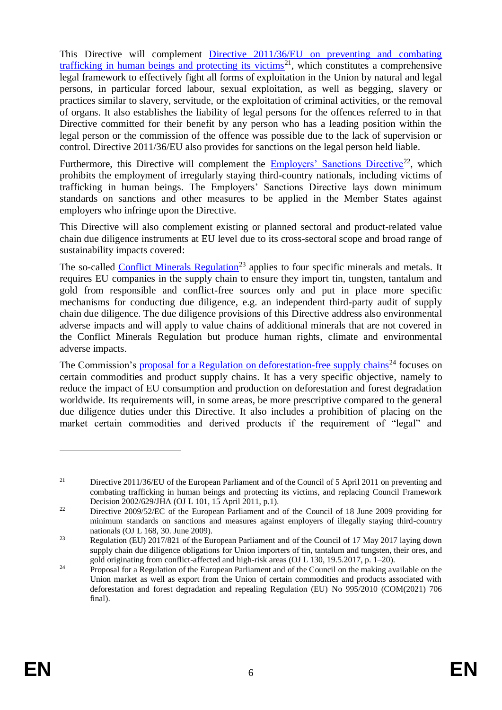This Directive will complement [Directive 2011/36/EU on preventing and combating](https://eur-lex.europa.eu/legal-content/EN/TXT/?uri=CELEX:32011L0036)  [trafficking in human beings and protecting its victims](https://eur-lex.europa.eu/legal-content/EN/TXT/?uri=CELEX:32011L0036)<sup>21</sup>, which constitutes a comprehensive legal framework to effectively fight all forms of exploitation in the Union by natural and legal persons, in particular forced labour, sexual exploitation, as well as begging, slavery or practices similar to slavery, servitude, or the exploitation of criminal activities, or the removal of organs. It also establishes the liability of legal persons for the offences referred to in that Directive committed for their benefit by any person who has a leading position within the legal person or the commission of the offence was possible due to the lack of supervision or control. Directive 2011/36/EU also provides for sanctions on the legal person held liable.

Furthermore, this Directive will complement the [Employers' Sanctions Directive](https://eur-lex.europa.eu/legal-content/EN/TXT/?uri=CELEX%3A32009L0052&qid=1645109593843)<sup>22</sup>, which prohibits the employment of irregularly staying third-country nationals, including victims of trafficking in human beings. The Employers' Sanctions Directive lays down minimum standards on sanctions and other measures to be applied in the Member States against employers who infringe upon the Directive.

This Directive will also complement existing or planned sectoral and product-related value chain due diligence instruments at EU level due to its cross-sectoral scope and broad range of sustainability impacts covered:

The so-called [Conflict Minerals Regulation](https://eur-lex.europa.eu/legal-content/EN/TXT/PDF/?uri=CELEX:32017R0821&from=EN)<sup>23</sup> applies to four specific minerals and metals. It requires EU companies in the supply chain to ensure they import tin, tungsten, tantalum and gold from responsible and conflict-free sources only and put in place more specific mechanisms for conducting due diligence, e.g. an independent third-party audit of supply chain due diligence. The due diligence provisions of this Directive address also environmental adverse impacts and will apply to value chains of additional minerals that are not covered in the Conflict Minerals Regulation but produce human rights, climate and environmental adverse impacts.

The Commission's [proposal for a Regulation on deforestation-free supply chains](https://ec.europa.eu/environment/publications/proposal-regulation-deforestation-free-products_en)<sup>24</sup> focuses on certain commodities and product supply chains. It has a very specific objective, namely to reduce the impact of EU consumption and production on deforestation and forest degradation worldwide. Its requirements will, in some areas, be more prescriptive compared to the general due diligence duties under this Directive. It also includes a prohibition of placing on the market certain commodities and derived products if the requirement of "legal" and

<sup>&</sup>lt;sup>21</sup> Directive 2011/36/EU of the European Parliament and of the Council of 5 April 2011 on preventing and combating trafficking in human beings and protecting its victims, and replacing Council Framework Decision 2002/629/JHA (OJ L 101, 15 April 2011, p.1).

<sup>&</sup>lt;sup>22</sup> Directive 2009/52/EC of the European Parliament and of the Council of 18 June 2009 providing for minimum standards on sanctions and measures against employers of illegally staying third-country nationals (OJ L 168, 30. June 2009).

<sup>&</sup>lt;sup>23</sup> Regulation (EU) 2017/821 of the European Parliament and of the Council of 17 May 2017 laying down supply chain due diligence obligations for Union importers of tin, tantalum and tungsten, their ores, and gold originating from conflict-affected and high-risk areas (OJ L 130, 19.5.2017, p. 1–20).

 $24$  Proposal for a Regulation of the European Parliament and of the Council on the making available on the Union market as well as export from the Union of certain commodities and products associated with deforestation and forest degradation and repealing Regulation (EU) No 995/2010 (COM(2021) 706 final).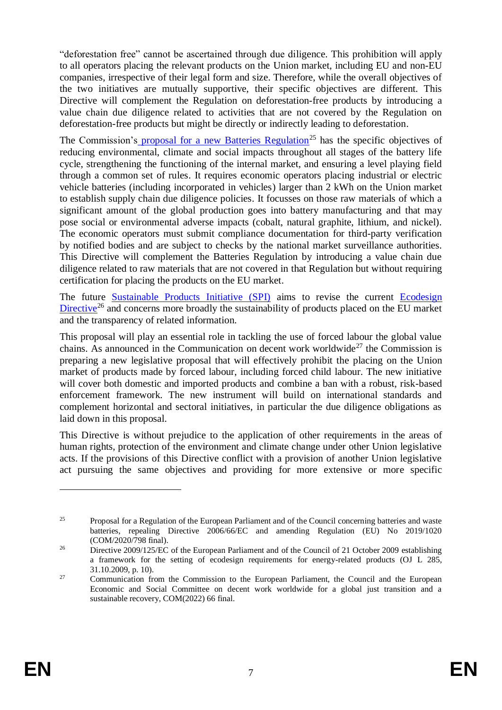"deforestation free" cannot be ascertained through due diligence. This prohibition will apply to all operators placing the relevant products on the Union market, including EU and non-EU companies, irrespective of their legal form and size. Therefore, while the overall objectives of the two initiatives are mutually supportive, their specific objectives are different. This Directive will complement the Regulation on deforestation-free products by introducing a value chain due diligence related to activities that are not covered by the Regulation on deforestation-free products but might be directly or indirectly leading to deforestation.

The Commission's [proposal for a new Batteries Regulation](https://ec.europa.eu/environment/topics/waste-and-recycling/batteries-and-accumulators_en)<sup>25</sup> has the specific objectives of reducing environmental, climate and social impacts throughout all stages of the battery life cycle, strengthening the functioning of the internal market, and ensuring a level playing field through a common set of rules. It requires economic operators placing industrial or electric vehicle batteries (including incorporated in vehicles) larger than 2 kWh on the Union market to establish supply chain due diligence policies. It focusses on those raw materials of which a significant amount of the global production goes into battery manufacturing and that may pose social or environmental adverse impacts (cobalt, natural graphite, lithium, and nickel). The economic operators must submit compliance documentation for third-party verification by notified bodies and are subject to checks by the national market surveillance authorities. This Directive will complement the Batteries Regulation by introducing a value chain due diligence related to raw materials that are not covered in that Regulation but without requiring certification for placing the products on the EU market.

The future [Sustainable Products Initiative](https://ec.europa.eu/info/law/better-regulation/have-your-say/initiatives/12567-Sustainable-products-initiative_en) (SPI) aims to revise the current Ecodesign [Directive](https://eur-lex.europa.eu/legal-content/EN/ALL/?uri=CELEX:32009L0125)<sup>26</sup> and concerns more broadly the sustainability of products placed on the EU market and the transparency of related information.

This proposal will play an essential role in tackling the use of forced labour the global value chains. As announced in the Communication on decent work worldwide<sup>27</sup> the Commission is preparing a new legislative proposal that will effectively prohibit the placing on the Union market of products made by forced labour, including forced child labour. The new initiative will cover both domestic and imported products and combine a ban with a robust, risk-based enforcement framework. The new instrument will build on international standards and complement horizontal and sectoral initiatives, in particular the due diligence obligations as laid down in this proposal.

This Directive is without prejudice to the application of other requirements in the areas of human rights, protection of the environment and climate change under other Union legislative acts. If the provisions of this Directive conflict with a provision of another Union legislative act pursuing the same objectives and providing for more extensive or more specific

<sup>&</sup>lt;sup>25</sup> Proposal for a Regulation of the European Parliament and of the Council concerning batteries and waste batteries, repealing Directive 2006/66/EC and amending Regulation (EU) No 2019/1020 (COM/2020/798 final).

<sup>&</sup>lt;sup>26</sup> Directive 2009/125/EC of the European Parliament and of the Council of 21 October 2009 establishing a framework for the setting of ecodesign requirements for energy-related products (OJ L 285, 31.10.2009, p. 10).

<sup>&</sup>lt;sup>27</sup> Communication from the Commission to the European Parliament, the Council and the European Economic and Social Committee on decent work worldwide for a global just transition and a sustainable recovery, COM(2022) 66 final.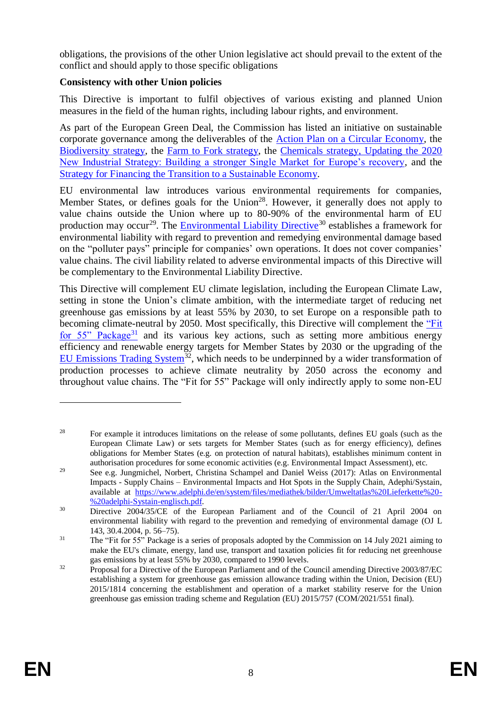obligations, the provisions of the other Union legislative act should prevail to the extent of the conflict and should apply to those specific obligations

# **Consistency with other Union policies**

This Directive is important to fulfil objectives of various existing and planned Union measures in the field of the human rights, including labour rights, and environment.

As part of the European Green Deal, the Commission has listed an initiative on sustainable corporate governance among the deliverables of the [Action Plan on a Circular Economy,](https://ec.europa.eu/environment/circular-economy/index_en.htm) the [Biodiversity](https://ec.europa.eu/environment/nature/biodiversity/strategy/index_en.htm) strategy, the [Farm to Fork](https://ec.europa.eu/food/farm2fork_en) strategy, the [Chemicals strategy,](https://ec.europa.eu/environment/strategy/chemicals-strategy_en) Updating the 2020 New Industrial Strategy: Building a stronger Single Market for Europe's recovery, and the [Strategy for Financing the Transition to a Sustainable Economy.](https://eur-lex.europa.eu/legal-content/EN/TXT/?uri=CELEX:52021DC0390)

EU environmental law introduces various environmental requirements for companies, Member States, or defines goals for the Union<sup>28</sup>. However, it generally does not apply to value chains outside the Union where up to 80-90% of the environmental harm of EU production may occur<sup>29</sup>. The [Environmental Liability Directive](https://ec.europa.eu/environment/legal/liability/index.htm#:~:text=Directive%202004%2F35%2FEC%20of%20the%20European%20Parliament%20and%20of,pays%20principle%20to%20prevent%20and%20remedy%20environmental%20damage.)<sup>30</sup> establishes a framework for environmental liability with regard to prevention and remedying environmental damage based on the "polluter pays" principle for companies' own operations. It does not cover companies' value chains. The civil liability related to adverse environmental impacts of this Directive will be complementary to the Environmental Liability Directive.

This Directive will complement EU climate legislation, including the European Climate Law, setting in stone the Union's climate ambition, with the intermediate target of reducing net greenhouse gas emissions by at least 55% by 2030, to set Europe on a responsible path to becoming climate-neutral by 2050. Most specifically, this Directive will complement the ["Fit](https://ec.europa.eu/commission/presscorner/detail/en/ip_21_3541)  [for 55" Package](https://ec.europa.eu/commission/presscorner/detail/en/ip_21_3541)<sup>31</sup> and its various key actions, such as setting more ambitious energy efficiency and renewable energy targets for Member States by 2030 or the upgrading of the [EU Emissions Trading System](https://ec.europa.eu/clima/eu-action/eu-emissions-trading-system-eu-ets_en)<sup>32</sup>, which needs to be underpinned by a wider transformation of production processes to achieve climate neutrality by 2050 across the economy and throughout value chains. The "Fit for 55" Package will only indirectly apply to some non-EU

<sup>&</sup>lt;sup>28</sup> For example it introduces limitations on the release of some pollutants, defines EU goals (such as the European Climate Law) or sets targets for Member States (such as for energy efficiency), defines obligations for Member States (e.g. on protection of natural habitats), establishes minimum content in authorisation procedures for some economic activities (e.g. Environmental Impact Assessment), etc.

<sup>&</sup>lt;sup>29</sup> See e.g. Jungmichel, Norbert, Christina Schampel and Daniel Weiss (2017): Atlas on Environmental Impacts - Supply Chains – Environmental Impacts and Hot Spots in the Supply Chain, Adephi/Systain, available at [https://www.adelphi.de/en/system/files/mediathek/bilder/Umweltatlas%20Lieferkette%20-](https://www.adelphi.de/en/system/files/mediathek/bilder/Umweltatlas%20Lieferkette%20-%20adelphi-Systain-englisch.pdf) [%20adelphi-Systain-englisch.pdf.](https://www.adelphi.de/en/system/files/mediathek/bilder/Umweltatlas%20Lieferkette%20-%20adelphi-Systain-englisch.pdf)

<sup>&</sup>lt;sup>30</sup> Directive 2004/35/CE of the European Parliament and of the Council of 21 April 2004 on environmental liability with regard to the prevention and remedying of environmental damage (OJ L 143, 30.4.2004, p. 56–75).

<sup>&</sup>lt;sup>31</sup> The "Fit for 55" Package is a series of proposals adopted by the Commission on 14 July 2021 aiming to make the EU's climate, energy, land use, transport and taxation policies fit for reducing net greenhouse gas emissions by at least 55% by 2030, compared to 1990 levels.

<sup>&</sup>lt;sup>32</sup> Proposal for a Directive of the European Parliament and of the Council amending Directive 2003/87/EC establishing a system for greenhouse gas emission allowance trading within the Union, Decision (EU) 2015/1814 concerning the establishment and operation of a market stability reserve for the Union greenhouse gas emission trading scheme and Regulation (EU) 2015/757 (COM/2021/551 final).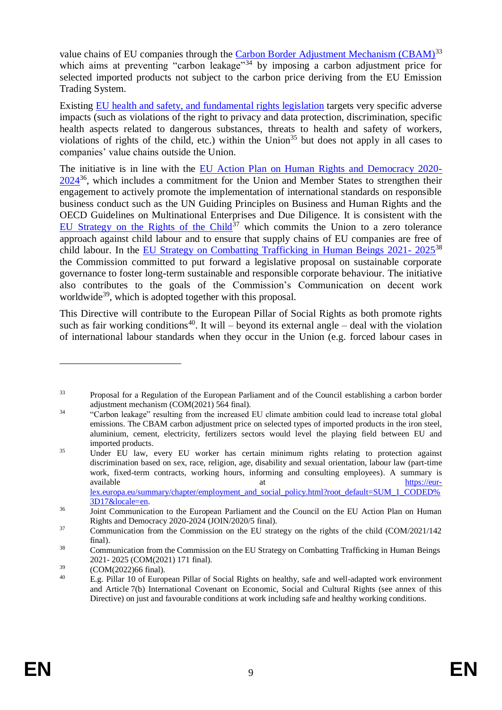value chains of EU companies through the [Carbon Border Adjustment Mechanism \(CBAM\)](https://ec.europa.eu/info/sites/default/files/carbon_border_adjustment_mechanism_0.pdf)<sup>33</sup> which aims at preventing "carbon leakage"<sup>34</sup> by imposing a carbon adjustment price for selected imported products not subject to the carbon price deriving from the EU Emission Trading System.

Existing [EU health and safety, and fundamental rights legislation](https://eur-lex.europa.eu/summary/chapter/employment_and_social_policy.html?root_default=SUM_1_CODED%3D17&locale=en) targets very specific adverse impacts (such as violations of the right to privacy and data protection, discrimination, specific health aspects related to dangerous substances, threats to health and safety of workers, violations of rights of the child, etc.) within the Union<sup>35</sup> but does not apply in all cases to companies' value chains outside the Union.

The initiative is in line with the [EU Action Plan on Human Rights and Democracy 2020-](https://eur-lex.europa.eu/legal-content/EN/TXT/?uri=CELEX:52020JC0005)  $2024^{36}$  $2024^{36}$ , which includes a commitment for the Union and Member States to strengthen their engagement to actively promote the implementation of international standards on responsible business conduct such as the UN Guiding Principles on Business and Human Rights and the OECD Guidelines on Multinational Enterprises and Due Diligence. It is consistent with the [EU Strategy on the Rights of the Child](https://ec.europa.eu/info/files/eu-strategy-rights-child-graphics_en)<sup>37</sup> which commits the Union to a zero tolerance approach against child labour and to ensure that supply chains of EU companies are free of child labour. In the [EU Strategy on Combatting Trafficking in Human Beings 2021-](https://ec.europa.eu/anti-trafficking/eu-strategy-combatting-trafficking-human-beings-2021-2025_en) 2025<sup>38</sup> the Commission committed to put forward a legislative proposal on sustainable corporate governance to foster long-term sustainable and responsible corporate behaviour. The initiative also contributes to the goals of the Commission's Communication on decent work worldwide<sup>39</sup>, which is adopted together with this proposal.

This Directive will contribute to the European Pillar of Social Rights as both promote rights such as fair working conditions<sup>40</sup>. It will – beyond its external angle – deal with the violation of international labour standards when they occur in the Union (e.g. forced labour cases in

<sup>33</sup> Proposal for a Regulation of the European Parliament and of the Council establishing a carbon border adjustment mechanism (COM(2021) 564 final).

<sup>&</sup>lt;sup>34</sup> "Carbon leakage" resulting from the increased EU climate ambition could lead to increase total global emissions. The CBAM carbon adjustment price on selected types of imported products in the iron steel, aluminium, cement, electricity, fertilizers sectors would level the playing field between EU and imported products.

<sup>&</sup>lt;sup>35</sup> Under EU law, every EU worker has certain minimum rights relating to protection against discrimination based on sex, race, religion, age, disability and sexual orientation, labour law (part-time work, fixed-term contracts, working hours, informing and consulting employees). A summary is available at the strategy of the strategy and at the strategy of the strategy of the strategy of the strategy of the strategy of the strategy of the strategy of the strategy of the strategy of the strategy of the strategy [lex.europa.eu/summary/chapter/employment\\_and\\_social\\_policy.html?root\\_default=SUM\\_1\\_CODED%](https://eur-lex.europa.eu/summary/chapter/employment_and_social_policy.html?root_default=SUM_1_CODED%3D17&locale=en) [3D17&locale=en.](https://eur-lex.europa.eu/summary/chapter/employment_and_social_policy.html?root_default=SUM_1_CODED%3D17&locale=en)

<sup>&</sup>lt;sup>36</sup> Joint Communication to the European Parliament and the Council on the EU Action Plan on Human Rights and Democracy 2020-2024 (JOIN/2020/5 final).

<sup>&</sup>lt;sup>37</sup> Communication from the Commission on the EU strategy on the rights of the child (COM/2021/142) final).

<sup>&</sup>lt;sup>38</sup> Communication from the Commission on the EU Strategy on Combatting Trafficking in Human Beings 2021- 2025 (COM(2021) 171 final).

 $^{39}$  (COM(2022)66 final).<br><sup>40</sup> E.g. Biller 10 of Euror

<sup>40</sup> E.g. Pillar 10 of European Pillar of Social Rights on healthy, safe and well-adapted work environment and Article 7(b) International Covenant on Economic, Social and Cultural Rights (see annex of this Directive) on just and favourable conditions at work including safe and healthy working conditions.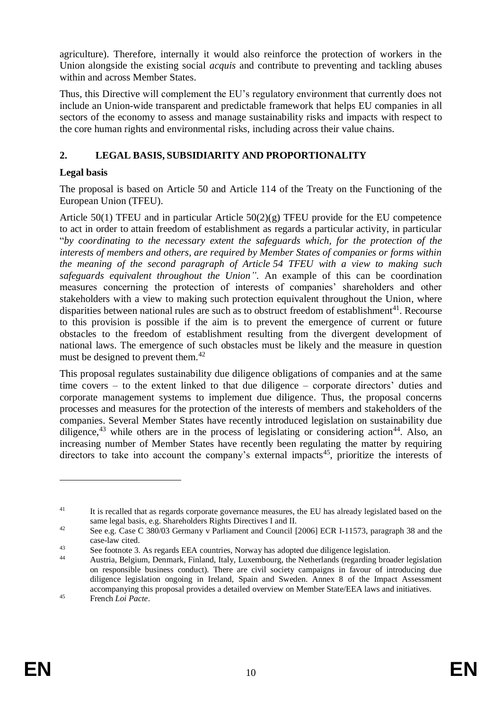agriculture). Therefore, internally it would also reinforce the protection of workers in the Union alongside the existing social *acquis* and contribute to preventing and tackling abuses within and across Member States.

Thus, this Directive will complement the EU's regulatory environment that currently does not include an Union-wide transparent and predictable framework that helps EU companies in all sectors of the economy to assess and manage sustainability risks and impacts with respect to the core human rights and environmental risks, including across their value chains.

# **2. LEGAL BASIS, SUBSIDIARITY AND PROPORTIONALITY**

# **Legal basis**

The proposal is based on Article 50 and Article 114 of the Treaty on the Functioning of the European Union (TFEU).

Article 50(1) TFEU and in particular Article 50(2)(g) TFEU provide for the EU competence to act in order to attain freedom of establishment as regards a particular activity, in particular "*by coordinating to the necessary extent the safeguards which, for the protection of the interests of members and others, are required by Member States of companies or forms within the meaning of the second paragraph of Article 54 TFEU with a view to making such safeguards equivalent throughout the Union"*. An example of this can be coordination measures concerning the protection of interests of companies' shareholders and other stakeholders with a view to making such protection equivalent throughout the Union, where disparities between national rules are such as to obstruct freedom of establishment<sup>41</sup>. Recourse to this provision is possible if the aim is to prevent the emergence of current or future obstacles to the freedom of establishment resulting from the divergent development of national laws. The emergence of such obstacles must be likely and the measure in question must be designed to prevent them.<sup>42</sup>

<span id="page-10-0"></span>This proposal regulates sustainability due diligence obligations of companies and at the same time covers – to the extent linked to that due diligence – corporate directors' duties and corporate management systems to implement due diligence. Thus, the proposal concerns processes and measures for the protection of the interests of members and stakeholders of the companies. Several Member States have recently introduced legislation on sustainability due diligence,<sup>43</sup> while others are in the process of legislating or considering action<sup>44</sup>. Also, an increasing number of Member States have recently been regulating the matter by requiring directors to take into account the company's external impacts<sup>45</sup>, prioritize the interests of

<sup>&</sup>lt;sup>41</sup> It is recalled that as regards corporate governance measures, the EU has already legislated based on the same legal basis, e.g. Shareholders Rights Directives I and II.

<sup>&</sup>lt;sup>42</sup> See e.g. Case C 380/03 Germany v Parliament and Council [2006] ECR I-11573, paragraph 38 and the case-law cited.

<sup>&</sup>lt;sup>43</sup> See footnote [3.](#page-1-0) As regards EEA countries, Norway has adopted due diligence legislation.

Austria, Belgium, Denmark, Finland, Italy, Luxembourg, the Netherlands (regarding broader legislation on responsible business conduct). There are civil society campaigns in favour of introducing due diligence legislation ongoing in Ireland, Spain and Sweden. Annex 8 of the Impact Assessment accompanying this proposal provides a detailed overview on Member State/EEA laws and initiatives. <sup>45</sup> French *Loi Pacte*.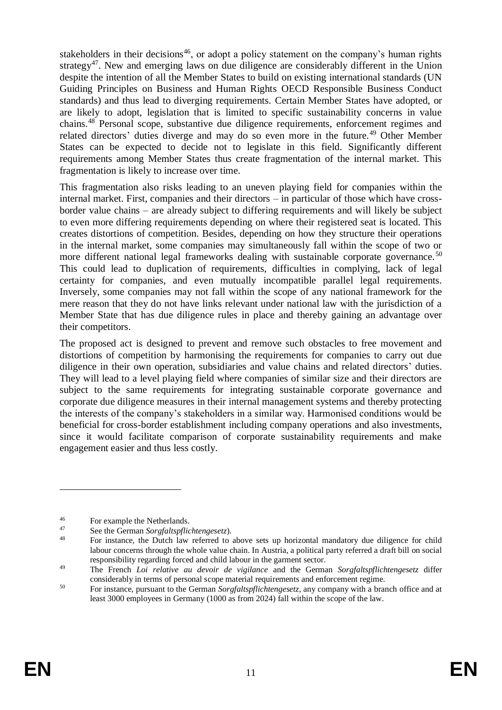stakeholders in their decisions<sup>46</sup>, or adopt a policy statement on the company's human rights strategy<sup>47</sup>. New and emerging laws on due diligence are considerably different in the Union despite the intention of all the Member States to build on existing international standards (UN Guiding Principles on Business and Human Rights OECD Responsible Business Conduct standards) and thus lead to diverging requirements. Certain Member States have adopted, or are likely to adopt, legislation that is limited to specific sustainability concerns in value chains.<sup>48</sup> Personal scope, substantive due diligence requirements, enforcement regimes and related directors' duties diverge and may do so even more in the future.<sup>49</sup> Other Member States can be expected to decide not to legislate in this field. Significantly different requirements among Member States thus create fragmentation of the internal market. This fragmentation is likely to increase over time.

This fragmentation also risks leading to an uneven playing field for companies within the internal market. First, companies and their directors – in particular of those which have crossborder value chains – are already subject to differing requirements and will likely be subject to even more differing requirements depending on where their registered seat is located. This creates distortions of competition. Besides, depending on how they structure their operations in the internal market, some companies may simultaneously fall within the scope of two or more different national legal frameworks dealing with sustainable corporate governance.<sup>50</sup> This could lead to duplication of requirements, difficulties in complying, lack of legal certainty for companies, and even mutually incompatible parallel legal requirements. Inversely, some companies may not fall within the scope of any national framework for the mere reason that they do not have links relevant under national law with the jurisdiction of a Member State that has due diligence rules in place and thereby gaining an advantage over their competitors.

The proposed act is designed to prevent and remove such obstacles to free movement and distortions of competition by harmonising the requirements for companies to carry out due diligence in their own operation, subsidiaries and value chains and related directors' duties. They will lead to a level playing field where companies of similar size and their directors are subject to the same requirements for integrating sustainable corporate governance and corporate due diligence measures in their internal management systems and thereby protecting the interests of the company's stakeholders in a similar way. Harmonised conditions would be beneficial for cross-border establishment including company operations and also investments, since it would facilitate comparison of corporate sustainability requirements and make engagement easier and thus less costly.

<sup>&</sup>lt;sup>46</sup> For example the Netherlands.

<sup>47</sup> See the German *Sorgfaltspflichtengesetz*).

For instance, the Dutch law referred to above sets up horizontal mandatory due diligence for child labour concerns through the whole value chain. In Austria, a political party referred a draft bill on social responsibility regarding forced and child labour in the garment sector.

<sup>49</sup> The French *Loi relative au devoir de vigilance* and the German *Sorgfaltspflichtengesetz* differ considerably in terms of personal scope material requirements and enforcement regime.

<sup>50</sup> For instance, pursuant to the German *Sorgfaltspflichtengesetz*, any company with a branch office and at least 3000 employees in Germany (1000 as from 2024) fall within the scope of the law.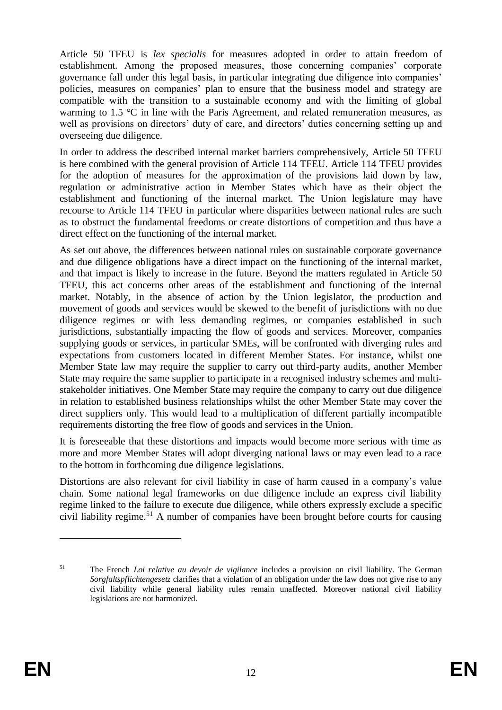Article 50 TFEU is *lex specialis* for measures adopted in order to attain freedom of establishment. Among the proposed measures, those concerning companies' corporate governance fall under this legal basis, in particular integrating due diligence into companies' policies, measures on companies' plan to ensure that the business model and strategy are compatible with the transition to a sustainable economy and with the limiting of global warming to 1.5 °C in line with the Paris Agreement, and related remuneration measures, as well as provisions on directors' duty of care, and directors' duties concerning setting up and overseeing due diligence.

In order to address the described internal market barriers comprehensively, Article 50 TFEU is here combined with the general provision of Article 114 TFEU. Article 114 TFEU provides for the adoption of measures for the approximation of the provisions laid down by law, regulation or administrative action in Member States which have as their object the establishment and functioning of the internal market. The Union legislature may have recourse to Article 114 TFEU in particular where disparities between national rules are such as to obstruct the fundamental freedoms or create distortions of competition and thus have a direct effect on the functioning of the internal market.

As set out above, the differences between national rules on sustainable corporate governance and due diligence obligations have a direct impact on the functioning of the internal market, and that impact is likely to increase in the future. Beyond the matters regulated in Article 50 TFEU, this act concerns other areas of the establishment and functioning of the internal market. Notably, in the absence of action by the Union legislator, the production and movement of goods and services would be skewed to the benefit of jurisdictions with no due diligence regimes or with less demanding regimes, or companies established in such jurisdictions, substantially impacting the flow of goods and services. Moreover, companies supplying goods or services, in particular SMEs, will be confronted with diverging rules and expectations from customers located in different Member States. For instance, whilst one Member State law may require the supplier to carry out third-party audits, another Member State may require the same supplier to participate in a recognised industry schemes and multistakeholder initiatives. One Member State may require the company to carry out due diligence in relation to established business relationships whilst the other Member State may cover the direct suppliers only. This would lead to a multiplication of different partially incompatible requirements distorting the free flow of goods and services in the Union.

It is foreseeable that these distortions and impacts would become more serious with time as more and more Member States will adopt diverging national laws or may even lead to a race to the bottom in forthcoming due diligence legislations.

Distortions are also relevant for civil liability in case of harm caused in a company's value chain. Some national legal frameworks on due diligence include an express civil liability regime linked to the failure to execute due diligence, while others expressly exclude a specific civil liability regime.<sup>51</sup> A number of companies have been brought before courts for causing

<sup>51</sup> The French *Loi relative au devoir de vigilance* includes a provision on civil liability. The German *Sorgfaltspflichtengesetz* clarifies that a violation of an obligation under the law does not give rise to any civil liability while general liability rules remain unaffected. Moreover national civil liability legislations are not harmonized.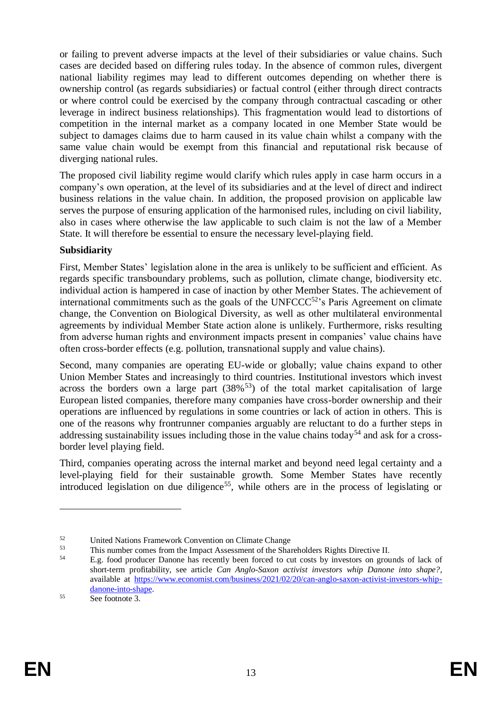or failing to prevent adverse impacts at the level of their subsidiaries or value chains. Such cases are decided based on differing rules today. In the absence of common rules, divergent national liability regimes may lead to different outcomes depending on whether there is ownership control (as regards subsidiaries) or factual control (either through direct contracts or where control could be exercised by the company through contractual cascading or other leverage in indirect business relationships). This fragmentation would lead to distortions of competition in the internal market as a company located in one Member State would be subject to damages claims due to harm caused in its value chain whilst a company with the same value chain would be exempt from this financial and reputational risk because of diverging national rules.

The proposed civil liability regime would clarify which rules apply in case harm occurs in a company's own operation, at the level of its subsidiaries and at the level of direct and indirect business relations in the value chain. In addition, the proposed provision on applicable law serves the purpose of ensuring application of the harmonised rules, including on civil liability, also in cases where otherwise the law applicable to such claim is not the law of a Member State. It will therefore be essential to ensure the necessary level-playing field.

# **Subsidiarity**

First, Member States' legislation alone in the area is unlikely to be sufficient and efficient. As regards specific transboundary problems, such as pollution, climate change, biodiversity etc. individual action is hampered in case of inaction by other Member States. The achievement of international commitments such as the goals of the UNFCCC $52$ 's Paris Agreement on climate change, the Convention on Biological Diversity, as well as other multilateral environmental agreements by individual Member State action alone is unlikely. Furthermore, risks resulting from adverse human rights and environment impacts present in companies' value chains have often cross-border effects (e.g. pollution, transnational supply and value chains).

Second, many companies are operating EU-wide or globally; value chains expand to other Union Member States and increasingly to third countries. Institutional investors which invest across the borders own a large part  $(38\%^{53})$  of the total market capitalisation of large European listed companies, therefore many companies have cross-border ownership and their operations are influenced by regulations in some countries or lack of action in others. This is one of the reasons why frontrunner companies arguably are reluctant to do a further steps in addressing sustainability issues including those in the value chains today<sup>54</sup> and ask for a crossborder level playing field.

Third, companies operating across the internal market and beyond need legal certainty and a level-playing field for their sustainable growth. Some Member States have recently introduced legislation on due diligence<sup>55</sup>, while others are in the process of legislating or

<sup>&</sup>lt;sup>52</sup><br>United Nations Framework Convention on Climate Change<br>53 This number somes from the Inneed Associated of the Shee

<sup>&</sup>lt;sup>53</sup><br>This number comes from the Impact Assessment of the Shareholders Rights Directive II.<br> $F_{\text{2D}}$  food angluese Dengue has recently have found to get a by investory on group

<sup>54</sup> E.g. food producer Danone has recently been forced to cut costs by investors on grounds of lack of short-term profitability, see article *Can Anglo-Saxon activist investors whip Danone into shape?*, available at [https://www.economist.com/business/2021/02/20/can-anglo-saxon-activist-investors-whip](https://www.economist.com/business/2021/02/20/can-anglo-saxon-activist-investors-whip-danone-into-shape)[danone-into-shape.](https://www.economist.com/business/2021/02/20/can-anglo-saxon-activist-investors-whip-danone-into-shape)

<sup>55</sup> See footnote [3.](#page-1-0)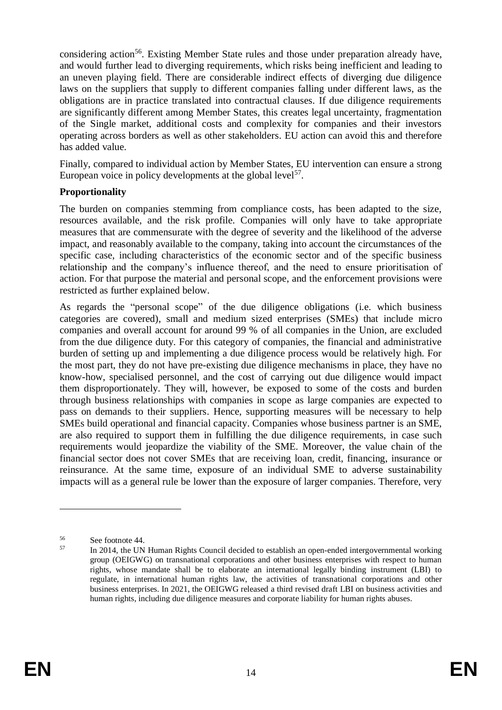considering action<sup>56</sup>. Existing Member State rules and those under preparation already have, and would further lead to diverging requirements, which risks being inefficient and leading to an uneven playing field. There are considerable indirect effects of diverging due diligence laws on the suppliers that supply to different companies falling under different laws, as the obligations are in practice translated into contractual clauses. If due diligence requirements are significantly different among Member States, this creates legal uncertainty, fragmentation of the Single market, additional costs and complexity for companies and their investors operating across borders as well as other stakeholders. EU action can avoid this and therefore has added value.

Finally, compared to individual action by Member States, EU intervention can ensure a strong European voice in policy developments at the global level<sup>57</sup>.

### **Proportionality**

The burden on companies stemming from compliance costs, has been adapted to the size, resources available, and the risk profile. Companies will only have to take appropriate measures that are commensurate with the degree of severity and the likelihood of the adverse impact, and reasonably available to the company, taking into account the circumstances of the specific case, including characteristics of the economic sector and of the specific business relationship and the company's influence thereof, and the need to ensure prioritisation of action. For that purpose the material and personal scope, and the enforcement provisions were restricted as further explained below.

As regards the "personal scope" of the due diligence obligations (i.e. which business categories are covered), small and medium sized enterprises (SMEs) that include micro companies and overall account for around 99 % of all companies in the Union, are excluded from the due diligence duty. For this category of companies, the financial and administrative burden of setting up and implementing a due diligence process would be relatively high. For the most part, they do not have pre-existing due diligence mechanisms in place, they have no know-how, specialised personnel, and the cost of carrying out due diligence would impact them disproportionately. They will, however, be exposed to some of the costs and burden through business relationships with companies in scope as large companies are expected to pass on demands to their suppliers. Hence, supporting measures will be necessary to help SMEs build operational and financial capacity. Companies whose business partner is an SME, are also required to support them in fulfilling the due diligence requirements, in case such requirements would jeopardize the viability of the SME. Moreover, the value chain of the financial sector does not cover SMEs that are receiving loan, credit, financing, insurance or reinsurance. At the same time, exposure of an individual SME to adverse sustainability impacts will as a general rule be lower than the exposure of larger companies. Therefore, very

 $56$  See footnote [44.](#page-10-0)

<sup>57</sup> In 2014, the UN Human Rights Council [decided](https://ap.ohchr.org/documents/dpage_e.aspx?si=A/HRC/RES/26/9) to establish an open-ended intergovernmental working group (OEIGWG) on transnational corporations and other business enterprises with respect to human rights, whose mandate shall be to elaborate an international legally binding instrument (LBI) to regulate, in international human rights law, the activities of transnational corporations and other business enterprises. In 2021, the OEIGWG released [a third revised draft LBI on business activities and](https://www.ohchr.org/Documents/HRBodies/HRCouncil/WGTransCorp/Session6/OEIGWG_Chair-Rapporteur_second_revised_draft_LBI_on_TNCs_and_OBEs_with_respect_to_Human_Rights.pdf)  [human rights,](https://www.ohchr.org/Documents/HRBodies/HRCouncil/WGTransCorp/Session6/OEIGWG_Chair-Rapporteur_second_revised_draft_LBI_on_TNCs_and_OBEs_with_respect_to_Human_Rights.pdf) including due diligence measures and corporate liability for human rights abuses.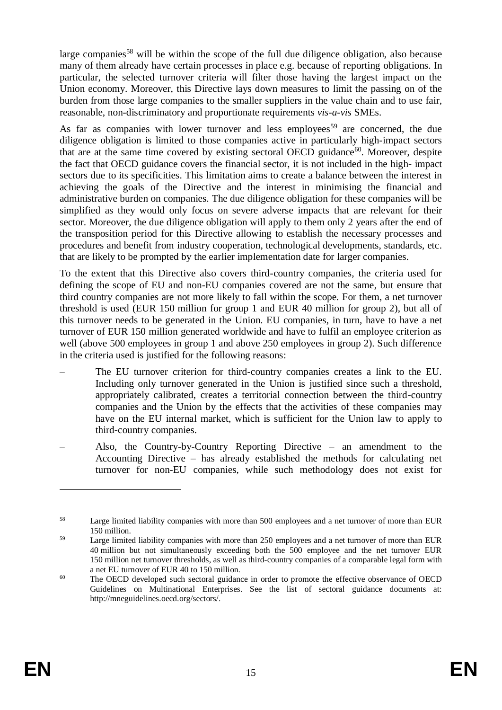large companies<sup>58</sup> will be within the scope of the full due diligence obligation, also because many of them already have certain processes in place e.g. because of reporting obligations. In particular, the selected turnover criteria will filter those having the largest impact on the Union economy. Moreover, this Directive lays down measures to limit the passing on of the burden from those large companies to the smaller suppliers in the value chain and to use fair, reasonable, non-discriminatory and proportionate requirements *vis-a-vis* SMEs.

As far as companies with lower turnover and less employees<sup>59</sup> are concerned, the due diligence obligation is limited to those companies active in particularly high-impact sectors that are at the same time covered by existing sectoral OECD guidance<sup>60</sup>. Moreover, despite the fact that OECD guidance covers the financial sector, it is not included in the high- impact sectors due to its specificities. This limitation aims to create a balance between the interest in achieving the goals of the Directive and the interest in minimising the financial and administrative burden on companies. The due diligence obligation for these companies will be simplified as they would only focus on severe adverse impacts that are relevant for their sector. Moreover, the due diligence obligation will apply to them only 2 years after the end of the transposition period for this Directive allowing to establish the necessary processes and procedures and benefit from industry cooperation, technological developments, standards, etc. that are likely to be prompted by the earlier implementation date for larger companies.

To the extent that this Directive also covers third-country companies, the criteria used for defining the scope of EU and non-EU companies covered are not the same, but ensure that third country companies are not more likely to fall within the scope. For them, a net turnover threshold is used (EUR 150 million for group 1 and EUR 40 million for group 2), but all of this turnover needs to be generated in the Union. EU companies, in turn, have to have a net turnover of EUR 150 million generated worldwide and have to fulfil an employee criterion as well (above 500 employees in group 1 and above 250 employees in group 2). Such difference in the criteria used is justified for the following reasons:

- The EU turnover criterion for third-country companies creates a link to the EU. Including only turnover generated in the Union is justified since such a threshold, appropriately calibrated, creates a territorial connection between the third-country companies and the Union by the effects that the activities of these companies may have on the EU internal market, which is sufficient for the Union law to apply to third-country companies.
- Also, the Country-by-Country Reporting Directive an amendment to the Accounting Directive – has already established the methods for calculating net turnover for non-EU companies, while such methodology does not exist for

<sup>58</sup> Large limited liability companies with more than 500 employees and a net turnover of more than EUR 150 million.

<sup>59</sup> Large limited liability companies with more than 250 employees and a net turnover of more than EUR 40 million but not simultaneously exceeding both the 500 employee and the net turnover EUR 150 million net turnover thresholds, as well as third-country companies of a comparable legal form with a net EU turnover of EUR 40 to 150 million.

<sup>&</sup>lt;sup>60</sup> The OECD developed such sectoral guidance in order to promote the effective observance of OECD Guidelines on Multinational Enterprises. See the list of sectoral guidance documents at: http://mneguidelines.oecd.org/sectors/.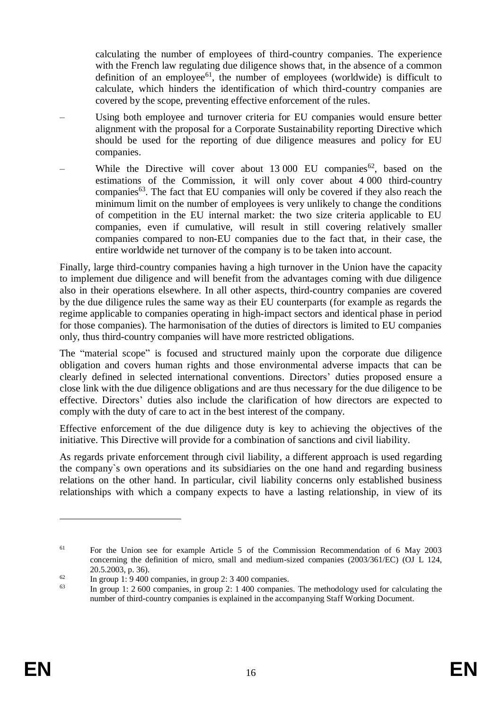calculating the number of employees of third-country companies. The experience with the French law regulating due diligence shows that, in the absence of a common definition of an employee<sup>61</sup>, the number of employees (worldwide) is difficult to calculate, which hinders the identification of which third-country companies are covered by the scope, preventing effective enforcement of the rules.

- Using both employee and turnover criteria for EU companies would ensure better alignment with the proposal for a Corporate Sustainability reporting Directive which should be used for the reporting of due diligence measures and policy for EU companies.
- While the Directive will cover about 13 000 EU companies<sup>62</sup>, based on the estimations of the Commission, it will only cover about 4 000 third-country companies $63$ . The fact that EU companies will only be covered if they also reach the minimum limit on the number of employees is very unlikely to change the conditions of competition in the EU internal market: the two size criteria applicable to EU companies, even if cumulative, will result in still covering relatively smaller companies compared to non-EU companies due to the fact that, in their case, the entire worldwide net turnover of the company is to be taken into account.

Finally, large third-country companies having a high turnover in the Union have the capacity to implement due diligence and will benefit from the advantages coming with due diligence also in their operations elsewhere. In all other aspects, third-country companies are covered by the due diligence rules the same way as their EU counterparts (for example as regards the regime applicable to companies operating in high-impact sectors and identical phase in period for those companies). The harmonisation of the duties of directors is limited to EU companies only, thus third-country companies will have more restricted obligations.

The "material scope" is focused and structured mainly upon the corporate due diligence obligation and covers human rights and those environmental adverse impacts that can be clearly defined in selected international conventions. Directors' duties proposed ensure a close link with the due diligence obligations and are thus necessary for the due diligence to be effective. Directors' duties also include the clarification of how directors are expected to comply with the duty of care to act in the best interest of the company.

Effective enforcement of the due diligence duty is key to achieving the objectives of the initiative. This Directive will provide for a combination of sanctions and civil liability.

As regards private enforcement through civil liability, a different approach is used regarding the company`s own operations and its subsidiaries on the one hand and regarding business relations on the other hand. In particular, civil liability concerns only established business relationships with which a company expects to have a lasting relationship, in view of its

<sup>61</sup> For the Union see for example Article 5 of the Commission Recommendation of 6 May 2003 concerning the definition of micro, small and medium-sized companies (2003/361/EC) (OJ L 124, 20.5.2003, p. 36).

 $\frac{62}{63}$  In group 1: 9 400 companies, in group 2: 3 400 companies.

<sup>63</sup> In group 1: 2 600 companies, in group 2: 1 400 companies. The methodology used for calculating the number of third-country companies is explained in the accompanying Staff Working Document.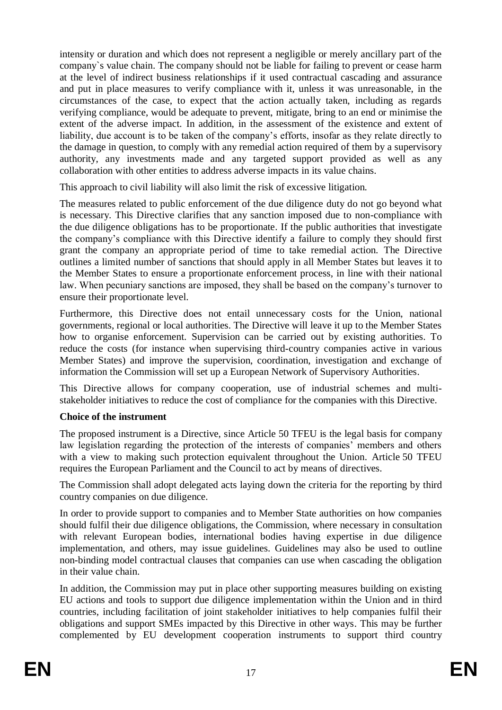intensity or duration and which does not represent a negligible or merely ancillary part of the company`s value chain. The company should not be liable for failing to prevent or cease harm at the level of indirect business relationships if it used contractual cascading and assurance and put in place measures to verify compliance with it, unless it was unreasonable, in the circumstances of the case, to expect that the action actually taken, including as regards verifying compliance, would be adequate to prevent, mitigate, bring to an end or minimise the extent of the adverse impact. In addition, in the assessment of the existence and extent of liability, due account is to be taken of the company's efforts, insofar as they relate directly to the damage in question, to comply with any remedial action required of them by a supervisory authority, any investments made and any targeted support provided as well as any collaboration with other entities to address adverse impacts in its value chains.

This approach to civil liability will also limit the risk of excessive litigation.

The measures related to public enforcement of the due diligence duty do not go beyond what is necessary. This Directive clarifies that any sanction imposed due to non-compliance with the due diligence obligations has to be proportionate. If the public authorities that investigate the company's compliance with this Directive identify a failure to comply they should first grant the company an appropriate period of time to take remedial action. The Directive outlines a limited number of sanctions that should apply in all Member States but leaves it to the Member States to ensure a proportionate enforcement process, in line with their national law. When pecuniary sanctions are imposed, they shall be based on the company's turnover to ensure their proportionate level.

Furthermore, this Directive does not entail unnecessary costs for the Union, national governments, regional or local authorities. The Directive will leave it up to the Member States how to organise enforcement. Supervision can be carried out by existing authorities. To reduce the costs (for instance when supervising third-country companies active in various Member States) and improve the supervision, coordination, investigation and exchange of information the Commission will set up a European Network of Supervisory Authorities.

This Directive allows for company cooperation, use of industrial schemes and multistakeholder initiatives to reduce the cost of compliance for the companies with this Directive.

# **Choice of the instrument**

The proposed instrument is a Directive, since Article 50 TFEU is the legal basis for company law legislation regarding the protection of the interests of companies' members and others with a view to making such protection equivalent throughout the Union. Article 50 TFEU requires the European Parliament and the Council to act by means of directives.

The Commission shall adopt delegated acts laying down the criteria for the reporting by third country companies on due diligence.

In order to provide support to companies and to Member State authorities on how companies should fulfil their due diligence obligations, the Commission, where necessary in consultation with relevant European bodies, international bodies having expertise in due diligence implementation, and others, may issue guidelines. Guidelines may also be used to outline non-binding model contractual clauses that companies can use when cascading the obligation in their value chain.

In addition, the Commission may put in place other supporting measures building on existing EU actions and tools to support due diligence implementation within the Union and in third countries, including facilitation of joint stakeholder initiatives to help companies fulfil their obligations and support SMEs impacted by this Directive in other ways. This may be further complemented by EU development cooperation instruments to support third country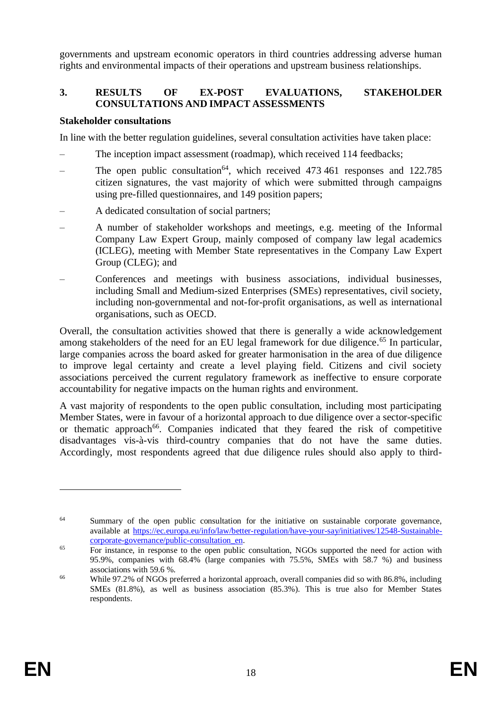governments and upstream economic operators in third countries addressing adverse human rights and environmental impacts of their operations and upstream business relationships.

# **3. RESULTS OF EX-POST EVALUATIONS, STAKEHOLDER CONSULTATIONS AND IMPACT ASSESSMENTS**

#### **Stakeholder consultations**

In line with the better regulation guidelines, several consultation activities have taken place:

- The inception impact assessment (roadmap), which received 114 feedbacks;
- The open public consultation<sup>64</sup>, which received  $473,461$  responses and  $122.785$ citizen signatures, the vast majority of which were submitted through campaigns using pre-filled questionnaires, and 149 position papers;
- A dedicated consultation of social partners;
- A number of stakeholder workshops and meetings, e.g. meeting of the Informal Company Law Expert Group, mainly composed of company law legal academics (ICLEG), meeting with Member State representatives in the Company Law Expert Group (CLEG); and
- Conferences and meetings with business associations, individual businesses, including Small and Medium-sized Enterprises (SMEs) representatives, civil society, including non-governmental and not-for-profit organisations, as well as international organisations, such as OECD.

Overall, the consultation activities showed that there is generally a wide acknowledgement among stakeholders of the need for an EU legal framework for due diligence.<sup>65</sup> In particular, large companies across the board asked for greater harmonisation in the area of due diligence to improve legal certainty and create a level playing field. Citizens and civil society associations perceived the current regulatory framework as ineffective to ensure corporate accountability for negative impacts on the human rights and environment.

A vast majority of respondents to the open public consultation, including most participating Member States, were in favour of a horizontal approach to due diligence over a sector-specific or thematic approach<sup>66</sup>. Companies indicated that they feared the risk of competitive disadvantages vis-à-vis third-country companies that do not have the same duties. Accordingly, most respondents agreed that due diligence rules should also apply to third-

<sup>&</sup>lt;sup>64</sup> Summary of the open public consultation for the initiative on sustainable corporate governance, available at [https://ec.europa.eu/info/law/better-regulation/have-your-say/initiatives/12548-Sustainable](https://ec.europa.eu/info/law/better-regulation/have-your-say/initiatives/12548-Sustainable-corporate-governance/public-consultation_en)[corporate-governance/public-consultation\\_en.](https://ec.europa.eu/info/law/better-regulation/have-your-say/initiatives/12548-Sustainable-corporate-governance/public-consultation_en)

<sup>&</sup>lt;sup>65</sup> For instance, in response to the open public consultation, NGOs supported the need for action with 95.9%, companies with 68.4% (large companies with 75.5%, SMEs with 58.7 %) and business associations with 59.6 %.

<sup>66</sup> While 97.2% of NGOs preferred a horizontal approach, overall companies did so with 86.8%, including SMEs (81.8%), as well as business association (85.3%). This is true also for Member States respondents.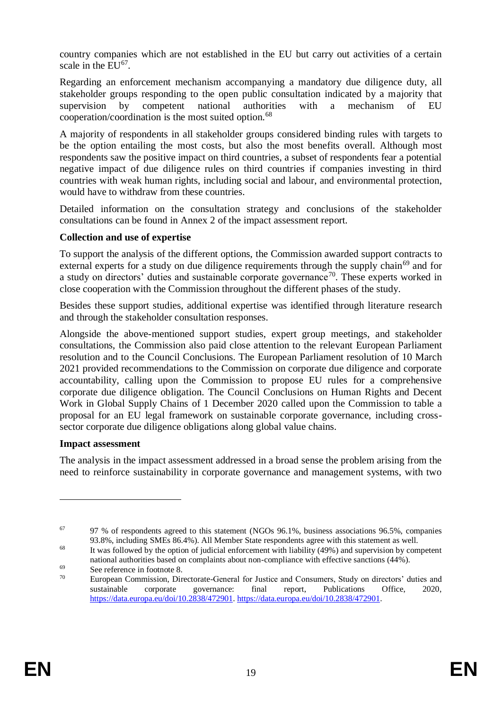country companies which are not established in the EU but carry out activities of a certain scale in the  $EU^{67}$ .

Regarding an enforcement mechanism accompanying a mandatory due diligence duty, all stakeholder groups responding to the open public consultation indicated by a majority that supervision by competent national authorities with a mechanism of EU cooperation/coordination is the most suited option.<sup>68</sup>

A majority of respondents in all stakeholder groups considered binding rules with targets to be the option entailing the most costs, but also the most benefits overall. Although most respondents saw the positive impact on third countries, a subset of respondents fear a potential negative impact of due diligence rules on third countries if companies investing in third countries with weak human rights, including social and labour, and environmental protection, would have to withdraw from these countries.

Detailed information on the consultation strategy and conclusions of the stakeholder consultations can be found in Annex 2 of the impact assessment report.

### **Collection and use of expertise**

To support the analysis of the different options, the Commission awarded support contracts to external experts for a study on due diligence requirements through the supply chain<sup>69</sup> and for a study on directors' duties and sustainable corporate governance<sup>70</sup>. These experts worked in close cooperation with the Commission throughout the different phases of the study.

Besides these support studies, additional expertise was identified through literature research and through the stakeholder consultation responses.

Alongside the above-mentioned support studies, expert group meetings, and stakeholder consultations, the Commission also paid close attention to the relevant European Parliament resolution and to the Council Conclusions. The European Parliament resolution of 10 March 2021 provided recommendations to the Commission on corporate due diligence and corporate accountability, calling upon the Commission to propose EU rules for a comprehensive corporate due diligence obligation. The Council Conclusions on Human Rights and Decent Work in Global Supply Chains of 1 December 2020 called upon the Commission to table a proposal for an EU legal framework on sustainable corporate governance, including crosssector corporate due diligence obligations along global value chains.

### **Impact assessment**

 $\overline{a}$ 

The analysis in the impact assessment addressed in a broad sense the problem arising from the need to reinforce sustainability in corporate governance and management systems, with two

 $67$  97 % of respondents agreed to this statement (NGOs 96.1%, business associations 96.5%, companies 93.8%, including SMEs 86.4%). All Member State respondents agree with this statement as well.

<sup>&</sup>lt;sup>68</sup> It was followed by the option of judicial enforcement with liability (49%) and supervision by competent national authorities based on complaints about non-compliance with effective sanctions (44%).

 $^{69}$  See reference in footnote 8.<br>  $^{70}$  European Commission Direction

<sup>70</sup> European Commission, Directorate-General for Justice and Consumers, Study on directors' duties and sustainable corporate governance: final report, Publications Office, 2020, [https://data.europa.eu/doi/10.2838/472901.](https://data.europa.eu/doi/10.2838/472901) https://data.europa.eu/doi/10.2838/472901.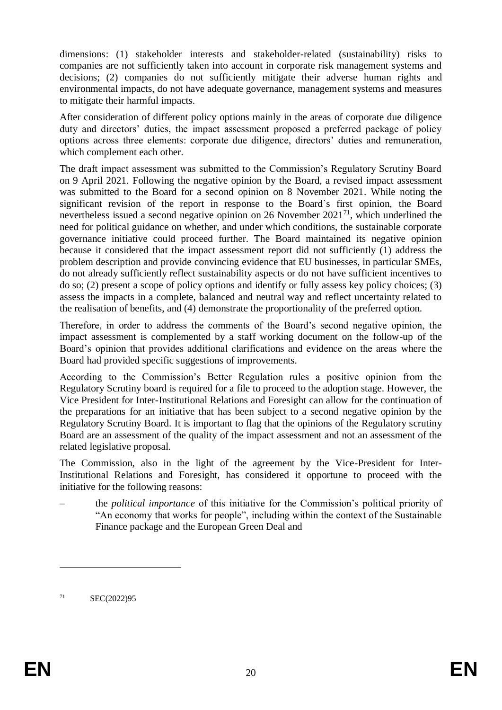dimensions: (1) stakeholder interests and stakeholder-related (sustainability) risks to companies are not sufficiently taken into account in corporate risk management systems and decisions; (2) companies do not sufficiently mitigate their adverse human rights and environmental impacts, do not have adequate governance, management systems and measures to mitigate their harmful impacts.

After consideration of different policy options mainly in the areas of corporate due diligence duty and directors' duties, the impact assessment proposed a preferred package of policy options across three elements: corporate due diligence, directors' duties and remuneration, which complement each other.

The draft impact assessment was submitted to the Commission's Regulatory Scrutiny Board on 9 April 2021. Following the negative opinion by the Board, a revised impact assessment was submitted to the Board for a second opinion on 8 November 2021. While noting the significant revision of the report in response to the Board`s first opinion, the Board nevertheless issued a second negative opinion on 26 November 2021<sup>71</sup>, which underlined the need for political guidance on whether, and under which conditions, the sustainable corporate governance initiative could proceed further. The Board maintained its negative opinion because it considered that the impact assessment report did not sufficiently (1) address the problem description and provide convincing evidence that EU businesses, in particular SMEs, do not already sufficiently reflect sustainability aspects or do not have sufficient incentives to do so; (2) present a scope of policy options and identify or fully assess key policy choices; (3) assess the impacts in a complete, balanced and neutral way and reflect uncertainty related to the realisation of benefits, and (4) demonstrate the proportionality of the preferred option.

Therefore, in order to address the comments of the Board's second negative opinion, the impact assessment is complemented by a staff working document on the follow-up of the Board's opinion that provides additional clarifications and evidence on the areas where the Board had provided specific suggestions of improvements.

According to the Commission's Better Regulation rules a positive opinion from the Regulatory Scrutiny board is required for a file to proceed to the adoption stage. However, the Vice President for Inter-Institutional Relations and Foresight can allow for the continuation of the preparations for an initiative that has been subject to a second negative opinion by the Regulatory Scrutiny Board. It is important to flag that the opinions of the Regulatory scrutiny Board are an assessment of the quality of the impact assessment and not an assessment of the related legislative proposal.

The Commission, also in the light of the agreement by the Vice-President for Inter-Institutional Relations and Foresight, has considered it opportune to proceed with the initiative for the following reasons:

– the *political importance* of this initiative for the Commission's political priority of "An economy that works for people", including within the context of the Sustainable Finance package and the European Green Deal and

<sup>71</sup> SEC(2022)95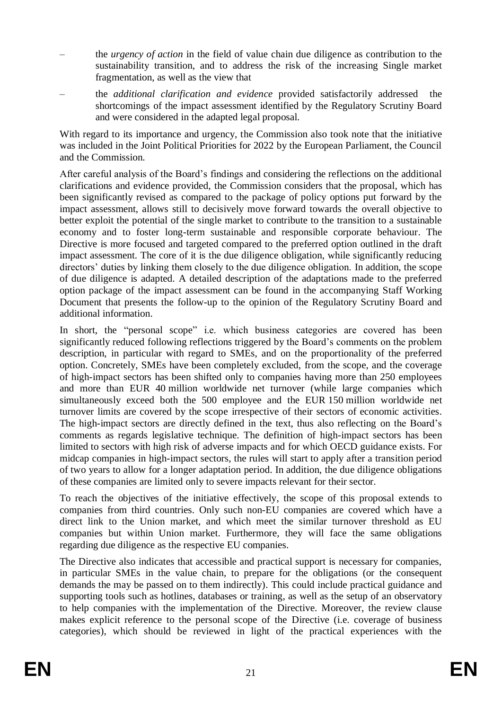- the *urgency of action* in the field of value chain due diligence as contribution to the sustainability transition, and to address the risk of the increasing Single market fragmentation, as well as the view that
- the *additional clarification and evidence* provided satisfactorily addressed the shortcomings of the impact assessment identified by the Regulatory Scrutiny Board and were considered in the adapted legal proposal.

With regard to its importance and urgency, the Commission also took note that the initiative was included in the Joint Political Priorities for 2022 by the European Parliament, the Council and the Commission.

After careful analysis of the Board's findings and considering the reflections on the additional clarifications and evidence provided, the Commission considers that the proposal, which has been significantly revised as compared to the package of policy options put forward by the impact assessment, allows still to decisively move forward towards the overall objective to better exploit the potential of the single market to contribute to the transition to a sustainable economy and to foster long-term sustainable and responsible corporate behaviour. The Directive is more focused and targeted compared to the preferred option outlined in the draft impact assessment. The core of it is the due diligence obligation, while significantly reducing directors' duties by linking them closely to the due diligence obligation. In addition, the scope of due diligence is adapted. A detailed description of the adaptations made to the preferred option package of the impact assessment can be found in the accompanying Staff Working Document that presents the follow-up to the opinion of the Regulatory Scrutiny Board and additional information.

In short, the "personal scope" i.e. which business categories are covered has been significantly reduced following reflections triggered by the Board's comments on the problem description, in particular with regard to SMEs, and on the proportionality of the preferred option. Concretely, SMEs have been completely excluded, from the scope, and the coverage of high-impact sectors has been shifted only to companies having more than 250 employees and more than EUR 40 million worldwide net turnover (while large companies which simultaneously exceed both the 500 employee and the EUR 150 million worldwide net turnover limits are covered by the scope irrespective of their sectors of economic activities. The high-impact sectors are directly defined in the text, thus also reflecting on the Board's comments as regards legislative technique. The definition of high-impact sectors has been limited to sectors with high risk of adverse impacts and for which OECD guidance exists. For midcap companies in high-impact sectors, the rules will start to apply after a transition period of two years to allow for a longer adaptation period. In addition, the due diligence obligations of these companies are limited only to severe impacts relevant for their sector.

To reach the objectives of the initiative effectively, the scope of this proposal extends to companies from third countries. Only such non-EU companies are covered which have a direct link to the Union market, and which meet the similar turnover threshold as EU companies but within Union market. Furthermore, they will face the same obligations regarding due diligence as the respective EU companies.

The Directive also indicates that accessible and practical support is necessary for companies, in particular SMEs in the value chain, to prepare for the obligations (or the consequent demands the may be passed on to them indirectly). This could include practical guidance and supporting tools such as hotlines, databases or training, as well as the setup of an observatory to help companies with the implementation of the Directive. Moreover, the review clause makes explicit reference to the personal scope of the Directive (i.e. coverage of business categories), which should be reviewed in light of the practical experiences with the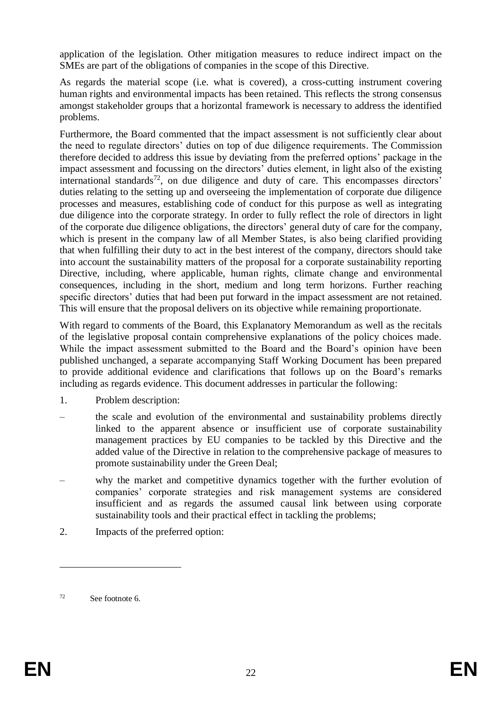application of the legislation. Other mitigation measures to reduce indirect impact on the SMEs are part of the obligations of companies in the scope of this Directive.

As regards the material scope (i.e. what is covered), a cross-cutting instrument covering human rights and environmental impacts has been retained. This reflects the strong consensus amongst stakeholder groups that a horizontal framework is necessary to address the identified problems.

Furthermore, the Board commented that the impact assessment is not sufficiently clear about the need to regulate directors' duties on top of due diligence requirements. The Commission therefore decided to address this issue by deviating from the preferred options' package in the impact assessment and focussing on the directors' duties element, in light also of the existing international standards<sup>72</sup>, on due diligence and duty of care. This encompasses directors' duties relating to the setting up and overseeing the implementation of corporate due diligence processes and measures, establishing code of conduct for this purpose as well as integrating due diligence into the corporate strategy. In order to fully reflect the role of directors in light of the corporate due diligence obligations, the directors' general duty of care for the company, which is present in the company law of all Member States, is also being clarified providing that when fulfilling their duty to act in the best interest of the company, directors should take into account the sustainability matters of the proposal for a corporate sustainability reporting Directive, including, where applicable, human rights, climate change and environmental consequences, including in the short, medium and long term horizons. Further reaching specific directors' duties that had been put forward in the impact assessment are not retained. This will ensure that the proposal delivers on its objective while remaining proportionate.

With regard to comments of the Board, this Explanatory Memorandum as well as the recitals of the legislative proposal contain comprehensive explanations of the policy choices made. While the impact assessment submitted to the Board and the Board's opinion have been published unchanged, a separate accompanying Staff Working Document has been prepared to provide additional evidence and clarifications that follows up on the Board's remarks including as regards evidence. This document addresses in particular the following:

- 1. Problem description:
- the scale and evolution of the environmental and sustainability problems directly linked to the apparent absence or insufficient use of corporate sustainability management practices by EU companies to be tackled by this Directive and the added value of the Directive in relation to the comprehensive package of measures to promote sustainability under the Green Deal;
- why the market and competitive dynamics together with the further evolution of companies' corporate strategies and risk management systems are considered insufficient and as regards the assumed causal link between using corporate sustainability tools and their practical effect in tackling the problems;
- 2. Impacts of the preferred option:

<sup>72</sup> See footnote [6.](#page-2-0)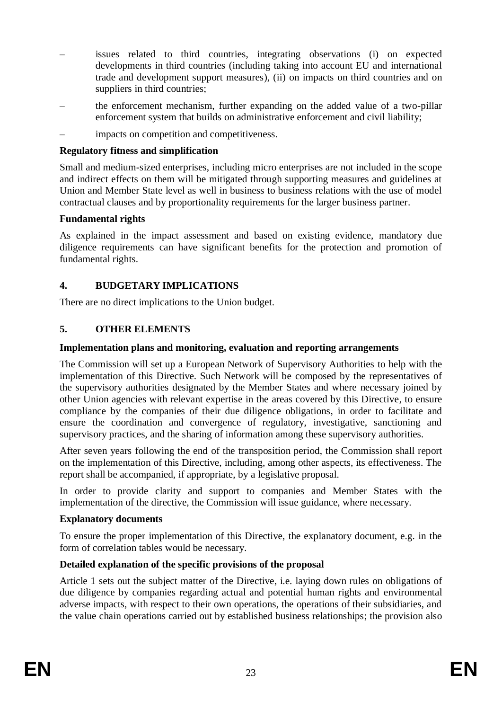- issues related to third countries, integrating observations (i) on expected developments in third countries (including taking into account EU and international trade and development support measures), (ii) on impacts on third countries and on suppliers in third countries;
- the enforcement mechanism, further expanding on the added value of a two-pillar enforcement system that builds on administrative enforcement and civil liability;
- impacts on competition and competitiveness.

### **Regulatory fitness and simplification**

Small and medium-sized enterprises, including micro enterprises are not included in the scope and indirect effects on them will be mitigated through supporting measures and guidelines at Union and Member State level as well in business to business relations with the use of model contractual clauses and by proportionality requirements for the larger business partner.

### **Fundamental rights**

As explained in the impact assessment and based on existing evidence, mandatory due diligence requirements can have significant benefits for the protection and promotion of fundamental rights.

# **4. BUDGETARY IMPLICATIONS**

There are no direct implications to the Union budget.

### **5. OTHER ELEMENTS**

### **Implementation plans and monitoring, evaluation and reporting arrangements**

The Commission will set up a European Network of Supervisory Authorities to help with the implementation of this Directive. Such Network will be composed by the representatives of the supervisory authorities designated by the Member States and where necessary joined by other Union agencies with relevant expertise in the areas covered by this Directive, to ensure compliance by the companies of their due diligence obligations, in order to facilitate and ensure the coordination and convergence of regulatory, investigative, sanctioning and supervisory practices, and the sharing of information among these supervisory authorities.

After seven years following the end of the transposition period, the Commission shall report on the implementation of this Directive, including, among other aspects, its effectiveness. The report shall be accompanied, if appropriate, by a legislative proposal.

In order to provide clarity and support to companies and Member States with the implementation of the directive, the Commission will issue guidance, where necessary.

### **Explanatory documents**

To ensure the proper implementation of this Directive, the explanatory document, e.g. in the form of correlation tables would be necessary.

# **Detailed explanation of the specific provisions of the proposal**

Article 1 sets out the subject matter of the Directive, i.e. laying down rules on obligations of due diligence by companies regarding actual and potential human rights and environmental adverse impacts, with respect to their own operations, the operations of their subsidiaries, and the value chain operations carried out by established business relationships; the provision also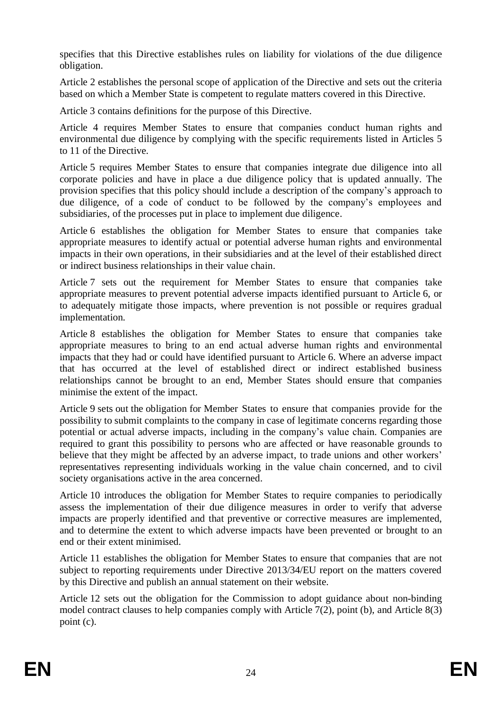specifies that this Directive establishes rules on liability for violations of the due diligence obligation.

Article 2 establishes the personal scope of application of the Directive and sets out the criteria based on which a Member State is competent to regulate matters covered in this Directive.

Article 3 contains definitions for the purpose of this Directive.

Article 4 requires Member States to ensure that companies conduct human rights and environmental due diligence by complying with the specific requirements listed in Articles 5 to 11 of the Directive.

Article 5 requires Member States to ensure that companies integrate due diligence into all corporate policies and have in place a due diligence policy that is updated annually. The provision specifies that this policy should include a description of the company's approach to due diligence, of a code of conduct to be followed by the company's employees and subsidiaries, of the processes put in place to implement due diligence.

Article 6 establishes the obligation for Member States to ensure that companies take appropriate measures to identify actual or potential adverse human rights and environmental impacts in their own operations, in their subsidiaries and at the level of their established direct or indirect business relationships in their value chain.

Article 7 sets out the requirement for Member States to ensure that companies take appropriate measures to prevent potential adverse impacts identified pursuant to Article 6, or to adequately mitigate those impacts, where prevention is not possible or requires gradual implementation.

Article 8 establishes the obligation for Member States to ensure that companies take appropriate measures to bring to an end actual adverse human rights and environmental impacts that they had or could have identified pursuant to Article 6. Where an adverse impact that has occurred at the level of established direct or indirect established business relationships cannot be brought to an end, Member States should ensure that companies minimise the extent of the impact.

Article 9 sets out the obligation for Member States to ensure that companies provide for the possibility to submit complaints to the company in case of legitimate concerns regarding those potential or actual adverse impacts, including in the company's value chain. Companies are required to grant this possibility to persons who are affected or have reasonable grounds to believe that they might be affected by an adverse impact, to trade unions and other workers' representatives representing individuals working in the value chain concerned, and to civil society organisations active in the area concerned.

Article 10 introduces the obligation for Member States to require companies to periodically assess the implementation of their due diligence measures in order to verify that adverse impacts are properly identified and that preventive or corrective measures are implemented, and to determine the extent to which adverse impacts have been prevented or brought to an end or their extent minimised.

Article 11 establishes the obligation for Member States to ensure that companies that are not subject to reporting requirements under Directive 2013/34/EU report on the matters covered by this Directive and publish an annual statement on their website.

Article 12 sets out the obligation for the Commission to adopt guidance about non-binding model contract clauses to help companies comply with Article 7(2), point (b), and Article 8(3) point (c).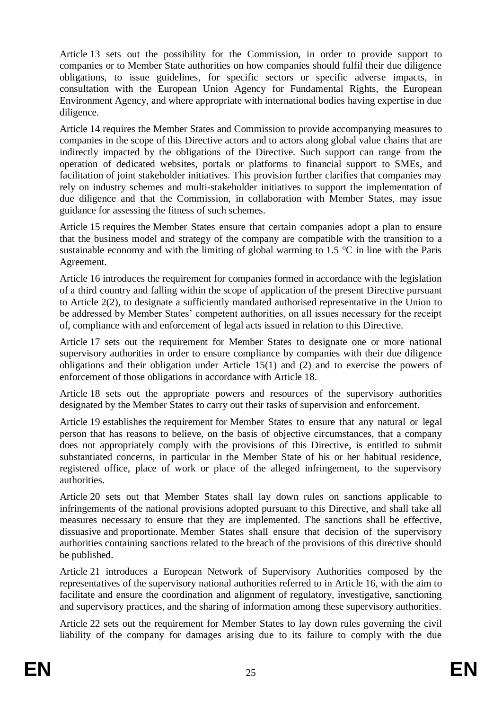Article 13 sets out the possibility for the Commission, in order to provide support to companies or to Member State authorities on how companies should fulfil their due diligence obligations, to issue guidelines, for specific sectors or specific adverse impacts, in consultation with the European Union Agency for Fundamental Rights, the European Environment Agency, and where appropriate with international bodies having expertise in due diligence.

Article 14 requires the Member States and Commission to provide accompanying measures to companies in the scope of this Directive actors and to actors along global value chains that are indirectly impacted by the obligations of the Directive. Such support can range from the operation of dedicated websites, portals or platforms to financial support to SMEs, and facilitation of joint stakeholder initiatives. This provision further clarifies that companies may rely on industry schemes and multi-stakeholder initiatives to support the implementation of due diligence and that the Commission, in collaboration with Member States, may issue guidance for assessing the fitness of such schemes.

Article 15 requires the Member States ensure that certain companies adopt a plan to ensure that the business model and strategy of the company are compatible with the transition to a sustainable economy and with the limiting of global warming to 1.5  $\degree$ C in line with the Paris Agreement.

Article 16 introduces the requirement for companies formed in accordance with the legislation of a third country and falling within the scope of application of the present Directive pursuant to Article 2(2), to designate a sufficiently mandated authorised representative in the Union to be addressed by Member States' competent authorities, on all issues necessary for the receipt of, compliance with and enforcement of legal acts issued in relation to this Directive.

Article 17 sets out the requirement for Member States to designate one or more national supervisory authorities in order to ensure compliance by companies with their due diligence obligations and their obligation under Article 15(1) and (2) and to exercise the powers of enforcement of those obligations in accordance with Article 18.

Article 18 sets out the appropriate powers and resources of the supervisory authorities designated by the Member States to carry out their tasks of supervision and enforcement.

Article 19 establishes the requirement for Member States to ensure that any natural or legal person that has reasons to believe, on the basis of objective circumstances, that a company does not appropriately comply with the provisions of this Directive, is entitled to submit substantiated concerns, in particular in the Member State of his or her habitual residence, registered office, place of work or place of the alleged infringement, to the supervisory authorities.

Article 20 sets out that Member States shall lay down rules on sanctions applicable to infringements of the national provisions adopted pursuant to this Directive, and shall take all measures necessary to ensure that they are implemented. The sanctions shall be effective, dissuasive and proportionate. Member States shall ensure that decision of the supervisory authorities containing sanctions related to the breach of the provisions of this directive should be published.

Article 21 introduces a European Network of Supervisory Authorities composed by the representatives of the supervisory national authorities referred to in Article 16, with the aim to facilitate and ensure the coordination and alignment of regulatory, investigative, sanctioning and supervisory practices, and the sharing of information among these supervisory authorities.

Article 22 sets out the requirement for Member States to lay down rules governing the civil liability of the company for damages arising due to its failure to comply with the due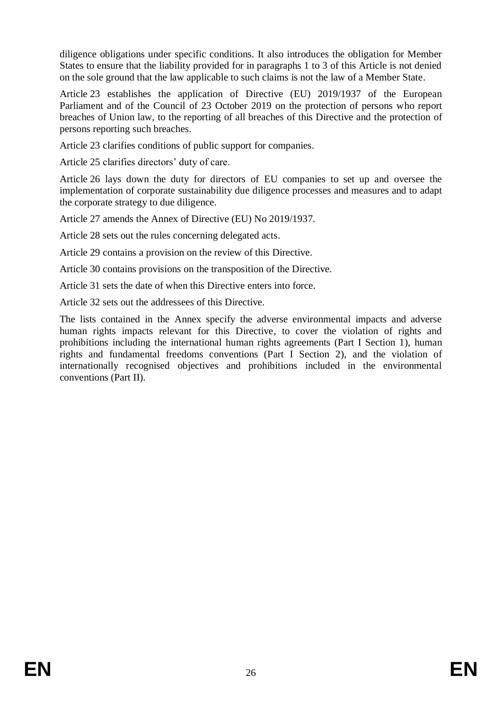diligence obligations under specific conditions. It also introduces the obligation for Member States to ensure that the liability provided for in paragraphs 1 to 3 of this Article is not denied on the sole ground that the law applicable to such claims is not the law of a Member State.

Article 23 establishes the application of Directive (EU) 2019/1937 of the European Parliament and of the Council of 23 October 2019 on the protection of persons who report breaches of Union law, to the reporting of all breaches of this Directive and the protection of persons reporting such breaches.

Article 23 clarifies conditions of public support for companies.

Article 25 clarifies directors' duty of care.

Article 26 lays down the duty for directors of EU companies to set up and oversee the implementation of corporate sustainability due diligence processes and measures and to adapt the corporate strategy to due diligence.

Article 27 amends the Annex of Directive (EU) No 2019/1937.

Article 28 sets out the rules concerning delegated acts.

Article 29 contains a provision on the review of this Directive.

Article 30 contains provisions on the transposition of the Directive.

Article 31 sets the date of when this Directive enters into force.

Article 32 sets out the addressees of this Directive.

The lists contained in the Annex specify the adverse environmental impacts and adverse human rights impacts relevant for this Directive, to cover the violation of rights and prohibitions including the international human rights agreements (Part I Section 1), human rights and fundamental freedoms conventions (Part I Section 2), and the violation of internationally recognised objectives and prohibitions included in the environmental conventions (Part II).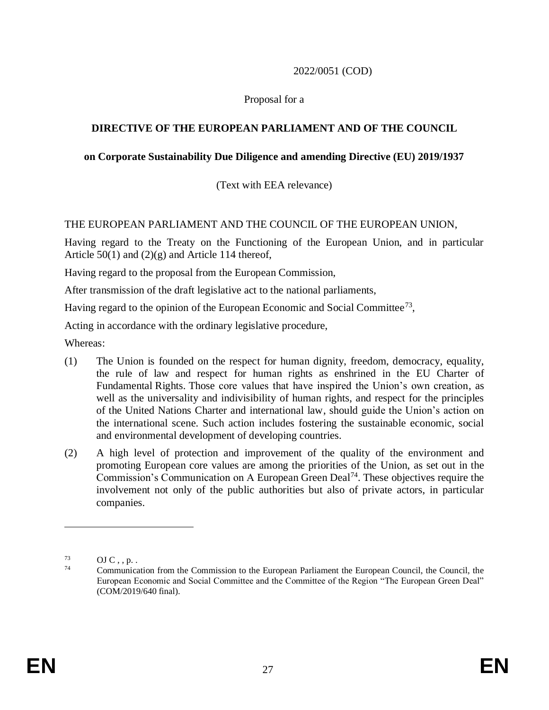### 2022/0051 (COD)

### Proposal for a

# **DIRECTIVE OF THE EUROPEAN PARLIAMENT AND OF THE COUNCIL**

### **on Corporate Sustainability Due Diligence and amending Directive (EU) 2019/1937**

(Text with EEA relevance)

### THE EUROPEAN PARLIAMENT AND THE COUNCIL OF THE EUROPEAN UNION,

Having regard to the Treaty on the Functioning of the European Union, and in particular Article  $50(1)$  and  $(2)(g)$  and Article 114 thereof,

Having regard to the proposal from the European Commission,

After transmission of the draft legislative act to the national parliaments,

Having regard to the opinion of the European Economic and Social Committee<sup>73</sup>,

Acting in accordance with the ordinary legislative procedure,

Whereas:

- (1) The Union is founded on the respect for human dignity, freedom, democracy, equality, the rule of law and respect for human rights as enshrined in the EU Charter of Fundamental Rights. Those core values that have inspired the Union's own creation, as well as the universality and indivisibility of human rights, and respect for the principles of the United Nations Charter and international law, should guide the Union's action on the international scene. Such action includes fostering the sustainable economic, social and environmental development of developing countries.
- (2) A high level of protection and improvement of the quality of the environment and promoting European core values are among the priorities of the Union, as set out in the Commission's Communication on A European Green Deal<sup>74</sup>. These objectives require the involvement not only of the public authorities but also of private actors, in particular companies.

 $\frac{73}{74}$  OJ C, , p. .

<sup>74</sup> Communication from the Commission to the European Parliament the European Council, the Council, the European Economic and Social Committee and the Committee of the Region "The European Green Deal" (COM/2019/640 final).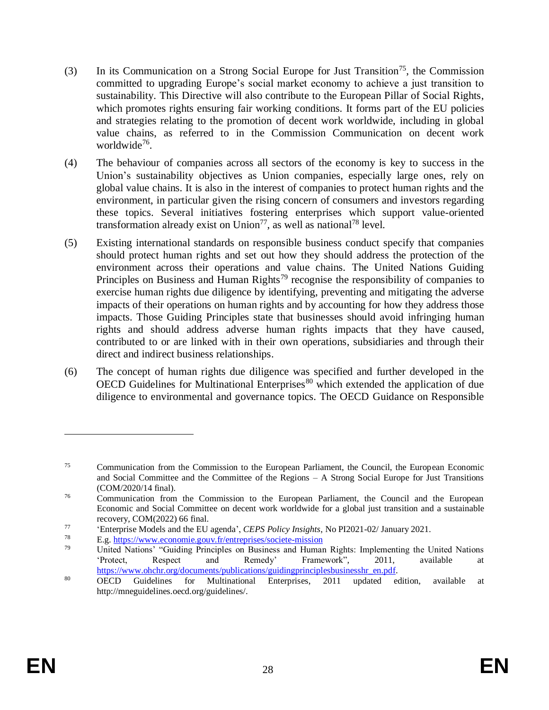- (3) In its Communication on a Strong Social Europe for Just Transition<sup>75</sup>, the Commission committed to upgrading Europe's social market economy to achieve a just transition to sustainability. This Directive will also contribute to the European Pillar of Social Rights, which promotes rights ensuring fair working conditions. It forms part of the EU policies and strategies relating to the promotion of decent work worldwide, including in global value chains, as referred to in the Commission Communication on decent work worldwide<sup>76</sup>.
- (4) The behaviour of companies across all sectors of the economy is key to success in the Union's sustainability objectives as Union companies, especially large ones, rely on global value chains. It is also in the interest of companies to protect human rights and the environment, in particular given the rising concern of consumers and investors regarding these topics. Several initiatives fostering enterprises which support value-oriented transformation already exist on Union<sup>77</sup>, as well as national<sup>78</sup> level.
- (5) Existing international standards on responsible business conduct specify that companies should protect human rights and set out how they should address the protection of the environment across their operations and value chains. The United Nations Guiding Principles on Business and Human Rights<sup>79</sup> recognise the responsibility of companies to exercise human rights due diligence by identifying, preventing and mitigating the adverse impacts of their operations on human rights and by accounting for how they address those impacts. Those Guiding Principles state that businesses should avoid infringing human rights and should address adverse human rights impacts that they have caused, contributed to or are linked with in their own operations, subsidiaries and through their direct and indirect business relationships.
- (6) The concept of human rights due diligence was specified and further developed in the OECD Guidelines for Multinational Enterprises<sup>80</sup> which extended the application of due diligence to environmental and governance topics. The OECD Guidance on Responsible

<sup>&</sup>lt;sup>75</sup> Communication from the Commission to the European Parliament, the Council, the European Economic and Social Committee and the Committee of the Regions – A Strong Social Europe for Just Transitions (COM/2020/14 final).

<sup>&</sup>lt;sup>76</sup> Communication from the Commission to the European Parliament, the Council and the European Economic and Social Committee on decent work worldwide for a global just transition and a sustainable recovery, COM(2022) 66 final.

<sup>77</sup> 'Enterprise Models and the EU agenda', *CEPS Policy Insights*, No PI2021-02/ January 2021.

<sup>78</sup> E.g[. https://www.economie.gouv.fr/entreprises/societe-mission](https://www.economie.gouv.fr/entreprises/societe-mission)

<sup>79</sup> United Nations' "Guiding Principles on Business and Human Rights: Implementing the United Nations 'Protect, Respect and Remedy' Framework", 2011, available at [https://www.ohchr.org/documents/publications/guidingprinciplesbusinesshr\\_en.pdf.](https://www.ohchr.org/documents/publications/guidingprinciplesbusinesshr_en.pdf)

<sup>80</sup> OECD Guidelines for Multinational Enterprises, 2011 updated edition, available at http://mneguidelines.oecd.org/guidelines/.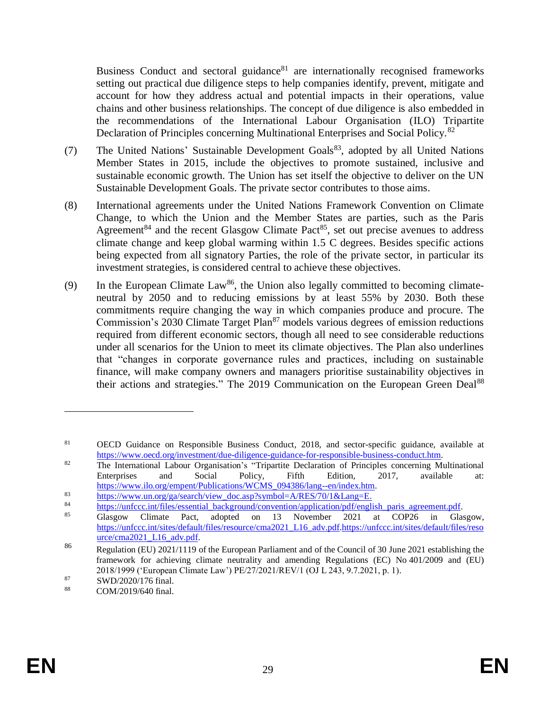Business Conduct and sectoral guidance $81$  are internationally recognised frameworks setting out practical due diligence steps to help companies identify, prevent, mitigate and account for how they address actual and potential impacts in their operations, value chains and other business relationships. The concept of due diligence is also embedded in the recommendations of the International Labour Organisation (ILO) Tripartite Declaration of Principles concerning Multinational Enterprises and Social Policy.<sup>82</sup>

- (7) The United Nations' Sustainable Development Goals<sup>83</sup>, adopted by all United Nations Member States in 2015, include the objectives to promote sustained, inclusive and sustainable economic growth. The Union has set itself the objective to deliver on the UN Sustainable Development Goals. The private sector contributes to those aims.
- (8) International agreements under the United Nations Framework Convention on Climate Change, to which the Union and the Member States are parties, such as the Paris Agreement<sup>84</sup> and the recent Glasgow Climate Pact<sup>85</sup>, set out precise avenues to address climate change and keep global warming within 1.5 C degrees. Besides specific actions being expected from all signatory Parties, the role of the private sector, in particular its investment strategies, is considered central to achieve these objectives.
- (9) In the European Climate Law<sup>86</sup>, the Union also legally committed to becoming climateneutral by 2050 and to reducing emissions by at least 55% by 2030. Both these commitments require changing the way in which companies produce and procure. The Commission's 2030 Climate Target Plan<sup>87</sup> models various degrees of emission reductions required from different economic sectors, though all need to see considerable reductions under all scenarios for the Union to meet its climate objectives. The Plan also underlines that "changes in corporate governance rules and practices, including on sustainable finance, will make company owners and managers prioritise sustainability objectives in their actions and strategies." The 2019 Communication on the European Green Deal<sup>88</sup>

<sup>&</sup>lt;sup>81</sup> OECD Guidance on Responsible Business Conduct, 2018, and sector-specific guidance, available at [https://www.oecd.org/investment/due-diligence-guidance-for-responsible-business-conduct.htm.](https://www.oecd.org/investment/due-diligence-guidance-for-responsible-business-conduct.htm)

<sup>&</sup>lt;sup>82</sup> The International Labour Organisation's "Tripartite Declaration of Principles concerning Multinational Enterprises and Social Policy, Fifth Edition, 2017, available at: [https://www.ilo.org/empent/Publications/WCMS\\_094386/lang--en/index.htm.](https://www.ilo.org/empent/Publications/WCMS_094386/lang--en/index.htm)

<sup>83</sup> https://www.un.org/ga/search/view\_doc.asp?symbol=A/RES/70/1&Lang=E.<br>84 https://www.un.org/ga/search/view\_doc.asp?symbol=A/RES/70/1&Lang=E.

[https://unfccc.int/files/essential\\_background/convention/application/pdf/english\\_paris\\_agreement.pdf.](https://unfccc.int/files/essential_background/convention/application/pdf/english_paris_agreement.pdf)

<sup>85</sup> Glasgow Climate Pact, adopted on 13 November 2021 at COP26 in Glasgow, [https://unfccc.int/sites/default/files/resource/cma2021\\_L16\\_adv.pdf.](https://unfccc.int/sites/default/files/resource/cma2021_L16_adv.pdf)https://unfccc.int/sites/default/files/reso urce/cma2021\_L16\_adv.pdf.

<sup>86</sup> Regulation (EU) 2021/1119 of the European Parliament and of the Council of 30 June 2021 establishing the framework for achieving climate neutrality and amending Regulations (EC) No 401/2009 and (EU) 2018/1999 ('European Climate Law') PE/27/2021/REV/1 (OJ L 243, 9.7.2021, p. 1).

<sup>87</sup> SWD/2020/176 final.

<sup>88</sup> COM/2019/640 final.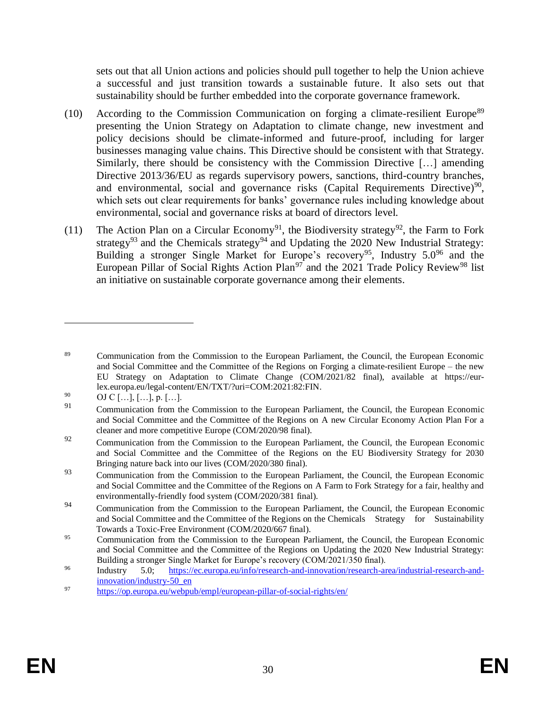sets out that all Union actions and policies should pull together to help the Union achieve a successful and just transition towards a sustainable future. It also sets out that sustainability should be further embedded into the corporate governance framework.

- $(10)$  According to the Commission Communication on forging a climate-resilient Europe<sup>89</sup> presenting the Union Strategy on Adaptation to climate change, new investment and policy decisions should be climate-informed and future-proof, including for larger businesses managing value chains. This Directive should be consistent with that Strategy. Similarly, there should be consistency with the Commission Directive […] amending Directive 2013/36/EU as regards supervisory powers, sanctions, third-country branches, and environmental, social and governance risks (Capital Requirements Directive)<sup>90</sup>, which sets out clear requirements for banks' governance rules including knowledge about environmental, social and governance risks at board of directors level.
- (11) The Action Plan on a Circular Economy<sup>91</sup>, the Biodiversity strategy<sup>92</sup>, the Farm to Fork strategy<sup>93</sup> and the Chemicals strategy<sup>94</sup> and Updating the 2020 New Industrial Strategy: Building a stronger Single Market for Europe's recovery<sup>95</sup>, Industry  $5.0^{96}$  and the European Pillar of Social Rights Action Plan<sup>97</sup> and the 2021 Trade Policy Review<sup>98</sup> list an initiative on sustainable corporate governance among their elements.

<sup>89</sup> Communication from the Commission to the European Parliament, the Council, the European Economic and Social Committee and the Committee of the Regions on Forging a climate-resilient Europe – the new EU Strategy on Adaptation to Climate Change (COM/2021/82 final), available at https://eurlex.europa.eu/legal-content/EN/TXT/?uri=COM:2021:82:FIN.

<sup>90</sup> OJ C  $[...]$ ,  $[...]$ , p.  $[...]$ .

<sup>&</sup>lt;sup>91</sup> Communication from the Commission to the European Parliament, the Council, the European Economic and Social Committee and the Committee of the Regions on A new Circular Economy Action Plan For a cleaner and more competitive Europe (COM/2020/98 final).

<sup>&</sup>lt;sup>92</sup> Communication from the Commission to the European Parliament, the Council, the European Economic and Social Committee and the Committee of the Regions on the EU Biodiversity Strategy for 2030 Bringing nature back into our lives (COM/2020/380 final).

<sup>&</sup>lt;sup>93</sup> Communication from the Commission to the European Parliament, the Council, the European Economic and Social Committee and the Committee of the Regions on A Farm to Fork Strategy for a fair, healthy and environmentally-friendly food system (COM/2020/381 final).

<sup>&</sup>lt;sup>94</sup> Communication from the Commission to the European Parliament, the Council, the European Economic and Social Committee and the Committee of the Regions on the Chemicals Strategy for Sustainability Towards a Toxic-Free Environment (COM/2020/667 final).

<sup>&</sup>lt;sup>95</sup> Communication from the Commission to the European Parliament, the Council, the European Economic and Social Committee and the Committee of the Regions on Updating the 2020 New Industrial Strategy: Building a stronger Single Market for Europe's recovery (COM/2021/350 final).

<sup>96</sup> Industry 5.0; https://ec.europa.eu/info/research-and-innovation/research-area/industrial-research-andinnovation/industry-50\_en

<sup>97</sup> <https://op.europa.eu/webpub/empl/european-pillar-of-social-rights/en/>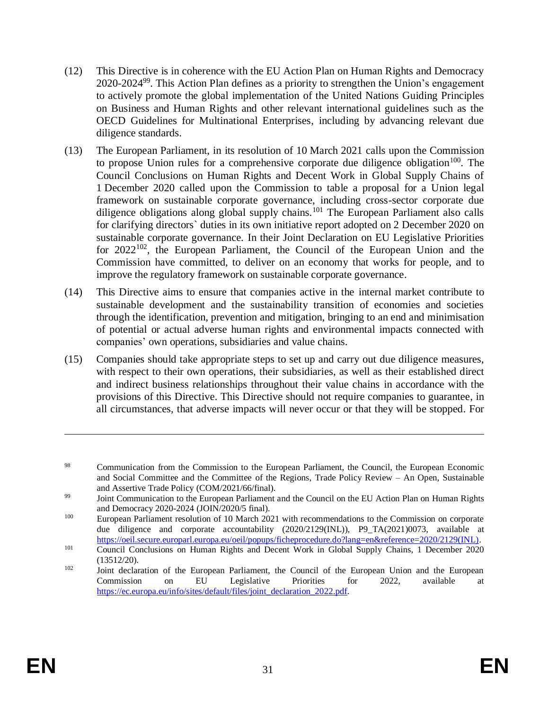- (12) This Directive is in coherence with the EU Action Plan on Human Rights and Democracy  $2020-2024<sup>99</sup>$ . This Action Plan defines as a priority to strengthen the Union's engagement to actively promote the global implementation of the United Nations Guiding Principles on Business and Human Rights and other relevant international guidelines such as the OECD Guidelines for Multinational Enterprises, including by advancing relevant due diligence standards.
- (13) The European Parliament, in its resolution of 10 March 2021 calls upon the Commission to propose Union rules for a comprehensive corporate due diligence obligation<sup>100</sup>. The Council Conclusions on Human Rights and Decent Work in Global Supply Chains of 1 December 2020 called upon the Commission to table a proposal for a Union legal framework on sustainable corporate governance, including cross-sector corporate due diligence obligations along global supply chains.<sup>101</sup> The European Parliament also calls for clarifying directors` duties in its own initiative report adopted on 2 December 2020 on sustainable corporate governance. In their Joint Declaration on EU Legislative Priorities for  $2022^{102}$ , the European Parliament, the Council of the European Union and the Commission have committed, to deliver on an economy that works for people, and to improve the regulatory framework on sustainable corporate governance.
- (14) This Directive aims to ensure that companies active in the internal market contribute to sustainable development and the sustainability transition of economies and societies through the identification, prevention and mitigation, bringing to an end and minimisation of potential or actual adverse human rights and environmental impacts connected with companies' own operations, subsidiaries and value chains.
- (15) Companies should take appropriate steps to set up and carry out due diligence measures, with respect to their own operations, their subsidiaries, as well as their established direct and indirect business relationships throughout their value chains in accordance with the provisions of this Directive. This Directive should not require companies to guarantee, in all circumstances, that adverse impacts will never occur or that they will be stopped. For

<sup>&</sup>lt;sup>98</sup> Communication from the Commission to the European Parliament, the Council, the European Economic and Social Committee and the Committee of the Regions, Trade Policy Review – An Open, Sustainable and Assertive Trade Policy (COM/2021/66/final).

<sup>&</sup>lt;sup>99</sup> Joint Communication to the European Parliament and the Council on the EU Action Plan on Human Rights and Democracy 2020-2024 (JOIN/2020/5 final).

<sup>100</sup> European Parliament resolution of 10 March 2021 with recommendations to the Commission on corporate due diligence and corporate accountability (2020/2129(INL)), P9\_TA(2021)0073, available at [https://oeil.secure.europarl.europa.eu/oeil/popups/ficheprocedure.do?lang=en&reference=2020/2129\(INL\).](https://oeil.secure.europarl.europa.eu/oeil/popups/ficheprocedure.do?lang=en&reference=2020/2129(INL))

<sup>&</sup>lt;sup>101</sup> Council Conclusions on Human Rights and Decent Work in Global Supply Chains, 1 December 2020 (13512/20).

<sup>&</sup>lt;sup>102</sup> Joint declaration of the European Parliament, the Council of the European Union and the European Commission on EU Legislative Priorities for 2022, available at [https://ec.europa.eu/info/sites/default/files/joint\\_declaration\\_2022.pdf.](https://ec.europa.eu/info/sites/default/files/joint_declaration_2022.pdf)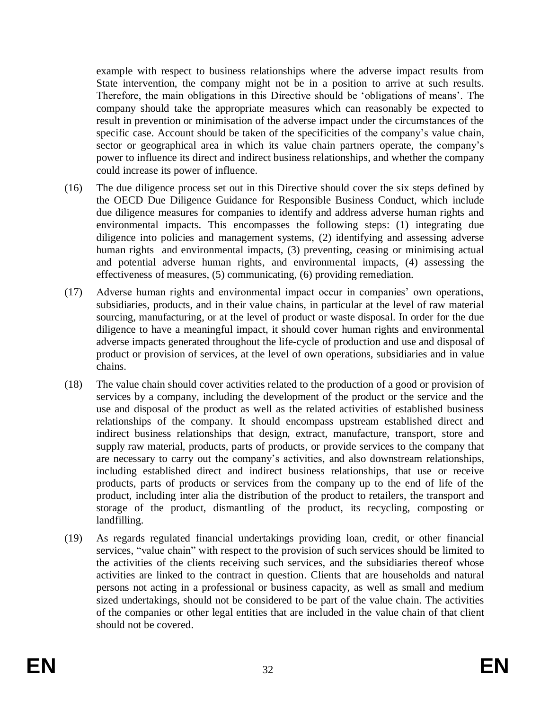example with respect to business relationships where the adverse impact results from State intervention, the company might not be in a position to arrive at such results. Therefore, the main obligations in this Directive should be 'obligations of means'. The company should take the appropriate measures which can reasonably be expected to result in prevention or minimisation of the adverse impact under the circumstances of the specific case. Account should be taken of the specificities of the company's value chain, sector or geographical area in which its value chain partners operate, the company's power to influence its direct and indirect business relationships, and whether the company could increase its power of influence.

- (16) The due diligence process set out in this Directive should cover the six steps defined by the OECD Due Diligence Guidance for Responsible Business Conduct, which include due diligence measures for companies to identify and address adverse human rights and environmental impacts. This encompasses the following steps: (1) integrating due diligence into policies and management systems, (2) identifying and assessing adverse human rights and environmental impacts, (3) preventing, ceasing or minimising actual and potential adverse human rights, and environmental impacts, (4) assessing the effectiveness of measures, (5) communicating, (6) providing remediation.
- (17) Adverse human rights and environmental impact occur in companies' own operations, subsidiaries, products, and in their value chains, in particular at the level of raw material sourcing, manufacturing, or at the level of product or waste disposal. In order for the due diligence to have a meaningful impact, it should cover human rights and environmental adverse impacts generated throughout the life-cycle of production and use and disposal of product or provision of services, at the level of own operations, subsidiaries and in value chains.
- (18) The value chain should cover activities related to the production of a good or provision of services by a company, including the development of the product or the service and the use and disposal of the product as well as the related activities of established business relationships of the company. It should encompass upstream established direct and indirect business relationships that design, extract, manufacture, transport, store and supply raw material, products, parts of products, or provide services to the company that are necessary to carry out the company's activities, and also downstream relationships, including established direct and indirect business relationships, that use or receive products, parts of products or services from the company up to the end of life of the product, including inter alia the distribution of the product to retailers, the transport and storage of the product, dismantling of the product, its recycling, composting or landfilling.
- (19) As regards regulated financial undertakings providing loan, credit, or other financial services, "value chain" with respect to the provision of such services should be limited to the activities of the clients receiving such services, and the subsidiaries thereof whose activities are linked to the contract in question. Clients that are households and natural persons not acting in a professional or business capacity, as well as small and medium sized undertakings, should not be considered to be part of the value chain. The activities of the companies or other legal entities that are included in the value chain of that client should not be covered.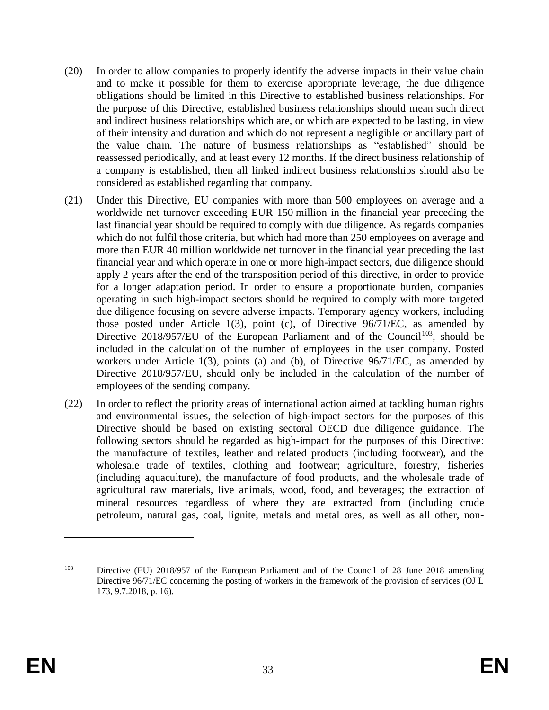- (20) In order to allow companies to properly identify the adverse impacts in their value chain and to make it possible for them to exercise appropriate leverage, the due diligence obligations should be limited in this Directive to established business relationships. For the purpose of this Directive, established business relationships should mean such direct and indirect business relationships which are, or which are expected to be lasting, in view of their intensity and duration and which do not represent a negligible or ancillary part of the value chain. The nature of business relationships as "established" should be reassessed periodically, and at least every 12 months. If the direct business relationship of a company is established, then all linked indirect business relationships should also be considered as established regarding that company.
- (21) Under this Directive, EU companies with more than 500 employees on average and a worldwide net turnover exceeding EUR 150 million in the financial year preceding the last financial year should be required to comply with due diligence. As regards companies which do not fulfil those criteria, but which had more than 250 employees on average and more than EUR 40 million worldwide net turnover in the financial year preceding the last financial year and which operate in one or more high-impact sectors, due diligence should apply 2 years after the end of the transposition period of this directive, in order to provide for a longer adaptation period. In order to ensure a proportionate burden, companies operating in such high-impact sectors should be required to comply with more targeted due diligence focusing on severe adverse impacts. Temporary agency workers, including those posted under Article 1(3), point (c), of Directive 96/71/EC, as amended by Directive 2018/957/EU of the European Parliament and of the Council<sup>103</sup>, should be included in the calculation of the number of employees in the user company. Posted workers under Article 1(3), points (a) and (b), of Directive 96/71/EC, as amended by Directive 2018/957/EU, should only be included in the calculation of the number of employees of the sending company.
- (22) In order to reflect the priority areas of international action aimed at tackling human rights and environmental issues, the selection of high-impact sectors for the purposes of this Directive should be based on existing sectoral OECD due diligence guidance. The following sectors should be regarded as high-impact for the purposes of this Directive: the manufacture of textiles, leather and related products (including footwear), and the wholesale trade of textiles, clothing and footwear; agriculture, forestry, fisheries (including aquaculture), the manufacture of food products, and the wholesale trade of agricultural raw materials, live animals, wood, food, and beverages; the extraction of mineral resources regardless of where they are extracted from (including crude petroleum, natural gas, coal, lignite, metals and metal ores, as well as all other, non-

<sup>&</sup>lt;sup>103</sup> Directive (EU) 2018/957 of the European Parliament and of the Council of 28 June 2018 amending Directive 96/71/EC concerning the posting of workers in the framework of the provision of services (OJ L 173, 9.7.2018, p. 16).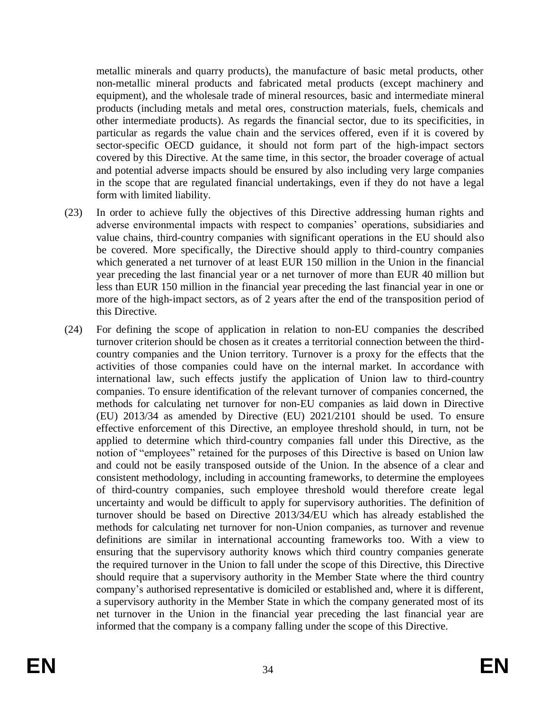metallic minerals and quarry products), the manufacture of basic metal products, other non-metallic mineral products and fabricated metal products (except machinery and equipment), and the wholesale trade of mineral resources, basic and intermediate mineral products (including metals and metal ores, construction materials, fuels, chemicals and other intermediate products). As regards the financial sector, due to its specificities, in particular as regards the value chain and the services offered, even if it is covered by sector-specific OECD guidance, it should not form part of the high-impact sectors covered by this Directive. At the same time, in this sector, the broader coverage of actual and potential adverse impacts should be ensured by also including very large companies in the scope that are regulated financial undertakings, even if they do not have a legal form with limited liability.

- (23) In order to achieve fully the objectives of this Directive addressing human rights and adverse environmental impacts with respect to companies' operations, subsidiaries and value chains, third-country companies with significant operations in the EU should also be covered. More specifically, the Directive should apply to third-country companies which generated a net turnover of at least EUR 150 million in the Union in the financial year preceding the last financial year or a net turnover of more than EUR 40 million but less than EUR 150 million in the financial year preceding the last financial year in one or more of the high-impact sectors, as of 2 years after the end of the transposition period of this Directive.
- (24) For defining the scope of application in relation to non-EU companies the described turnover criterion should be chosen as it creates a territorial connection between the thirdcountry companies and the Union territory. Turnover is a proxy for the effects that the activities of those companies could have on the internal market. In accordance with international law, such effects justify the application of Union law to third-country companies. To ensure identification of the relevant turnover of companies concerned, the methods for calculating net turnover for non-EU companies as laid down in Directive (EU) 2013/34 as amended by Directive (EU) 2021/2101 should be used. To ensure effective enforcement of this Directive, an employee threshold should, in turn, not be applied to determine which third-country companies fall under this Directive, as the notion of "employees" retained for the purposes of this Directive is based on Union law and could not be easily transposed outside of the Union. In the absence of a clear and consistent methodology, including in accounting frameworks, to determine the employees of third-country companies, such employee threshold would therefore create legal uncertainty and would be difficult to apply for supervisory authorities. The definition of turnover should be based on Directive 2013/34/EU which has already established the methods for calculating net turnover for non-Union companies, as turnover and revenue definitions are similar in international accounting frameworks too. With a view to ensuring that the supervisory authority knows which third country companies generate the required turnover in the Union to fall under the scope of this Directive, this Directive should require that a supervisory authority in the Member State where the third country company's authorised representative is domiciled or established and, where it is different, a supervisory authority in the Member State in which the company generated most of its net turnover in the Union in the financial year preceding the last financial year are informed that the company is a company falling under the scope of this Directive.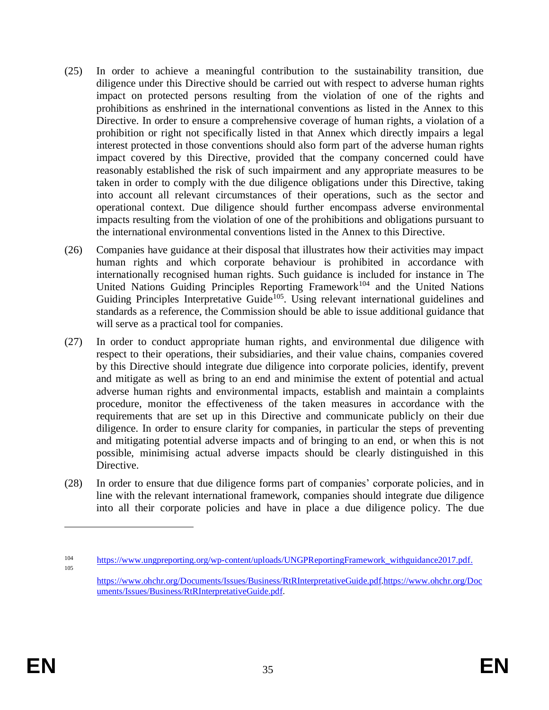- (25) In order to achieve a meaningful contribution to the sustainability transition, due diligence under this Directive should be carried out with respect to adverse human rights impact on protected persons resulting from the violation of one of the rights and prohibitions as enshrined in the international conventions as listed in the Annex to this Directive. In order to ensure a comprehensive coverage of human rights, a violation of a prohibition or right not specifically listed in that Annex which directly impairs a legal interest protected in those conventions should also form part of the adverse human rights impact covered by this Directive, provided that the company concerned could have reasonably established the risk of such impairment and any appropriate measures to be taken in order to comply with the due diligence obligations under this Directive, taking into account all relevant circumstances of their operations, such as the sector and operational context. Due diligence should further encompass adverse environmental impacts resulting from the violation of one of the prohibitions and obligations pursuant to the international environmental conventions listed in the Annex to this Directive.
- (26) Companies have guidance at their disposal that illustrates how their activities may impact human rights and which corporate behaviour is prohibited in accordance with internationally recognised human rights. Such guidance is included for instance in The United Nations Guiding Principles Reporting Framework<sup>104</sup> and the United Nations Guiding Principles Interpretative Guide<sup>105</sup>. Using relevant international guidelines and standards as a reference, the Commission should be able to issue additional guidance that will serve as a practical tool for companies.
- (27) In order to conduct appropriate human rights, and environmental due diligence with respect to their operations, their subsidiaries, and their value chains, companies covered by this Directive should integrate due diligence into corporate policies, identify, prevent and mitigate as well as bring to an end and minimise the extent of potential and actual adverse human rights and environmental impacts, establish and maintain a complaints procedure, monitor the effectiveness of the taken measures in accordance with the requirements that are set up in this Directive and communicate publicly on their due diligence. In order to ensure clarity for companies, in particular the steps of preventing and mitigating potential adverse impacts and of bringing to an end, or when this is not possible, minimising actual adverse impacts should be clearly distinguished in this Directive.
- (28) In order to ensure that due diligence forms part of companies' corporate policies, and in line with the relevant international framework, companies should integrate due diligence into all their corporate policies and have in place a due diligence policy. The due

<sup>104</sup> [https://www.ungpreporting.org/wp-content/uploads/UNGPReportingFramework\\_withguidance2017.pdf.](https://www.ungpreporting.org/wp-content/uploads/UNGPReportingFramework_withguidance2017.pdf) 105

[https://www.ohchr.org/Documents/Issues/Business/RtRInterpretativeGuide.pdf.h](https://www.ohchr.org/Documents/Issues/Business/RtRInterpretativeGuide.pdf)ttps://www.ohchr.org/Doc uments/Issues/Business/RtRInterpretativeGuide.pdf.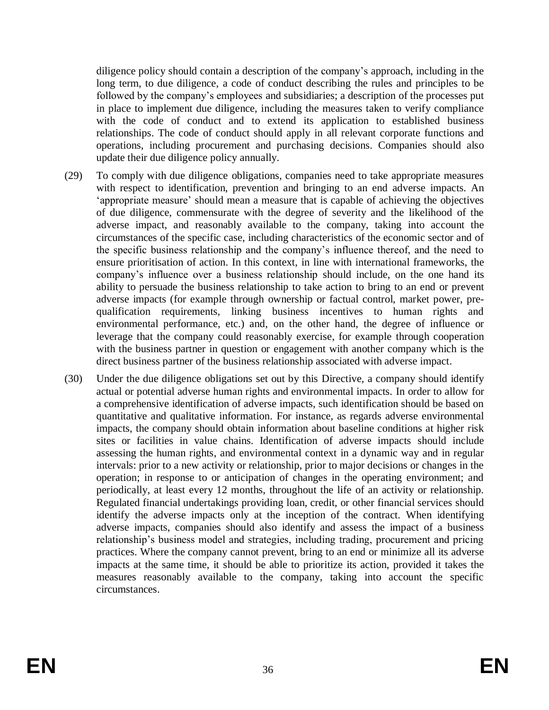diligence policy should contain a description of the company's approach, including in the long term, to due diligence, a code of conduct describing the rules and principles to be followed by the company's employees and subsidiaries; a description of the processes put in place to implement due diligence, including the measures taken to verify compliance with the code of conduct and to extend its application to established business relationships. The code of conduct should apply in all relevant corporate functions and operations, including procurement and purchasing decisions. Companies should also update their due diligence policy annually.

- (29) To comply with due diligence obligations, companies need to take appropriate measures with respect to identification, prevention and bringing to an end adverse impacts. An 'appropriate measure' should mean a measure that is capable of achieving the objectives of due diligence, commensurate with the degree of severity and the likelihood of the adverse impact, and reasonably available to the company, taking into account the circumstances of the specific case, including characteristics of the economic sector and of the specific business relationship and the company's influence thereof, and the need to ensure prioritisation of action. In this context, in line with international frameworks, the company's influence over a business relationship should include, on the one hand its ability to persuade the business relationship to take action to bring to an end or prevent adverse impacts (for example through ownership or factual control, market power, prequalification requirements, linking business incentives to human rights and environmental performance, etc.) and, on the other hand, the degree of influence or leverage that the company could reasonably exercise, for example through cooperation with the business partner in question or engagement with another company which is the direct business partner of the business relationship associated with adverse impact.
- (30) Under the due diligence obligations set out by this Directive, a company should identify actual or potential adverse human rights and environmental impacts. In order to allow for a comprehensive identification of adverse impacts, such identification should be based on quantitative and qualitative information. For instance, as regards adverse environmental impacts, the company should obtain information about baseline conditions at higher risk sites or facilities in value chains. Identification of adverse impacts should include assessing the human rights, and environmental context in a dynamic way and in regular intervals: prior to a new activity or relationship, prior to major decisions or changes in the operation; in response to or anticipation of changes in the operating environment; and periodically, at least every 12 months, throughout the life of an activity or relationship. Regulated financial undertakings providing loan, credit, or other financial services should identify the adverse impacts only at the inception of the contract. When identifying adverse impacts, companies should also identify and assess the impact of a business relationship's business model and strategies, including trading, procurement and pricing practices. Where the company cannot prevent, bring to an end or minimize all its adverse impacts at the same time, it should be able to prioritize its action, provided it takes the measures reasonably available to the company, taking into account the specific circumstances.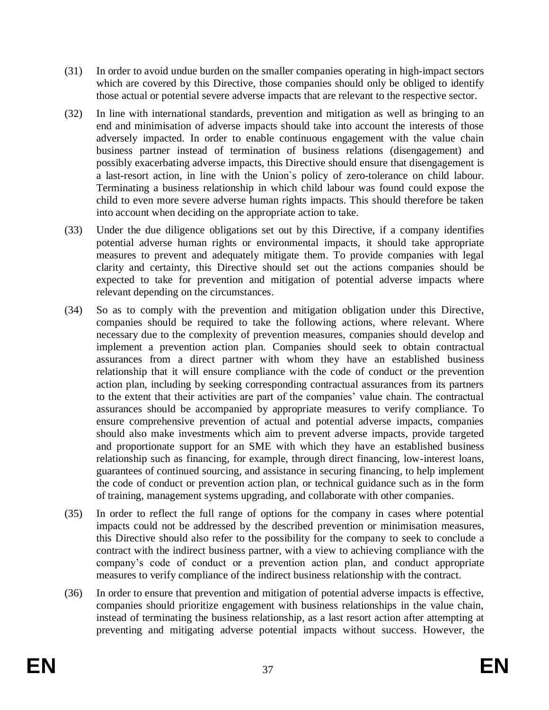- (31) In order to avoid undue burden on the smaller companies operating in high-impact sectors which are covered by this Directive, those companies should only be obliged to identify those actual or potential severe adverse impacts that are relevant to the respective sector.
- (32) In line with international standards, prevention and mitigation as well as bringing to an end and minimisation of adverse impacts should take into account the interests of those adversely impacted. In order to enable continuous engagement with the value chain business partner instead of termination of business relations (disengagement) and possibly exacerbating adverse impacts, this Directive should ensure that disengagement is a last-resort action, in line with the Union`s policy of zero-tolerance on child labour. Terminating a business relationship in which child labour was found could expose the child to even more severe adverse human rights impacts. This should therefore be taken into account when deciding on the appropriate action to take.
- (33) Under the due diligence obligations set out by this Directive, if a company identifies potential adverse human rights or environmental impacts, it should take appropriate measures to prevent and adequately mitigate them. To provide companies with legal clarity and certainty, this Directive should set out the actions companies should be expected to take for prevention and mitigation of potential adverse impacts where relevant depending on the circumstances.
- (34) So as to comply with the prevention and mitigation obligation under this Directive, companies should be required to take the following actions, where relevant. Where necessary due to the complexity of prevention measures, companies should develop and implement a prevention action plan. Companies should seek to obtain contractual assurances from a direct partner with whom they have an established business relationship that it will ensure compliance with the code of conduct or the prevention action plan, including by seeking corresponding contractual assurances from its partners to the extent that their activities are part of the companies' value chain. The contractual assurances should be accompanied by appropriate measures to verify compliance. To ensure comprehensive prevention of actual and potential adverse impacts, companies should also make investments which aim to prevent adverse impacts, provide targeted and proportionate support for an SME with which they have an established business relationship such as financing, for example, through direct financing, low-interest loans, guarantees of continued sourcing, and assistance in securing financing, to help implement the code of conduct or prevention action plan, or technical guidance such as in the form of training, management systems upgrading, and collaborate with other companies.
- (35) In order to reflect the full range of options for the company in cases where potential impacts could not be addressed by the described prevention or minimisation measures, this Directive should also refer to the possibility for the company to seek to conclude a contract with the indirect business partner, with a view to achieving compliance with the company's code of conduct or a prevention action plan, and conduct appropriate measures to verify compliance of the indirect business relationship with the contract.
- (36) In order to ensure that prevention and mitigation of potential adverse impacts is effective, companies should prioritize engagement with business relationships in the value chain, instead of terminating the business relationship, as a last resort action after attempting at preventing and mitigating adverse potential impacts without success. However, the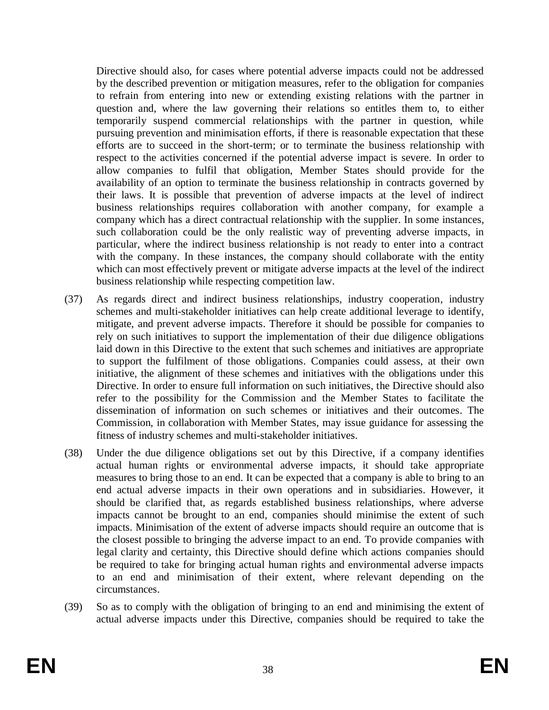Directive should also, for cases where potential adverse impacts could not be addressed by the described prevention or mitigation measures, refer to the obligation for companies to refrain from entering into new or extending existing relations with the partner in question and, where the law governing their relations so entitles them to, to either temporarily suspend commercial relationships with the partner in question, while pursuing prevention and minimisation efforts, if there is reasonable expectation that these efforts are to succeed in the short-term; or to terminate the business relationship with respect to the activities concerned if the potential adverse impact is severe. In order to allow companies to fulfil that obligation, Member States should provide for the availability of an option to terminate the business relationship in contracts governed by their laws. It is possible that prevention of adverse impacts at the level of indirect business relationships requires collaboration with another company, for example a company which has a direct contractual relationship with the supplier. In some instances, such collaboration could be the only realistic way of preventing adverse impacts, in particular, where the indirect business relationship is not ready to enter into a contract with the company. In these instances, the company should collaborate with the entity which can most effectively prevent or mitigate adverse impacts at the level of the indirect business relationship while respecting competition law.

- (37) As regards direct and indirect business relationships, industry cooperation, industry schemes and multi-stakeholder initiatives can help create additional leverage to identify, mitigate, and prevent adverse impacts. Therefore it should be possible for companies to rely on such initiatives to support the implementation of their due diligence obligations laid down in this Directive to the extent that such schemes and initiatives are appropriate to support the fulfilment of those obligations. Companies could assess, at their own initiative, the alignment of these schemes and initiatives with the obligations under this Directive. In order to ensure full information on such initiatives, the Directive should also refer to the possibility for the Commission and the Member States to facilitate the dissemination of information on such schemes or initiatives and their outcomes. The Commission, in collaboration with Member States, may issue guidance for assessing the fitness of industry schemes and multi-stakeholder initiatives.
- (38) Under the due diligence obligations set out by this Directive, if a company identifies actual human rights or environmental adverse impacts, it should take appropriate measures to bring those to an end. It can be expected that a company is able to bring to an end actual adverse impacts in their own operations and in subsidiaries. However, it should be clarified that, as regards established business relationships, where adverse impacts cannot be brought to an end, companies should minimise the extent of such impacts. Minimisation of the extent of adverse impacts should require an outcome that is the closest possible to bringing the adverse impact to an end. To provide companies with legal clarity and certainty, this Directive should define which actions companies should be required to take for bringing actual human rights and environmental adverse impacts to an end and minimisation of their extent, where relevant depending on the circumstances.
- (39) So as to comply with the obligation of bringing to an end and minimising the extent of actual adverse impacts under this Directive, companies should be required to take the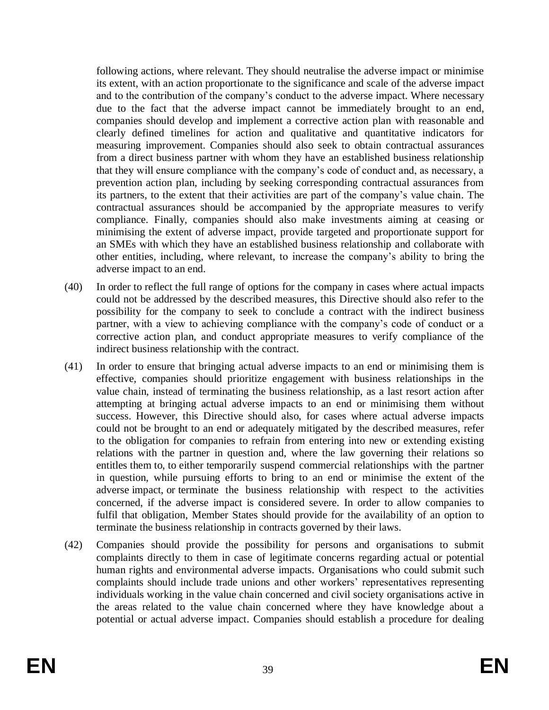following actions, where relevant. They should neutralise the adverse impact or minimise its extent, with an action proportionate to the significance and scale of the adverse impact and to the contribution of the company's conduct to the adverse impact. Where necessary due to the fact that the adverse impact cannot be immediately brought to an end, companies should develop and implement a corrective action plan with reasonable and clearly defined timelines for action and qualitative and quantitative indicators for measuring improvement. Companies should also seek to obtain contractual assurances from a direct business partner with whom they have an established business relationship that they will ensure compliance with the company's code of conduct and, as necessary, a prevention action plan, including by seeking corresponding contractual assurances from its partners, to the extent that their activities are part of the company's value chain. The contractual assurances should be accompanied by the appropriate measures to verify compliance. Finally, companies should also make investments aiming at ceasing or minimising the extent of adverse impact, provide targeted and proportionate support for an SMEs with which they have an established business relationship and collaborate with other entities, including, where relevant, to increase the company's ability to bring the adverse impact to an end.

- (40) In order to reflect the full range of options for the company in cases where actual impacts could not be addressed by the described measures, this Directive should also refer to the possibility for the company to seek to conclude a contract with the indirect business partner, with a view to achieving compliance with the company's code of conduct or a corrective action plan, and conduct appropriate measures to verify compliance of the indirect business relationship with the contract.
- (41) In order to ensure that bringing actual adverse impacts to an end or minimising them is effective, companies should prioritize engagement with business relationships in the value chain, instead of terminating the business relationship, as a last resort action after attempting at bringing actual adverse impacts to an end or minimising them without success. However, this Directive should also, for cases where actual adverse impacts could not be brought to an end or adequately mitigated by the described measures, refer to the obligation for companies to refrain from entering into new or extending existing relations with the partner in question and, where the law governing their relations so entitles them to, to either temporarily suspend commercial relationships with the partner in question, while pursuing efforts to bring to an end or minimise the extent of the adverse impact, or terminate the business relationship with respect to the activities concerned, if the adverse impact is considered severe. In order to allow companies to fulfil that obligation, Member States should provide for the availability of an option to terminate the business relationship in contracts governed by their laws.
- (42) Companies should provide the possibility for persons and organisations to submit complaints directly to them in case of legitimate concerns regarding actual or potential human rights and environmental adverse impacts. Organisations who could submit such complaints should include trade unions and other workers' representatives representing individuals working in the value chain concerned and civil society organisations active in the areas related to the value chain concerned where they have knowledge about a potential or actual adverse impact. Companies should establish a procedure for dealing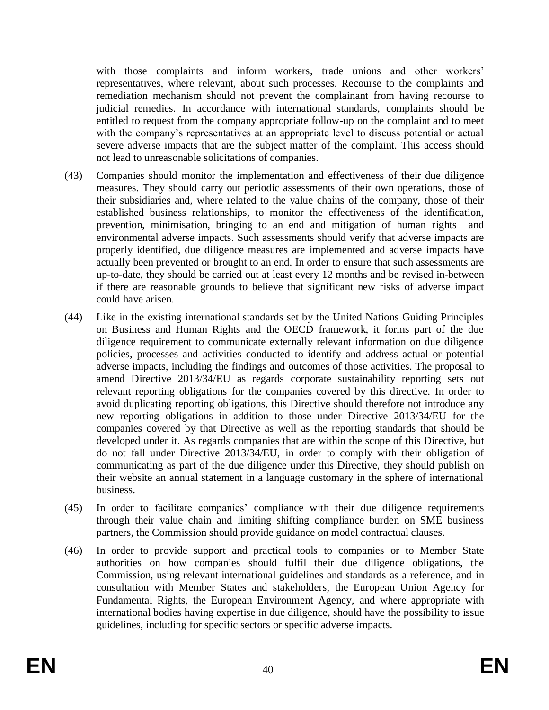with those complaints and inform workers, trade unions and other workers' representatives, where relevant, about such processes. Recourse to the complaints and remediation mechanism should not prevent the complainant from having recourse to judicial remedies. In accordance with international standards, complaints should be entitled to request from the company appropriate follow-up on the complaint and to meet with the company's representatives at an appropriate level to discuss potential or actual severe adverse impacts that are the subject matter of the complaint. This access should not lead to unreasonable solicitations of companies.

- (43) Companies should monitor the implementation and effectiveness of their due diligence measures. They should carry out periodic assessments of their own operations, those of their subsidiaries and, where related to the value chains of the company, those of their established business relationships, to monitor the effectiveness of the identification, prevention, minimisation, bringing to an end and mitigation of human rights and environmental adverse impacts. Such assessments should verify that adverse impacts are properly identified, due diligence measures are implemented and adverse impacts have actually been prevented or brought to an end. In order to ensure that such assessments are up-to-date, they should be carried out at least every 12 months and be revised in-between if there are reasonable grounds to believe that significant new risks of adverse impact could have arisen.
- (44) Like in the existing international standards set by the United Nations Guiding Principles on Business and Human Rights and the OECD framework, it forms part of the due diligence requirement to communicate externally relevant information on due diligence policies, processes and activities conducted to identify and address actual or potential adverse impacts, including the findings and outcomes of those activities. The proposal to amend Directive 2013/34/EU as regards corporate sustainability reporting sets out relevant reporting obligations for the companies covered by this directive. In order to avoid duplicating reporting obligations, this Directive should therefore not introduce any new reporting obligations in addition to those under Directive 2013/34/EU for the companies covered by that Directive as well as the reporting standards that should be developed under it. As regards companies that are within the scope of this Directive, but do not fall under Directive 2013/34/EU, in order to comply with their obligation of communicating as part of the due diligence under this Directive, they should publish on their website an annual statement in a language customary in the sphere of international business.
- (45) In order to facilitate companies' compliance with their due diligence requirements through their value chain and limiting shifting compliance burden on SME business partners, the Commission should provide guidance on model contractual clauses.
- (46) In order to provide support and practical tools to companies or to Member State authorities on how companies should fulfil their due diligence obligations, the Commission, using relevant international guidelines and standards as a reference, and in consultation with Member States and stakeholders, the European Union Agency for Fundamental Rights, the European Environment Agency, and where appropriate with international bodies having expertise in due diligence, should have the possibility to issue guidelines, including for specific sectors or specific adverse impacts.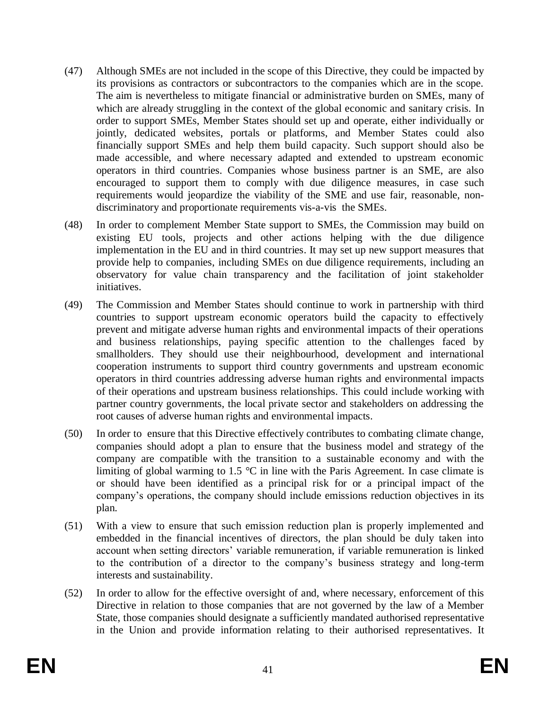- (47) Although SMEs are not included in the scope of this Directive, they could be impacted by its provisions as contractors or subcontractors to the companies which are in the scope. The aim is nevertheless to mitigate financial or administrative burden on SMEs, many of which are already struggling in the context of the global economic and sanitary crisis. In order to support SMEs, Member States should set up and operate, either individually or jointly, dedicated websites, portals or platforms, and Member States could also financially support SMEs and help them build capacity. Such support should also be made accessible, and where necessary adapted and extended to upstream economic operators in third countries. Companies whose business partner is an SME, are also encouraged to support them to comply with due diligence measures, in case such requirements would jeopardize the viability of the SME and use fair, reasonable, nondiscriminatory and proportionate requirements vis-a-vis the SMEs.
- (48) In order to complement Member State support to SMEs, the Commission may build on existing EU tools, projects and other actions helping with the due diligence implementation in the EU and in third countries. It may set up new support measures that provide help to companies, including SMEs on due diligence requirements, including an observatory for value chain transparency and the facilitation of joint stakeholder initiatives.
- (49) The Commission and Member States should continue to work in partnership with third countries to support upstream economic operators build the capacity to effectively prevent and mitigate adverse human rights and environmental impacts of their operations and business relationships, paying specific attention to the challenges faced by smallholders. They should use their neighbourhood, development and international cooperation instruments to support third country governments and upstream economic operators in third countries addressing adverse human rights and environmental impacts of their operations and upstream business relationships. This could include working with partner country governments, the local private sector and stakeholders on addressing the root causes of adverse human rights and environmental impacts.
- (50) In order to ensure that this Directive effectively contributes to combating climate change, companies should adopt a plan to ensure that the business model and strategy of the company are compatible with the transition to a sustainable economy and with the limiting of global warming to 1.5  $\degree$ C in line with the Paris Agreement. In case climate is or should have been identified as a principal risk for or a principal impact of the company's operations, the company should include emissions reduction objectives in its plan.
- (51) With a view to ensure that such emission reduction plan is properly implemented and embedded in the financial incentives of directors, the plan should be duly taken into account when setting directors' variable remuneration, if variable remuneration is linked to the contribution of a director to the company's business strategy and long-term interests and sustainability.
- (52) In order to allow for the effective oversight of and, where necessary, enforcement of this Directive in relation to those companies that are not governed by the law of a Member State, those companies should designate a sufficiently mandated authorised representative in the Union and provide information relating to their authorised representatives. It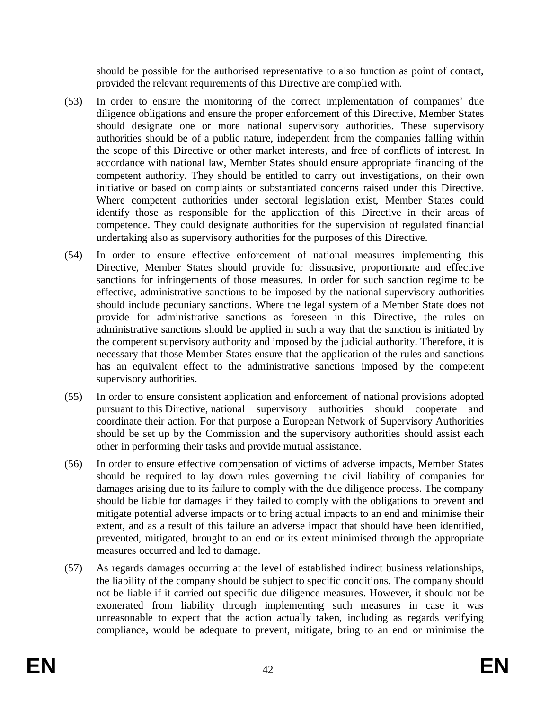should be possible for the authorised representative to also function as point of contact, provided the relevant requirements of this Directive are complied with.

- (53) In order to ensure the monitoring of the correct implementation of companies' due diligence obligations and ensure the proper enforcement of this Directive, Member States should designate one or more national supervisory authorities. These supervisory authorities should be of a public nature, independent from the companies falling within the scope of this Directive or other market interests, and free of conflicts of interest. In accordance with national law, Member States should ensure appropriate financing of the competent authority. They should be entitled to carry out investigations, on their own initiative or based on complaints or substantiated concerns raised under this Directive. Where competent authorities under sectoral legislation exist, Member States could identify those as responsible for the application of this Directive in their areas of competence. They could designate authorities for the supervision of regulated financial undertaking also as supervisory authorities for the purposes of this Directive.
- (54) In order to ensure effective enforcement of national measures implementing this Directive, Member States should provide for dissuasive, proportionate and effective sanctions for infringements of those measures. In order for such sanction regime to be effective, administrative sanctions to be imposed by the national supervisory authorities should include pecuniary sanctions. Where the legal system of a Member State does not provide for administrative sanctions as foreseen in this Directive, the rules on administrative sanctions should be applied in such a way that the sanction is initiated by the competent supervisory authority and imposed by the judicial authority. Therefore, it is necessary that those Member States ensure that the application of the rules and sanctions has an equivalent effect to the administrative sanctions imposed by the competent supervisory authorities.
- (55) In order to ensure consistent application and enforcement of national provisions adopted pursuant to this Directive, national supervisory authorities should cooperate and coordinate their action. For that purpose a European Network of Supervisory Authorities should be set up by the Commission and the supervisory authorities should assist each other in performing their tasks and provide mutual assistance.
- (56) In order to ensure effective compensation of victims of adverse impacts, Member States should be required to lay down rules governing the civil liability of companies for damages arising due to its failure to comply with the due diligence process. The company should be liable for damages if they failed to comply with the obligations to prevent and mitigate potential adverse impacts or to bring actual impacts to an end and minimise their extent, and as a result of this failure an adverse impact that should have been identified, prevented, mitigated, brought to an end or its extent minimised through the appropriate measures occurred and led to damage.
- (57) As regards damages occurring at the level of established indirect business relationships, the liability of the company should be subject to specific conditions. The company should not be liable if it carried out specific due diligence measures. However, it should not be exonerated from liability through implementing such measures in case it was unreasonable to expect that the action actually taken, including as regards verifying compliance, would be adequate to prevent, mitigate, bring to an end or minimise the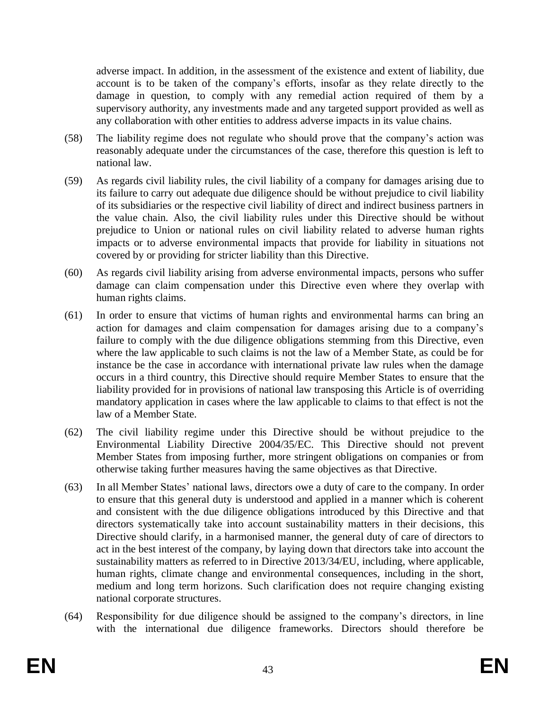adverse impact. In addition, in the assessment of the existence and extent of liability, due account is to be taken of the company's efforts, insofar as they relate directly to the damage in question, to comply with any remedial action required of them by a supervisory authority, any investments made and any targeted support provided as well as any collaboration with other entities to address adverse impacts in its value chains.

- (58) The liability regime does not regulate who should prove that the company's action was reasonably adequate under the circumstances of the case, therefore this question is left to national law.
- (59) As regards civil liability rules, the civil liability of a company for damages arising due to its failure to carry out adequate due diligence should be without prejudice to civil liability of its subsidiaries or the respective civil liability of direct and indirect business partners in the value chain. Also, the civil liability rules under this Directive should be without prejudice to Union or national rules on civil liability related to adverse human rights impacts or to adverse environmental impacts that provide for liability in situations not covered by or providing for stricter liability than this Directive.
- (60) As regards civil liability arising from adverse environmental impacts, persons who suffer damage can claim compensation under this Directive even where they overlap with human rights claims.
- (61) In order to ensure that victims of human rights and environmental harms can bring an action for damages and claim compensation for damages arising due to a company's failure to comply with the due diligence obligations stemming from this Directive, even where the law applicable to such claims is not the law of a Member State, as could be for instance be the case in accordance with international private law rules when the damage occurs in a third country, this Directive should require Member States to ensure that the liability provided for in provisions of national law transposing this Article is of overriding mandatory application in cases where the law applicable to claims to that effect is not the law of a Member State.
- (62) The civil liability regime under this Directive should be without prejudice to the Environmental Liability Directive 2004/35/EC. This Directive should not prevent Member States from imposing further, more stringent obligations on companies or from otherwise taking further measures having the same objectives as that Directive.
- (63) In all Member States' national laws, directors owe a duty of care to the company. In order to ensure that this general duty is understood and applied in a manner which is coherent and consistent with the due diligence obligations introduced by this Directive and that directors systematically take into account sustainability matters in their decisions, this Directive should clarify, in a harmonised manner, the general duty of care of directors to act in the best interest of the company, by laying down that directors take into account the sustainability matters as referred to in Directive 2013/34/EU, including, where applicable, human rights, climate change and environmental consequences, including in the short, medium and long term horizons. Such clarification does not require changing existing national corporate structures.
- (64) Responsibility for due diligence should be assigned to the company's directors, in line with the international due diligence frameworks. Directors should therefore be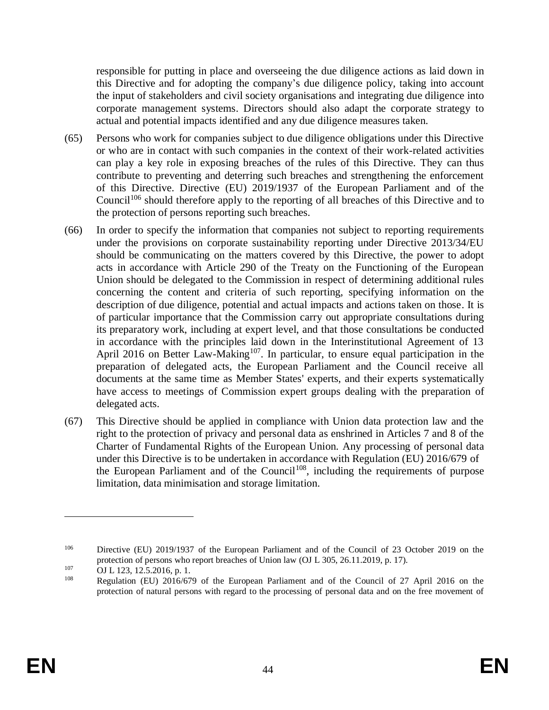responsible for putting in place and overseeing the due diligence actions as laid down in this Directive and for adopting the company's due diligence policy, taking into account the input of stakeholders and civil society organisations and integrating due diligence into corporate management systems. Directors should also adapt the corporate strategy to actual and potential impacts identified and any due diligence measures taken.

- (65) Persons who work for companies subject to due diligence obligations under this Directive or who are in contact with such companies in the context of their work-related activities can play a key role in exposing breaches of the rules of this Directive. They can thus contribute to preventing and deterring such breaches and strengthening the enforcement of this Directive. Directive (EU) 2019/1937 of the European Parliament and of the Council<sup>106</sup> should therefore apply to the reporting of all breaches of this Directive and to the protection of persons reporting such breaches.
- (66) In order to specify the information that companies not subject to reporting requirements under the provisions on corporate sustainability reporting under Directive 2013/34/EU should be communicating on the matters covered by this Directive, the power to adopt acts in accordance with Article 290 of the Treaty on the Functioning of the European Union should be delegated to the Commission in respect of determining additional rules concerning the content and criteria of such reporting, specifying information on the description of due diligence, potential and actual impacts and actions taken on those. It is of particular importance that the Commission carry out appropriate consultations during its preparatory work, including at expert level, and that those consultations be conducted in accordance with the principles laid down in the Interinstitutional Agreement of 13 April 2016 on Better Law-Making<sup>107</sup>. In particular, to ensure equal participation in the preparation of delegated acts, the European Parliament and the Council receive all documents at the same time as Member States' experts, and their experts systematically have access to meetings of Commission expert groups dealing with the preparation of delegated acts.
- (67) This Directive should be applied in compliance with Union data protection law and the right to the protection of privacy and personal data as enshrined in Articles 7 and 8 of the Charter of Fundamental Rights of the European Union. Any processing of personal data under this Directive is to be undertaken in accordance with Regulation (EU) 2016/679 of the European Parliament and of the Council<sup>108</sup>, including the requirements of purpose limitation, data minimisation and storage limitation.

<sup>106</sup> Directive (EU) 2019/1937 of the European Parliament and of the Council of 23 October 2019 on the protection of persons who report breaches of Union law (OJ L 305, 26.11.2019, p. 17).

 $107$  OJ L 123, 12.5.2016, p. 1.

<sup>108</sup> Regulation (EU) 2016/679 of the European Parliament and of the Council of 27 April 2016 on the protection of natural persons with regard to the processing of personal data and on the free movement of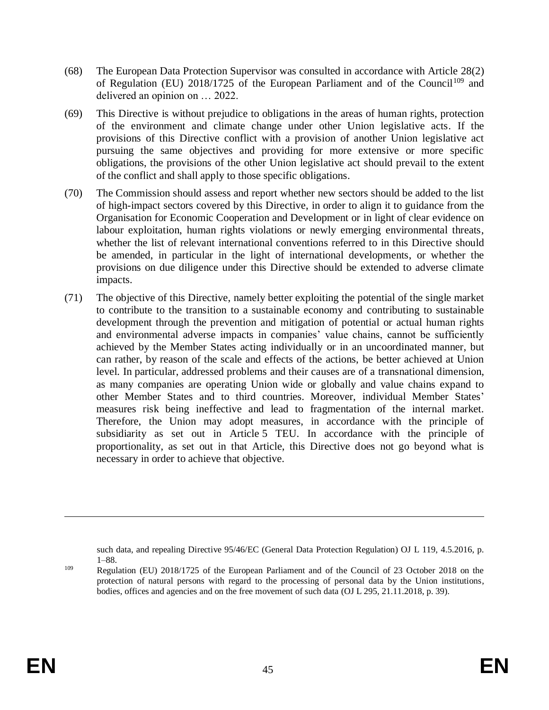- (68) The European Data Protection Supervisor was consulted in accordance with Article 28(2) of Regulation (EU)  $2018/1725$  of the European Parliament and of the Council<sup>109</sup> and delivered an opinion on … 2022.
- (69) This Directive is without prejudice to obligations in the areas of human rights, protection of the environment and climate change under other Union legislative acts. If the provisions of this Directive conflict with a provision of another Union legislative act pursuing the same objectives and providing for more extensive or more specific obligations, the provisions of the other Union legislative act should prevail to the extent of the conflict and shall apply to those specific obligations.
- (70) The Commission should assess and report whether new sectors should be added to the list of high-impact sectors covered by this Directive, in order to align it to guidance from the Organisation for Economic Cooperation and Development or in light of clear evidence on labour exploitation, human rights violations or newly emerging environmental threats, whether the list of relevant international conventions referred to in this Directive should be amended, in particular in the light of international developments, or whether the provisions on due diligence under this Directive should be extended to adverse climate impacts.
- (71) The objective of this Directive, namely better exploiting the potential of the single market to contribute to the transition to a sustainable economy and contributing to sustainable development through the prevention and mitigation of potential or actual human rights and environmental adverse impacts in companies' value chains, cannot be sufficiently achieved by the Member States acting individually or in an uncoordinated manner, but can rather, by reason of the scale and effects of the actions, be better achieved at Union level. In particular, addressed problems and their causes are of a transnational dimension, as many companies are operating Union wide or globally and value chains expand to other Member States and to third countries. Moreover, individual Member States' measures risk being ineffective and lead to fragmentation of the internal market. Therefore, the Union may adopt measures, in accordance with the principle of subsidiarity as set out in Article 5 TEU. In accordance with the principle of proportionality, as set out in that Article, this Directive does not go beyond what is necessary in order to achieve that objective.

such data, and repealing Directive 95/46/EC (General Data Protection Regulation) OJ L 119, 4.5.2016, p. 1–88.

<sup>109</sup> Regulation (EU) 2018/1725 of the European Parliament and of the Council of 23 October 2018 on the protection of natural persons with regard to the processing of personal data by the Union institutions, bodies, offices and agencies and on the free movement of such data (OJ L 295, 21.11.2018, p. 39).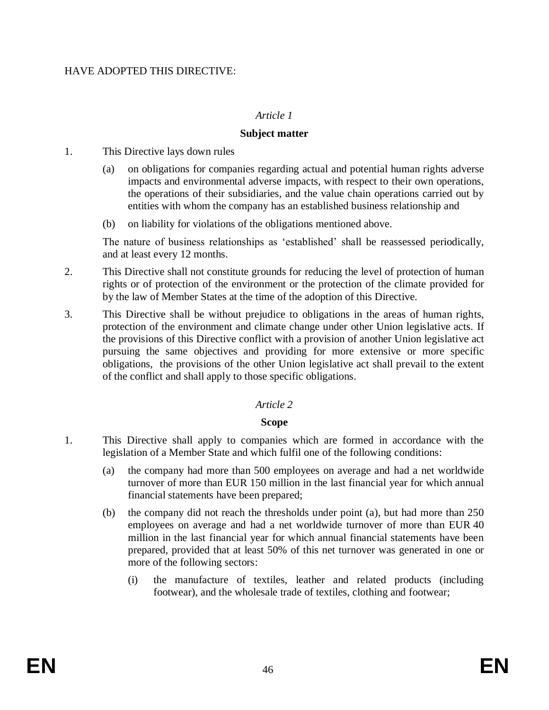### HAVE ADOPTED THIS DIRECTIVE:

#### *Article 1*

#### **Subject matter**

1. This Directive lays down rules

- (a) on obligations for companies regarding actual and potential human rights adverse impacts and environmental adverse impacts, with respect to their own operations, the operations of their subsidiaries, and the value chain operations carried out by entities with whom the company has an established business relationship and
- (b) on liability for violations of the obligations mentioned above.

The nature of business relationships as 'established' shall be reassessed periodically, and at least every 12 months.

- 2. This Directive shall not constitute grounds for reducing the level of protection of human rights or of protection of the environment or the protection of the climate provided for by the law of Member States at the time of the adoption of this Directive.
- 3. This Directive shall be without prejudice to obligations in the areas of human rights, protection of the environment and climate change under other Union legislative acts. If the provisions of this Directive conflict with a provision of another Union legislative act pursuing the same objectives and providing for more extensive or more specific obligations, the provisions of the other Union legislative act shall prevail to the extent of the conflict and shall apply to those specific obligations.

#### *Article 2*

#### **Scope**

- 1. This Directive shall apply to companies which are formed in accordance with the legislation of a Member State and which fulfil one of the following conditions:
	- (a) the company had more than 500 employees on average and had a net worldwide turnover of more than EUR 150 million in the last financial year for which annual financial statements have been prepared;
	- (b) the company did not reach the thresholds under point (a), but had more than 250 employees on average and had a net worldwide turnover of more than EUR 40 million in the last financial year for which annual financial statements have been prepared, provided that at least 50% of this net turnover was generated in one or more of the following sectors:
		- (i) the manufacture of textiles, leather and related products (including footwear), and the wholesale trade of textiles, clothing and footwear;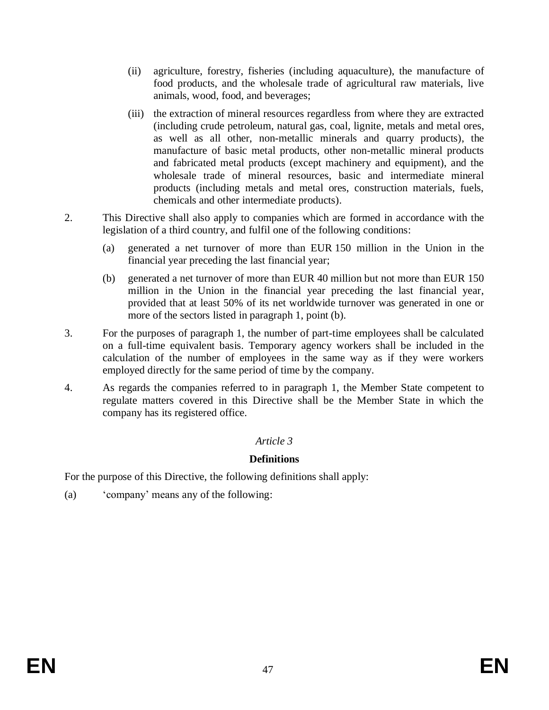- (ii) agriculture, forestry, fisheries (including aquaculture), the manufacture of food products, and the wholesale trade of agricultural raw materials, live animals, wood, food, and beverages;
- (iii) the extraction of mineral resources regardless from where they are extracted (including crude petroleum, natural gas, coal, lignite, metals and metal ores, as well as all other, non-metallic minerals and quarry products), the manufacture of basic metal products, other non-metallic mineral products and fabricated metal products (except machinery and equipment), and the wholesale trade of mineral resources, basic and intermediate mineral products (including metals and metal ores, construction materials, fuels, chemicals and other intermediate products).
- 2. This Directive shall also apply to companies which are formed in accordance with the legislation of a third country, and fulfil one of the following conditions:
	- (a) generated a net turnover of more than EUR 150 million in the Union in the financial year preceding the last financial year;
	- (b) generated a net turnover of more than EUR 40 million but not more than EUR 150 million in the Union in the financial year preceding the last financial year, provided that at least 50% of its net worldwide turnover was generated in one or more of the sectors listed in paragraph 1, point (b).
- 3. For the purposes of paragraph 1, the number of part-time employees shall be calculated on a full-time equivalent basis. Temporary agency workers shall be included in the calculation of the number of employees in the same way as if they were workers employed directly for the same period of time by the company.
- 4. As regards the companies referred to in paragraph 1, the Member State competent to regulate matters covered in this Directive shall be the Member State in which the company has its registered office.

# *Article 3*

# **Definitions**

For the purpose of this Directive, the following definitions shall apply:

(a) 'company' means any of the following: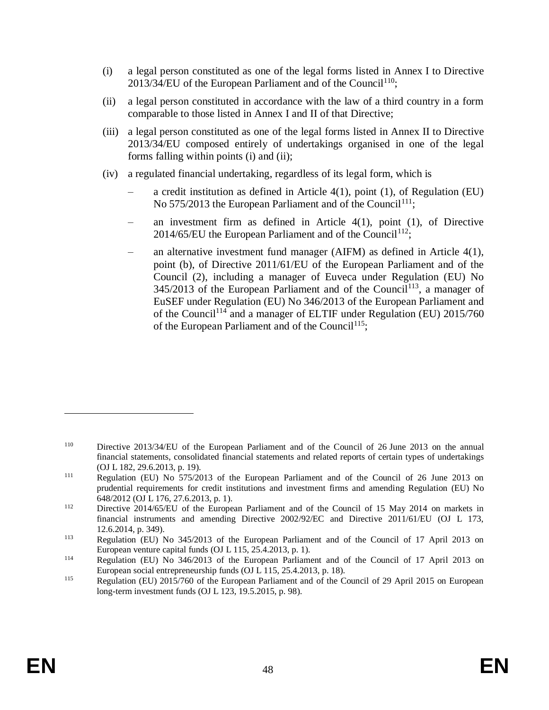- (i) a legal person constituted as one of the legal forms listed in Annex I to Directive  $2013/34$ /EU of the European Parliament and of the Council<sup>110</sup>;
- (ii) a legal person constituted in accordance with the law of a third country in a form comparable to those listed in Annex I and II of that Directive;
- (iii) a legal person constituted as one of the legal forms listed in Annex II to Directive 2013/34/EU composed entirely of undertakings organised in one of the legal forms falling within points (i) and (ii);
- (iv) a regulated financial undertaking, regardless of its legal form, which is
	- a credit institution as defined in Article  $4(1)$ , point  $(1)$ , of Regulation (EU) No  $575/2013$  the European Parliament and of the Council<sup>111</sup>;
	- an investment firm as defined in Article  $4(1)$ , point  $(1)$ , of Directive 2014/65/EU the European Parliament and of the Council<sup>112</sup>;
	- an alternative investment fund manager (AIFM) as defined in Article  $4(1)$ , point (b), of Directive 2011/61/EU of the European Parliament and of the Council (2), including a manager of Euveca under Regulation (EU) No  $345/2013$  of the European Parliament and of the Council<sup>113</sup>, a manager of EuSEF under Regulation (EU) No 346/2013 of the European Parliament and of the Council<sup>114</sup> and a manager of ELTIF under Regulation (EU) 2015/760 of the European Parliament and of the Council<sup>115</sup>;

<sup>110</sup> Directive 2013/34/EU of the European Parliament and of the Council of 26 June 2013 on the annual financial statements, consolidated financial statements and related reports of certain types of undertakings (OJ L 182, 29.6.2013, p. 19).

<sup>&</sup>lt;sup>111</sup> Regulation (EU) No 575/2013 of the European Parliament and of the Council of 26 June 2013 on prudential requirements for credit institutions and investment firms and amending Regulation (EU) No 648/2012 (OJ L 176, 27.6.2013, p. 1).

<sup>&</sup>lt;sup>112</sup> Directive 2014/65/EU of the European Parliament and of the Council of 15 May 2014 on markets in financial instruments and amending Directive 2002/92/EC and Directive 2011/61/EU (OJ L 173, 12.6.2014, p. 349).

<sup>113</sup> Regulation (EU) No 345/2013 of the European Parliament and of the Council of 17 April 2013 on European venture capital funds (OJ L 115, 25.4.2013, p. 1).

<sup>114</sup> Regulation (EU) No 346/2013 of the European Parliament and of the Council of 17 April 2013 on European social entrepreneurship funds (OJ L 115, 25.4.2013, p. 18).

<sup>115</sup> Regulation (EU) 2015/760 of the European Parliament and of the Council of 29 April 2015 on European long-term investment funds (OJ L 123, 19.5.2015, p. 98).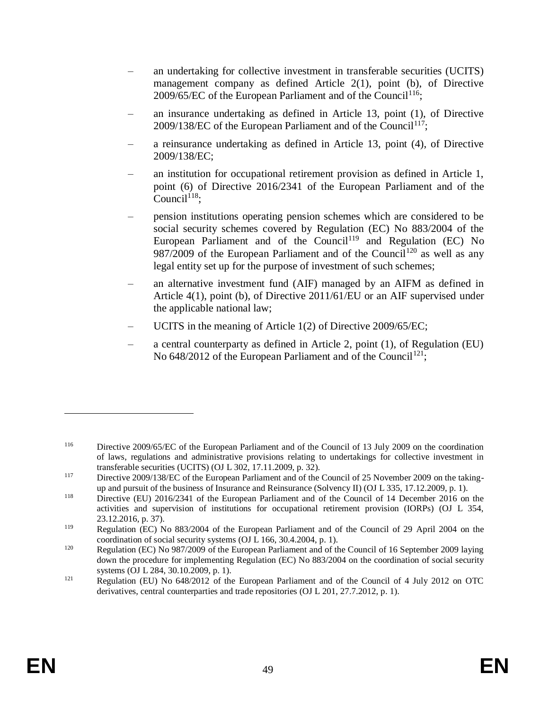- an undertaking for collective investment in transferable securities (UCITS) management company as defined Article 2(1), point (b), of Directive 2009/65/EC of the European Parliament and of the Council<sup>116</sup>;
- an insurance undertaking as defined in Article 13, point (1), of Directive 2009/138/EC of the European Parliament and of the Council<sup>117</sup>;
- a reinsurance undertaking as defined in Article 13, point (4), of Directive 2009/138/EC;
- an institution for occupational retirement provision as defined in Article 1, point (6) of Directive 2016/2341 of the European Parliament and of the Council $118$ :
- pension institutions operating pension schemes which are considered to be social security schemes covered by Regulation (EC) No 883/2004 of the European Parliament and of the Council<sup>119</sup> and Regulation (EC) No 987/2009 of the European Parliament and of the Council<sup>120</sup> as well as any legal entity set up for the purpose of investment of such schemes;
- an alternative investment fund (AIF) managed by an AIFM as defined in Article 4(1), point (b), of Directive 2011/61/EU or an AIF supervised under the applicable national law;
- UCITS in the meaning of Article 1(2) of Directive 2009/65/EC;
- a central counterparty as defined in Article 2, point (1), of Regulation (EU) No  $648/2012$  of the European Parliament and of the Council<sup>121</sup>;

<sup>116</sup> Directive 2009/65/EC of the European Parliament and of the Council of 13 July 2009 on the coordination of laws, regulations and administrative provisions relating to undertakings for collective investment in transferable securities (UCITS) (OJ L 302, 17.11.2009, p. 32).

<sup>117</sup> Directive 2009/138/EC of the European Parliament and of the Council of 25 November 2009 on the takingup and pursuit of the business of Insurance and Reinsurance (Solvency II) (OJ L 335, 17.12.2009, p. 1).

<sup>118</sup> Directive (EU) 2016/2341 of the European Parliament and of the Council of 14 December 2016 on the activities and supervision of institutions for occupational retirement provision (IORPs) (OJ L 354, 23.12.2016, p. 37).

<sup>119</sup> Regulation (EC) No 883/2004 of the European Parliament and of the Council of 29 April 2004 on the coordination of social security systems (OJ L 166, 30.4.2004, p. 1).

<sup>&</sup>lt;sup>120</sup> Regulation (EC) No 987/2009 of the European Parliament and of the Council of 16 September 2009 laying down the procedure for implementing Regulation (EC) No 883/2004 on the coordination of social security systems (OJ L 284, 30.10.2009, p. 1).

<sup>121</sup> Regulation (EU) No 648/2012 of the European Parliament and of the Council of 4 July 2012 on OTC derivatives, central counterparties and trade repositories (OJ L 201, 27.7.2012, p. 1).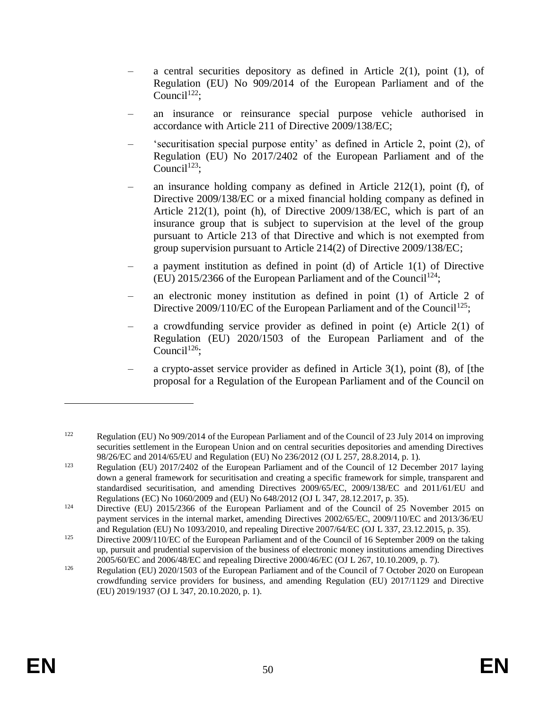- a central securities depository as defined in Article  $2(1)$ , point  $(1)$ , of Regulation (EU) No 909/2014 of the European Parliament and of the Council<sup>122</sup>;
- an insurance or reinsurance special purpose vehicle authorised in accordance with Article 211 of Directive 2009/138/EC;
- 'securitisation special purpose entity' as defined in Article 2, point (2), of Regulation (EU) No 2017/2402 of the European Parliament and of the Council<sup>123</sup>;
- an insurance holding company as defined in Article  $212(1)$ , point (f), of Directive 2009/138/EC or a mixed financial holding company as defined in Article 212(1), point (h), of Directive 2009/138/EC, which is part of an insurance group that is subject to supervision at the level of the group pursuant to Article 213 of that Directive and which is not exempted from group supervision pursuant to Article 214(2) of Directive 2009/138/EC;
- a payment institution as defined in point (d) of Article  $1(1)$  of Directive (EU) 2015/2366 of the European Parliament and of the Council<sup>124</sup>;
- an electronic money institution as defined in point (1) of Article 2 of Directive 2009/110/EC of the European Parliament and of the Council<sup>125</sup>;
- a crowdfunding service provider as defined in point (e) Article 2(1) of Regulation (EU) 2020/1503 of the European Parliament and of the Council<sup>126</sup>;
- a crypto-asset service provider as defined in Article  $3(1)$ , point  $(8)$ , of [the proposal for a Regulation of the European Parliament and of the Council on

<sup>122</sup> Regulation (EU) No 909/2014 of the European Parliament and of the Council of 23 July 2014 on improving securities settlement in the European Union and on central securities depositories and amending Directives 98/26/EC and 2014/65/EU and Regulation (EU) No 236/2012 (OJ L 257, 28.8.2014, p. 1).

<sup>123</sup> Regulation (EU) 2017/2402 of the European Parliament and of the Council of 12 December 2017 laying down a general framework for securitisation and creating a specific framework for simple, transparent and standardised securitisation, and amending Directives 2009/65/EC, 2009/138/EC and 2011/61/EU and Regulations (EC) No 1060/2009 and (EU) No 648/2012 (OJ L 347, 28.12.2017, p. 35).

<sup>&</sup>lt;sup>124</sup> Directive (EU) 2015/2366 of the European Parliament and of the Council of 25 November 2015 on payment services in the internal market, amending Directives 2002/65/EC, 2009/110/EC and 2013/36/EU and Regulation (EU) No 1093/2010, and repealing Directive 2007/64/EC (OJ L 337, 23.12.2015, p. 35).

<sup>&</sup>lt;sup>125</sup> Directive 2009/110/EC of the European Parliament and of the Council of 16 September 2009 on the taking up, pursuit and prudential supervision of the business of electronic money institutions amending Directives 2005/60/EC and 2006/48/EC and repealing Directive 2000/46/EC (OJ L 267, 10.10.2009, p. 7).

<sup>&</sup>lt;sup>126</sup> Regulation (EU) 2020/1503 of the European Parliament and of the Council of 7 October 2020 on European crowdfunding service providers for business, and amending Regulation (EU) 2017/1129 and Directive (EU) 2019/1937 (OJ L 347, 20.10.2020, p. 1).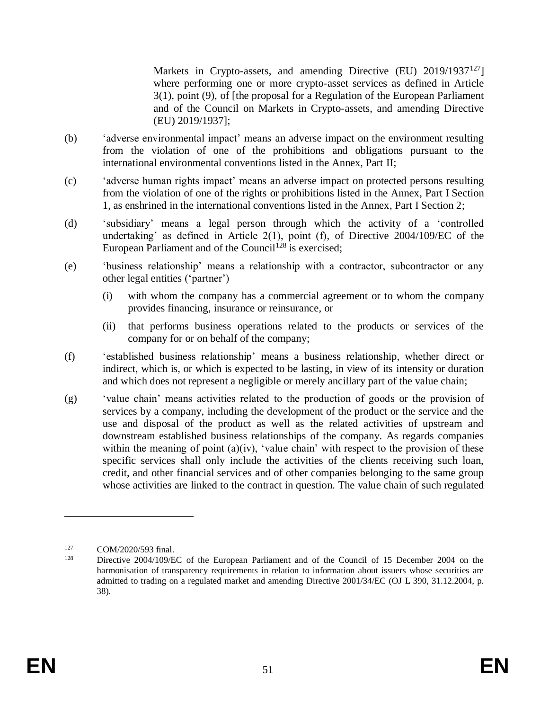Markets in Crypto-assets, and amending Directive (EU) 2019/1937<sup>127</sup>] where performing one or more crypto-asset services as defined in Article 3(1), point (9), of [the proposal for a Regulation of the European Parliament and of the Council on Markets in Crypto-assets, and amending Directive (EU) 2019/1937];

- (b) 'adverse environmental impact' means an adverse impact on the environment resulting from the violation of one of the prohibitions and obligations pursuant to the international environmental conventions listed in the Annex, Part II;
- (c) 'adverse human rights impact' means an adverse impact on protected persons resulting from the violation of one of the rights or prohibitions listed in the Annex, Part I Section 1, as enshrined in the international conventions listed in the Annex, Part I Section 2;
- (d) 'subsidiary' means a legal person through which the activity of a 'controlled undertaking' as defined in Article 2(1), point (f), of Directive 2004/109/EC of the European Parliament and of the Council<sup>128</sup> is exercised:
- (e) 'business relationship' means a relationship with a contractor, subcontractor or any other legal entities ('partner')
	- (i) with whom the company has a commercial agreement or to whom the company provides financing, insurance or reinsurance, or
	- (ii) that performs business operations related to the products or services of the company for or on behalf of the company;
- (f) 'established business relationship' means a business relationship, whether direct or indirect, which is, or which is expected to be lasting, in view of its intensity or duration and which does not represent a negligible or merely ancillary part of the value chain;
- (g) 'value chain' means activities related to the production of goods or the provision of services by a company, including the development of the product or the service and the use and disposal of the product as well as the related activities of upstream and downstream established business relationships of the company. As regards companies within the meaning of point  $(a)(iv)$ , 'value chain' with respect to the provision of these specific services shall only include the activities of the clients receiving such loan, credit, and other financial services and of other companies belonging to the same group whose activities are linked to the contract in question. The value chain of such regulated

<sup>&</sup>lt;sup>127</sup> COM/2020/593 final.<br><sup>128</sup> Directive 2004/100/E

Directive 2004/109/EC of the European Parliament and of the Council of 15 December 2004 on the harmonisation of transparency requirements in relation to information about issuers whose securities are admitted to trading on a regulated market and amending Directive 2001/34/EC (OJ L 390, 31.12.2004, p. 38).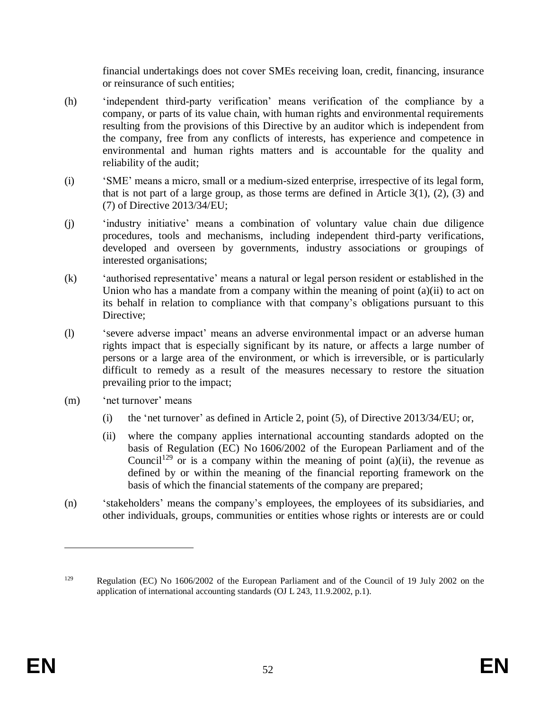financial undertakings does not cover SMEs receiving loan, credit, financing, insurance or reinsurance of such entities;

- (h) 'independent third-party verification' means verification of the compliance by a company, or parts of its value chain, with human rights and environmental requirements resulting from the provisions of this Directive by an auditor which is independent from the company, free from any conflicts of interests, has experience and competence in environmental and human rights matters and is accountable for the quality and reliability of the audit;
- (i) 'SME' means a micro, small or a medium-sized enterprise, irrespective of its legal form, that is not part of a large group, as those terms are defined in Article  $3(1)$ ,  $(2)$ ,  $(3)$  and (7) of Directive 2013/34/EU;
- (j) 'industry initiative' means a combination of voluntary value chain due diligence procedures, tools and mechanisms, including independent third-party verifications, developed and overseen by governments, industry associations or groupings of interested organisations;
- (k) 'authorised representative' means a natural or legal person resident or established in the Union who has a mandate from a company within the meaning of point (a)(ii) to act on its behalf in relation to compliance with that company's obligations pursuant to this Directive;
- (l) 'severe adverse impact' means an adverse environmental impact or an adverse human rights impact that is especially significant by its nature, or affects a large number of persons or a large area of the environment, or which is irreversible, or is particularly difficult to remedy as a result of the measures necessary to restore the situation prevailing prior to the impact;
- (m) 'net turnover' means
	- (i) the 'net turnover' as defined in Article 2, point (5), of Directive 2013/34/EU; or,
	- (ii) where the company applies international accounting standards adopted on the basis of Regulation (EC) No 1606/2002 of the European Parliament and of the Council<sup>129</sup> or is a company within the meaning of point (a)(ii), the revenue as defined by or within the meaning of the financial reporting framework on the basis of which the financial statements of the company are prepared;
- (n) 'stakeholders' means the company's employees, the employees of its subsidiaries, and other individuals, groups, communities or entities whose rights or interests are or could

<sup>129</sup> Regulation (EC) No 1606/2002 of the European Parliament and of the Council of 19 July 2002 on the application of international accounting standards (OJ L 243, 11.9.2002, p.1).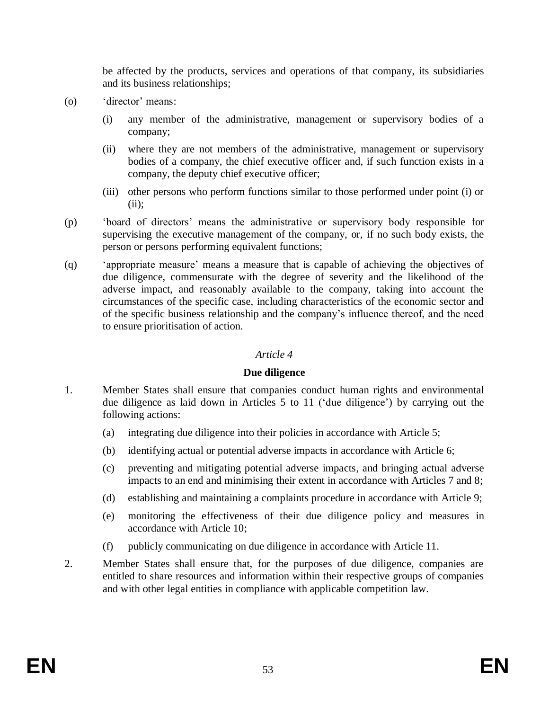be affected by the products, services and operations of that company, its subsidiaries and its business relationships;

- (o) 'director' means:
	- (i) any member of the administrative, management or supervisory bodies of a company;
	- (ii) where they are not members of the administrative, management or supervisory bodies of a company, the chief executive officer and, if such function exists in a company, the deputy chief executive officer;
	- (iii) other persons who perform functions similar to those performed under point (i) or  $(ii):$
- (p) 'board of directors' means the administrative or supervisory body responsible for supervising the executive management of the company, or, if no such body exists, the person or persons performing equivalent functions;
- (q) 'appropriate measure' means a measure that is capable of achieving the objectives of due diligence, commensurate with the degree of severity and the likelihood of the adverse impact, and reasonably available to the company, taking into account the circumstances of the specific case, including characteristics of the economic sector and of the specific business relationship and the company's influence thereof, and the need to ensure prioritisation of action.

### *Article 4*

#### **Due diligence**

- 1. Member States shall ensure that companies conduct human rights and environmental due diligence as laid down in Articles 5 to 11 ('due diligence') by carrying out the following actions:
	- (a) integrating due diligence into their policies in accordance with Article 5;
	- (b) identifying actual or potential adverse impacts in accordance with Article 6;
	- (c) preventing and mitigating potential adverse impacts, and bringing actual adverse impacts to an end and minimising their extent in accordance with Articles 7 and 8;
	- (d) establishing and maintaining a complaints procedure in accordance with Article 9;
	- (e) monitoring the effectiveness of their due diligence policy and measures in accordance with Article 10;
	- (f) publicly communicating on due diligence in accordance with Article 11.
- 2. Member States shall ensure that, for the purposes of due diligence, companies are entitled to share resources and information within their respective groups of companies and with other legal entities in compliance with applicable competition law.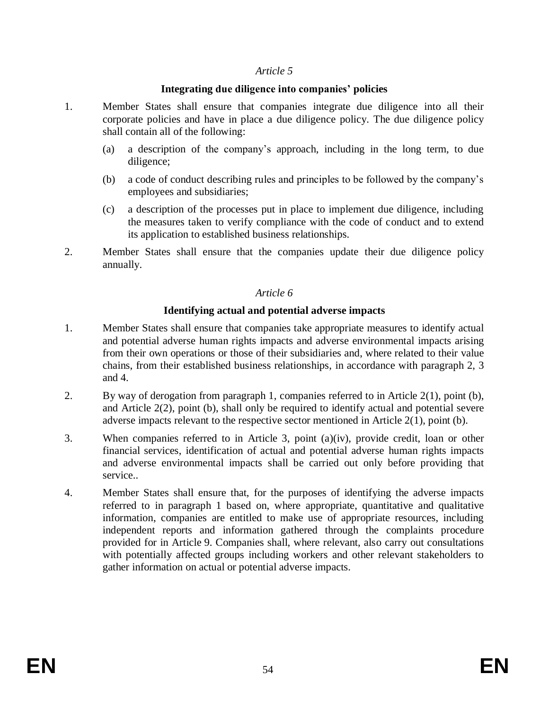#### *Article 5*

#### **Integrating due diligence into companies' policies**

- 1. Member States shall ensure that companies integrate due diligence into all their corporate policies and have in place a due diligence policy. The due diligence policy shall contain all of the following:
	- (a) a description of the company's approach, including in the long term, to due diligence;
	- (b) a code of conduct describing rules and principles to be followed by the company's employees and subsidiaries;
	- (c) a description of the processes put in place to implement due diligence, including the measures taken to verify compliance with the code of conduct and to extend its application to established business relationships.
- 2. Member States shall ensure that the companies update their due diligence policy annually.

#### *Article 6*

#### **Identifying actual and potential adverse impacts**

- 1. Member States shall ensure that companies take appropriate measures to identify actual and potential adverse human rights impacts and adverse environmental impacts arising from their own operations or those of their subsidiaries and, where related to their value chains, from their established business relationships, in accordance with paragraph 2, 3 and 4.
- 2. By way of derogation from paragraph 1, companies referred to in Article 2(1), point (b), and Article 2(2), point (b), shall only be required to identify actual and potential severe adverse impacts relevant to the respective sector mentioned in Article 2(1), point (b).
- 3. When companies referred to in Article 3, point (a)(iv), provide credit, loan or other financial services, identification of actual and potential adverse human rights impacts and adverse environmental impacts shall be carried out only before providing that service..
- 4. Member States shall ensure that, for the purposes of identifying the adverse impacts referred to in paragraph 1 based on, where appropriate, quantitative and qualitative information, companies are entitled to make use of appropriate resources, including independent reports and information gathered through the complaints procedure provided for in Article 9. Companies shall, where relevant, also carry out consultations with potentially affected groups including workers and other relevant stakeholders to gather information on actual or potential adverse impacts.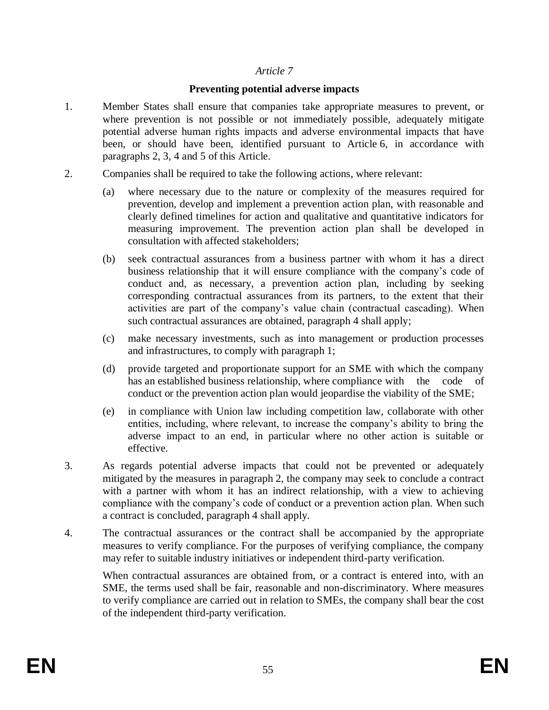### *Article 7*

### **Preventing potential adverse impacts**

- 1. Member States shall ensure that companies take appropriate measures to prevent, or where prevention is not possible or not immediately possible, adequately mitigate potential adverse human rights impacts and adverse environmental impacts that have been, or should have been, identified pursuant to Article 6, in accordance with paragraphs 2, 3, 4 and 5 of this Article.
- 2. Companies shall be required to take the following actions, where relevant:
	- (a) where necessary due to the nature or complexity of the measures required for prevention, develop and implement a prevention action plan, with reasonable and clearly defined timelines for action and qualitative and quantitative indicators for measuring improvement. The prevention action plan shall be developed in consultation with affected stakeholders;
	- (b) seek contractual assurances from a business partner with whom it has a direct business relationship that it will ensure compliance with the company's code of conduct and, as necessary, a prevention action plan, including by seeking corresponding contractual assurances from its partners, to the extent that their activities are part of the company's value chain (contractual cascading). When such contractual assurances are obtained, paragraph 4 shall apply;
	- (c) make necessary investments, such as into management or production processes and infrastructures, to comply with paragraph 1;
	- (d) provide targeted and proportionate support for an SME with which the company has an established business relationship, where compliance with the code of conduct or the prevention action plan would jeopardise the viability of the SME;
	- (e) in compliance with Union law including competition law, collaborate with other entities, including, where relevant, to increase the company's ability to bring the adverse impact to an end, in particular where no other action is suitable or effective.
- 3. As regards potential adverse impacts that could not be prevented or adequately mitigated by the measures in paragraph 2, the company may seek to conclude a contract with a partner with whom it has an indirect relationship, with a view to achieving compliance with the company's code of conduct or a prevention action plan. When such a contract is concluded, paragraph 4 shall apply.
- 4. The contractual assurances or the contract shall be accompanied by the appropriate measures to verify compliance. For the purposes of verifying compliance, the company may refer to suitable industry initiatives or independent third-party verification.

When contractual assurances are obtained from, or a contract is entered into, with an SME, the terms used shall be fair, reasonable and non-discriminatory. Where measures to verify compliance are carried out in relation to SMEs, the company shall bear the cost of the independent third-party verification.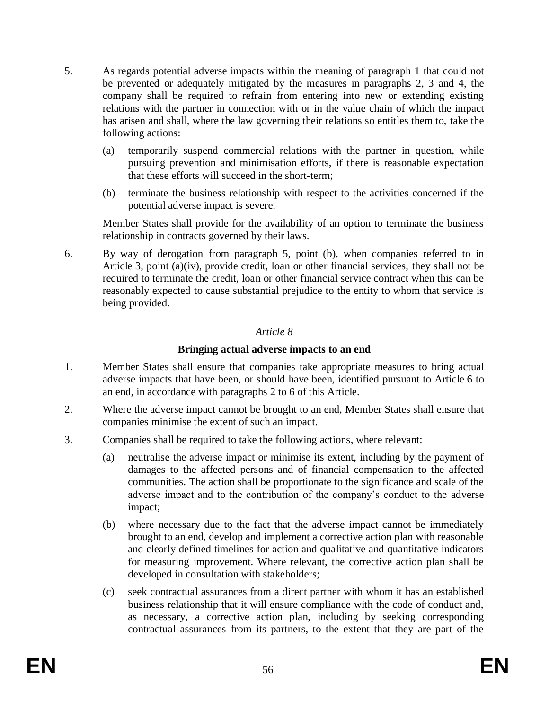- 5. As regards potential adverse impacts within the meaning of paragraph 1 that could not be prevented or adequately mitigated by the measures in paragraphs 2, 3 and 4, the company shall be required to refrain from entering into new or extending existing relations with the partner in connection with or in the value chain of which the impact has arisen and shall, where the law governing their relations so entitles them to, take the following actions:
	- (a) temporarily suspend commercial relations with the partner in question, while pursuing prevention and minimisation efforts, if there is reasonable expectation that these efforts will succeed in the short-term;
	- (b) terminate the business relationship with respect to the activities concerned if the potential adverse impact is severe.

Member States shall provide for the availability of an option to terminate the business relationship in contracts governed by their laws.

6. By way of derogation from paragraph 5, point (b), when companies referred to in Article 3, point (a)(iv), provide credit, loan or other financial services, they shall not be required to terminate the credit, loan or other financial service contract when this can be reasonably expected to cause substantial prejudice to the entity to whom that service is being provided.

# *Article 8*

# **Bringing actual adverse impacts to an end**

- 1. Member States shall ensure that companies take appropriate measures to bring actual adverse impacts that have been, or should have been, identified pursuant to Article 6 to an end, in accordance with paragraphs 2 to 6 of this Article.
- 2. Where the adverse impact cannot be brought to an end, Member States shall ensure that companies minimise the extent of such an impact.
- 3. Companies shall be required to take the following actions, where relevant:
	- (a) neutralise the adverse impact or minimise its extent, including by the payment of damages to the affected persons and of financial compensation to the affected communities. The action shall be proportionate to the significance and scale of the adverse impact and to the contribution of the company's conduct to the adverse impact;
	- (b) where necessary due to the fact that the adverse impact cannot be immediately brought to an end, develop and implement a corrective action plan with reasonable and clearly defined timelines for action and qualitative and quantitative indicators for measuring improvement. Where relevant, the corrective action plan shall be developed in consultation with stakeholders;
	- (c) seek contractual assurances from a direct partner with whom it has an established business relationship that it will ensure compliance with the code of conduct and, as necessary, a corrective action plan, including by seeking corresponding contractual assurances from its partners, to the extent that they are part of the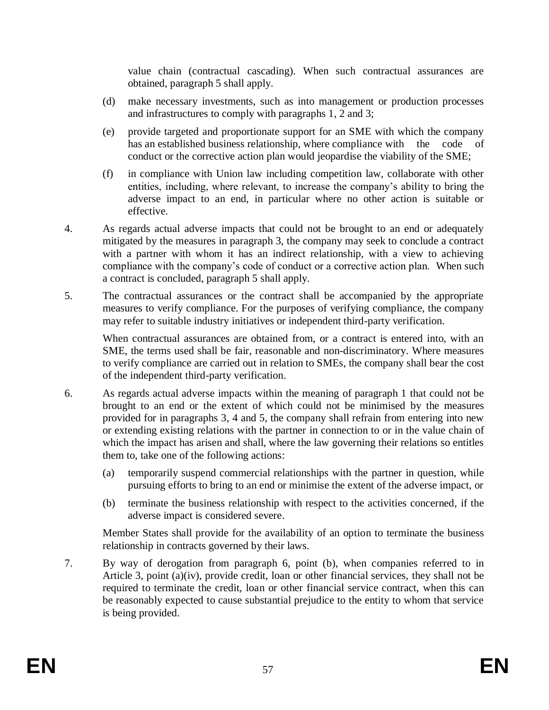value chain (contractual cascading). When such contractual assurances are obtained, paragraph 5 shall apply.

- (d) make necessary investments, such as into management or production processes and infrastructures to comply with paragraphs 1, 2 and 3;
- (e) provide targeted and proportionate support for an SME with which the company has an established business relationship, where compliance with the code of conduct or the corrective action plan would jeopardise the viability of the SME;
- (f) in compliance with Union law including competition law, collaborate with other entities, including, where relevant, to increase the company's ability to bring the adverse impact to an end, in particular where no other action is suitable or effective.
- 4. As regards actual adverse impacts that could not be brought to an end or adequately mitigated by the measures in paragraph 3, the company may seek to conclude a contract with a partner with whom it has an indirect relationship, with a view to achieving compliance with the company's code of conduct or a corrective action plan. When such a contract is concluded, paragraph 5 shall apply.
- 5. The contractual assurances or the contract shall be accompanied by the appropriate measures to verify compliance. For the purposes of verifying compliance, the company may refer to suitable industry initiatives or independent third-party verification.

When contractual assurances are obtained from, or a contract is entered into, with an SME, the terms used shall be fair, reasonable and non-discriminatory. Where measures to verify compliance are carried out in relation to SMEs, the company shall bear the cost of the independent third-party verification.

- 6. As regards actual adverse impacts within the meaning of paragraph 1 that could not be brought to an end or the extent of which could not be minimised by the measures provided for in paragraphs 3, 4 and 5, the company shall refrain from entering into new or extending existing relations with the partner in connection to or in the value chain of which the impact has arisen and shall, where the law governing their relations so entitles them to, take one of the following actions:
	- (a) temporarily suspend commercial relationships with the partner in question, while pursuing efforts to bring to an end or minimise the extent of the adverse impact, or
	- (b) terminate the business relationship with respect to the activities concerned, if the adverse impact is considered severe.

Member States shall provide for the availability of an option to terminate the business relationship in contracts governed by their laws.

7. By way of derogation from paragraph 6, point (b), when companies referred to in Article 3, point (a)(iv), provide credit, loan or other financial services, they shall not be required to terminate the credit, loan or other financial service contract, when this can be reasonably expected to cause substantial prejudice to the entity to whom that service is being provided.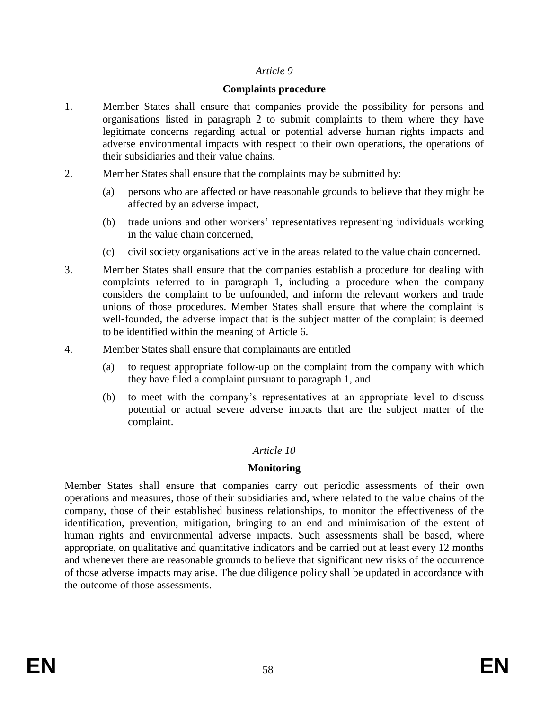#### *Article 9*

#### **Complaints procedure**

- 1. Member States shall ensure that companies provide the possibility for persons and organisations listed in paragraph 2 to submit complaints to them where they have legitimate concerns regarding actual or potential adverse human rights impacts and adverse environmental impacts with respect to their own operations, the operations of their subsidiaries and their value chains.
- 2. Member States shall ensure that the complaints may be submitted by:
	- (a) persons who are affected or have reasonable grounds to believe that they might be affected by an adverse impact,
	- (b) trade unions and other workers' representatives representing individuals working in the value chain concerned,
	- (c) civil society organisations active in the areas related to the value chain concerned.
- 3. Member States shall ensure that the companies establish a procedure for dealing with complaints referred to in paragraph 1, including a procedure when the company considers the complaint to be unfounded, and inform the relevant workers and trade unions of those procedures. Member States shall ensure that where the complaint is well-founded, the adverse impact that is the subject matter of the complaint is deemed to be identified within the meaning of Article 6.
- 4. Member States shall ensure that complainants are entitled
	- (a) to request appropriate follow-up on the complaint from the company with which they have filed a complaint pursuant to paragraph 1, and
	- (b) to meet with the company's representatives at an appropriate level to discuss potential or actual severe adverse impacts that are the subject matter of the complaint.

#### *Article 10*

#### **Monitoring**

Member States shall ensure that companies carry out periodic assessments of their own operations and measures, those of their subsidiaries and, where related to the value chains of the company, those of their established business relationships, to monitor the effectiveness of the identification, prevention, mitigation, bringing to an end and minimisation of the extent of human rights and environmental adverse impacts. Such assessments shall be based, where appropriate, on qualitative and quantitative indicators and be carried out at least every 12 months and whenever there are reasonable grounds to believe that significant new risks of the occurrence of those adverse impacts may arise. The due diligence policy shall be updated in accordance with the outcome of those assessments.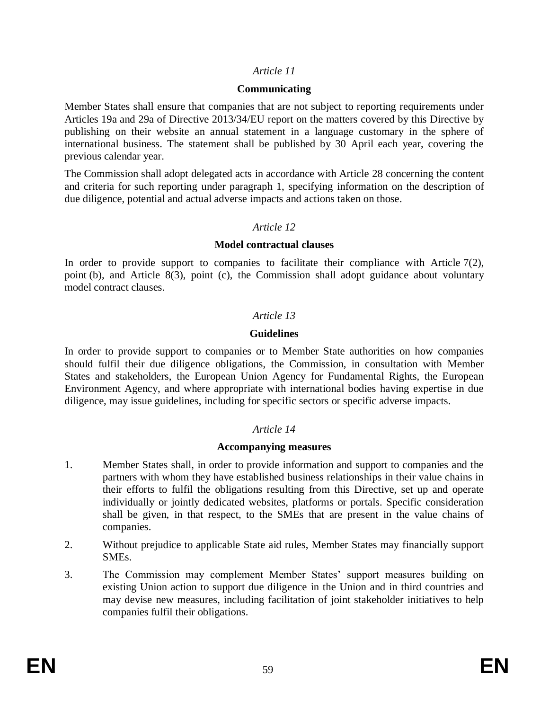#### *Article 11*

#### **Communicating**

Member States shall ensure that companies that are not subject to reporting requirements under Articles 19a and 29a of Directive 2013/34/EU report on the matters covered by this Directive by publishing on their website an annual statement in a language customary in the sphere of international business. The statement shall be published by 30 April each year, covering the previous calendar year.

The Commission shall adopt delegated acts in accordance with Article 28 concerning the content and criteria for such reporting under paragraph 1, specifying information on the description of due diligence, potential and actual adverse impacts and actions taken on those.

#### *Article 12*

#### **Model contractual clauses**

In order to provide support to companies to facilitate their compliance with Article  $7(2)$ , point (b), and Article 8(3), point (c), the Commission shall adopt guidance about voluntary model contract clauses.

### *Article 13*

#### **Guidelines**

In order to provide support to companies or to Member State authorities on how companies should fulfil their due diligence obligations, the Commission, in consultation with Member States and stakeholders, the European Union Agency for Fundamental Rights, the European Environment Agency, and where appropriate with international bodies having expertise in due diligence, may issue guidelines, including for specific sectors or specific adverse impacts.

# *Article 14*

#### **Accompanying measures**

- 1. Member States shall, in order to provide information and support to companies and the partners with whom they have established business relationships in their value chains in their efforts to fulfil the obligations resulting from this Directive, set up and operate individually or jointly dedicated websites, platforms or portals. Specific consideration shall be given, in that respect, to the SMEs that are present in the value chains of companies.
- 2. Without prejudice to applicable State aid rules, Member States may financially support SMEs.
- 3. The Commission may complement Member States' support measures building on existing Union action to support due diligence in the Union and in third countries and may devise new measures, including facilitation of joint stakeholder initiatives to help companies fulfil their obligations.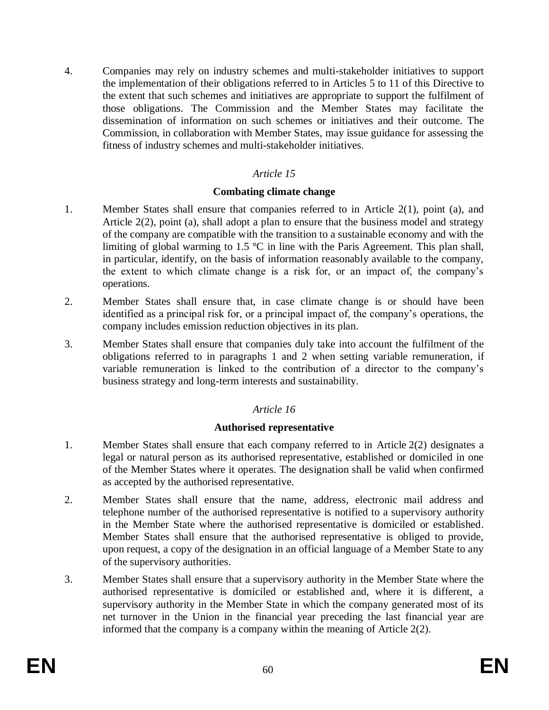4. Companies may rely on industry schemes and multi-stakeholder initiatives to support the implementation of their obligations referred to in Articles 5 to 11 of this Directive to the extent that such schemes and initiatives are appropriate to support the fulfilment of those obligations. The Commission and the Member States may facilitate the dissemination of information on such schemes or initiatives and their outcome. The Commission, in collaboration with Member States, may issue guidance for assessing the fitness of industry schemes and multi-stakeholder initiatives.

### *Article 15*

#### **Combating climate change**

- 1. Member States shall ensure that companies referred to in Article 2(1), point (a), and Article 2(2), point (a), shall adopt a plan to ensure that the business model and strategy of the company are compatible with the transition to a sustainable economy and with the limiting of global warming to 1.5 °C in line with the Paris Agreement. This plan shall, in particular, identify, on the basis of information reasonably available to the company, the extent to which climate change is a risk for, or an impact of, the company's operations.
- 2. Member States shall ensure that, in case climate change is or should have been identified as a principal risk for, or a principal impact of, the company's operations, the company includes emission reduction objectives in its plan.
- 3. Member States shall ensure that companies duly take into account the fulfilment of the obligations referred to in paragraphs 1 and 2 when setting variable remuneration, if variable remuneration is linked to the contribution of a director to the company's business strategy and long-term interests and sustainability.

# *Article 16*

#### **Authorised representative**

- 1. Member States shall ensure that each company referred to in Article 2(2) designates a legal or natural person as its authorised representative, established or domiciled in one of the Member States where it operates. The designation shall be valid when confirmed as accepted by the authorised representative.
- 2. Member States shall ensure that the name, address, electronic mail address and telephone number of the authorised representative is notified to a supervisory authority in the Member State where the authorised representative is domiciled or established. Member States shall ensure that the authorised representative is obliged to provide, upon request, a copy of the designation in an official language of a Member State to any of the supervisory authorities.
- 3. Member States shall ensure that a supervisory authority in the Member State where the authorised representative is domiciled or established and, where it is different, a supervisory authority in the Member State in which the company generated most of its net turnover in the Union in the financial year preceding the last financial year are informed that the company is a company within the meaning of Article 2(2).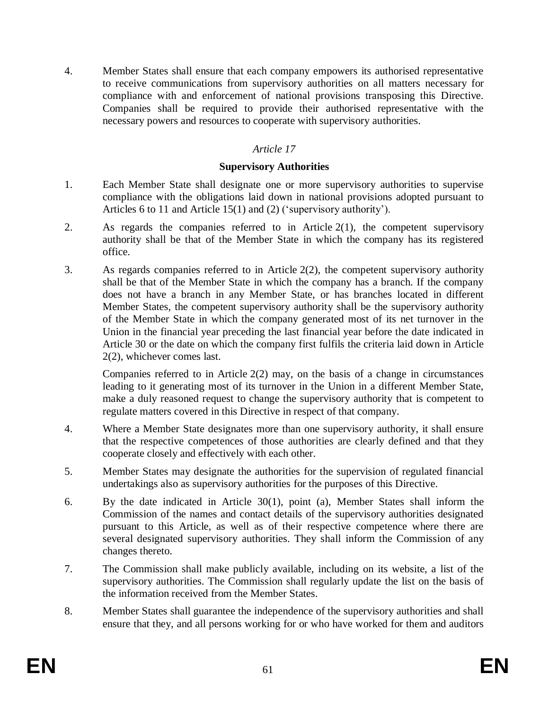4. Member States shall ensure that each company empowers its authorised representative to receive communications from supervisory authorities on all matters necessary for compliance with and enforcement of national provisions transposing this Directive. Companies shall be required to provide their authorised representative with the necessary powers and resources to cooperate with supervisory authorities.

# *Article 17*

### **Supervisory Authorities**

- 1. Each Member State shall designate one or more supervisory authorities to supervise compliance with the obligations laid down in national provisions adopted pursuant to Articles 6 to 11 and Article 15(1) and (2) ('supervisory authority').
- 2. As regards the companies referred to in Article 2(1), the competent supervisory authority shall be that of the Member State in which the company has its registered office.
- 3. As regards companies referred to in Article 2(2), the competent supervisory authority shall be that of the Member State in which the company has a branch. If the company does not have a branch in any Member State, or has branches located in different Member States, the competent supervisory authority shall be the supervisory authority of the Member State in which the company generated most of its net turnover in the Union in the financial year preceding the last financial year before the date indicated in Article 30 or the date on which the company first fulfils the criteria laid down in Article 2(2), whichever comes last.

Companies referred to in Article 2(2) may, on the basis of a change in circumstances leading to it generating most of its turnover in the Union in a different Member State, make a duly reasoned request to change the supervisory authority that is competent to regulate matters covered in this Directive in respect of that company.

- 4. Where a Member State designates more than one supervisory authority, it shall ensure that the respective competences of those authorities are clearly defined and that they cooperate closely and effectively with each other.
- 5. Member States may designate the authorities for the supervision of regulated financial undertakings also as supervisory authorities for the purposes of this Directive.
- 6. By the date indicated in Article 30(1), point (a), Member States shall inform the Commission of the names and contact details of the supervisory authorities designated pursuant to this Article, as well as of their respective competence where there are several designated supervisory authorities. They shall inform the Commission of any changes thereto.
- 7. The Commission shall make publicly available, including on its website, a list of the supervisory authorities. The Commission shall regularly update the list on the basis of the information received from the Member States.
- 8. Member States shall guarantee the independence of the supervisory authorities and shall ensure that they, and all persons working for or who have worked for them and auditors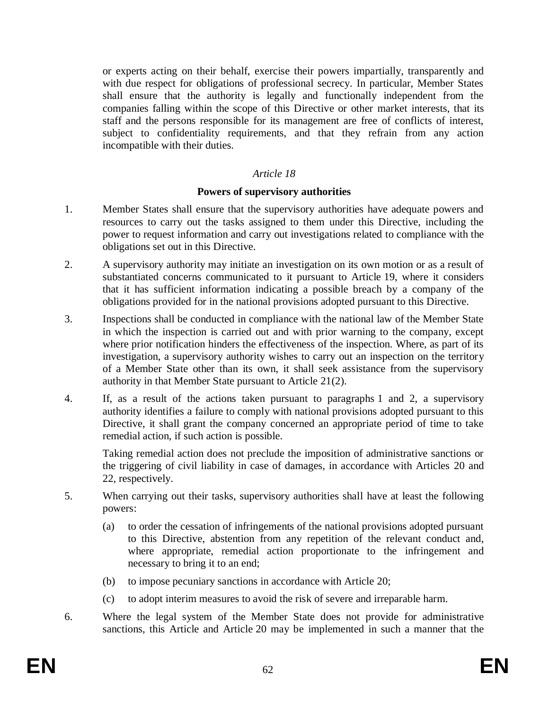or experts acting on their behalf, exercise their powers impartially, transparently and with due respect for obligations of professional secrecy. In particular, Member States shall ensure that the authority is legally and functionally independent from the companies falling within the scope of this Directive or other market interests, that its staff and the persons responsible for its management are free of conflicts of interest, subject to confidentiality requirements, and that they refrain from any action incompatible with their duties.

### *Article 18*

#### **Powers of supervisory authorities**

- 1. Member States shall ensure that the supervisory authorities have adequate powers and resources to carry out the tasks assigned to them under this Directive, including the power to request information and carry out investigations related to compliance with the obligations set out in this Directive.
- 2. A supervisory authority may initiate an investigation on its own motion or as a result of substantiated concerns communicated to it pursuant to Article 19, where it considers that it has sufficient information indicating a possible breach by a company of the obligations provided for in the national provisions adopted pursuant to this Directive.
- 3. Inspections shall be conducted in compliance with the national law of the Member State in which the inspection is carried out and with prior warning to the company, except where prior notification hinders the effectiveness of the inspection. Where, as part of its investigation, a supervisory authority wishes to carry out an inspection on the territory of a Member State other than its own, it shall seek assistance from the supervisory authority in that Member State pursuant to Article 21(2).
- 4. If, as a result of the actions taken pursuant to paragraphs 1 and 2, a supervisory authority identifies a failure to comply with national provisions adopted pursuant to this Directive, it shall grant the company concerned an appropriate period of time to take remedial action, if such action is possible.

Taking remedial action does not preclude the imposition of administrative sanctions or the triggering of civil liability in case of damages, in accordance with Articles 20 and 22, respectively.

- 5. When carrying out their tasks, supervisory authorities shall have at least the following powers:
	- (a) to order the cessation of infringements of the national provisions adopted pursuant to this Directive, abstention from any repetition of the relevant conduct and, where appropriate, remedial action proportionate to the infringement and necessary to bring it to an end;
	- (b) to impose pecuniary sanctions in accordance with Article 20;
	- (c) to adopt interim measures to avoid the risk of severe and irreparable harm.
- 6. Where the legal system of the Member State does not provide for administrative sanctions, this Article and Article 20 may be implemented in such a manner that the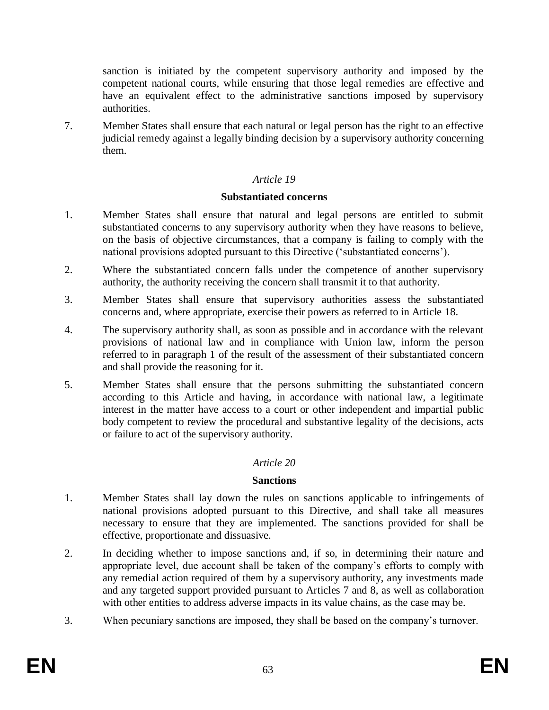sanction is initiated by the competent supervisory authority and imposed by the competent national courts, while ensuring that those legal remedies are effective and have an equivalent effect to the administrative sanctions imposed by supervisory authorities.

7. Member States shall ensure that each natural or legal person has the right to an effective judicial remedy against a legally binding decision by a supervisory authority concerning them.

### *Article 19*

#### **Substantiated concerns**

- 1. Member States shall ensure that natural and legal persons are entitled to submit substantiated concerns to any supervisory authority when they have reasons to believe, on the basis of objective circumstances, that a company is failing to comply with the national provisions adopted pursuant to this Directive ('substantiated concerns').
- 2. Where the substantiated concern falls under the competence of another supervisory authority, the authority receiving the concern shall transmit it to that authority.
- 3. Member States shall ensure that supervisory authorities assess the substantiated concerns and, where appropriate, exercise their powers as referred to in Article 18.
- 4. The supervisory authority shall, as soon as possible and in accordance with the relevant provisions of national law and in compliance with Union law, inform the person referred to in paragraph 1 of the result of the assessment of their substantiated concern and shall provide the reasoning for it.
- 5. Member States shall ensure that the persons submitting the substantiated concern according to this Article and having, in accordance with national law, a legitimate interest in the matter have access to a court or other independent and impartial public body competent to review the procedural and substantive legality of the decisions, acts or failure to act of the supervisory authority.

# *Article 20*

#### **Sanctions**

- 1. Member States shall lay down the rules on sanctions applicable to infringements of national provisions adopted pursuant to this Directive, and shall take all measures necessary to ensure that they are implemented. The sanctions provided for shall be effective, proportionate and dissuasive.
- 2. In deciding whether to impose sanctions and, if so, in determining their nature and appropriate level, due account shall be taken of the company's efforts to comply with any remedial action required of them by a supervisory authority, any investments made and any targeted support provided pursuant to Articles 7 and 8, as well as collaboration with other entities to address adverse impacts in its value chains, as the case may be.
- 3. When pecuniary sanctions are imposed, they shall be based on the company's turnover.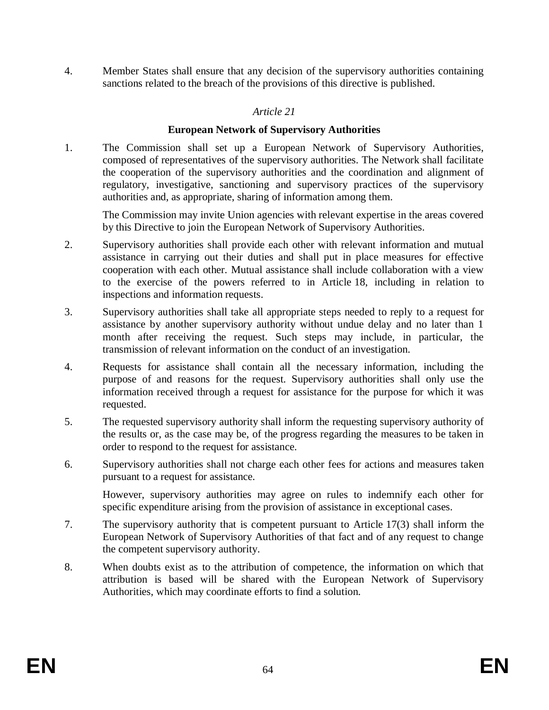4. Member States shall ensure that any decision of the supervisory authorities containing sanctions related to the breach of the provisions of this directive is published.

### *Article 21*

#### **European Network of Supervisory Authorities**

1. The Commission shall set up a European Network of Supervisory Authorities, composed of representatives of the supervisory authorities. The Network shall facilitate the cooperation of the supervisory authorities and the coordination and alignment of regulatory, investigative, sanctioning and supervisory practices of the supervisory authorities and, as appropriate, sharing of information among them.

The Commission may invite Union agencies with relevant expertise in the areas covered by this Directive to join the European Network of Supervisory Authorities.

- 2. Supervisory authorities shall provide each other with relevant information and mutual assistance in carrying out their duties and shall put in place measures for effective cooperation with each other. Mutual assistance shall include collaboration with a view to the exercise of the powers referred to in Article 18, including in relation to inspections and information requests.
- 3. Supervisory authorities shall take all appropriate steps needed to reply to a request for assistance by another supervisory authority without undue delay and no later than 1 month after receiving the request. Such steps may include, in particular, the transmission of relevant information on the conduct of an investigation.
- 4. Requests for assistance shall contain all the necessary information, including the purpose of and reasons for the request. Supervisory authorities shall only use the information received through a request for assistance for the purpose for which it was requested.
- 5. The requested supervisory authority shall inform the requesting supervisory authority of the results or, as the case may be, of the progress regarding the measures to be taken in order to respond to the request for assistance.
- 6. Supervisory authorities shall not charge each other fees for actions and measures taken pursuant to a request for assistance.

However, supervisory authorities may agree on rules to indemnify each other for specific expenditure arising from the provision of assistance in exceptional cases.

- 7. The supervisory authority that is competent pursuant to Article 17(3) shall inform the European Network of Supervisory Authorities of that fact and of any request to change the competent supervisory authority.
- 8. When doubts exist as to the attribution of competence, the information on which that attribution is based will be shared with the European Network of Supervisory Authorities, which may coordinate efforts to find a solution.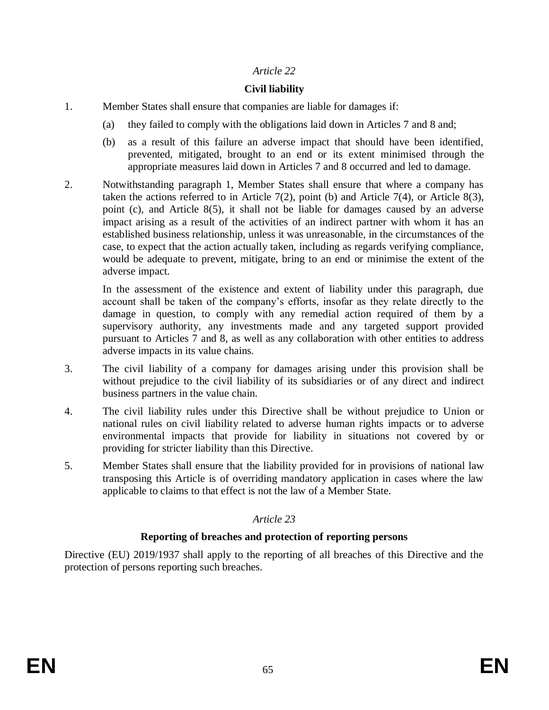### *Article 22*

# **Civil liability**

- 1. Member States shall ensure that companies are liable for damages if:
	- (a) they failed to comply with the obligations laid down in Articles 7 and 8 and;
	- (b) as a result of this failure an adverse impact that should have been identified, prevented, mitigated, brought to an end or its extent minimised through the appropriate measures laid down in Articles 7 and 8 occurred and led to damage.
- 2. Notwithstanding paragraph 1, Member States shall ensure that where a company has taken the actions referred to in Article  $7(2)$ , point (b) and Article  $7(4)$ , or Article  $8(3)$ , point (c), and Article 8(5), it shall not be liable for damages caused by an adverse impact arising as a result of the activities of an indirect partner with whom it has an established business relationship, unless it was unreasonable, in the circumstances of the case, to expect that the action actually taken, including as regards verifying compliance, would be adequate to prevent, mitigate, bring to an end or minimise the extent of the adverse impact.

In the assessment of the existence and extent of liability under this paragraph, due account shall be taken of the company's efforts, insofar as they relate directly to the damage in question, to comply with any remedial action required of them by a supervisory authority, any investments made and any targeted support provided pursuant to Articles 7 and 8, as well as any collaboration with other entities to address adverse impacts in its value chains.

- 3. The civil liability of a company for damages arising under this provision shall be without prejudice to the civil liability of its subsidiaries or of any direct and indirect business partners in the value chain.
- 4. The civil liability rules under this Directive shall be without prejudice to Union or national rules on civil liability related to adverse human rights impacts or to adverse environmental impacts that provide for liability in situations not covered by or providing for stricter liability than this Directive.
- 5. Member States shall ensure that the liability provided for in provisions of national law transposing this Article is of overriding mandatory application in cases where the law applicable to claims to that effect is not the law of a Member State.

# *Article 23*

# **Reporting of breaches and protection of reporting persons**

Directive (EU) 2019/1937 shall apply to the reporting of all breaches of this Directive and the protection of persons reporting such breaches.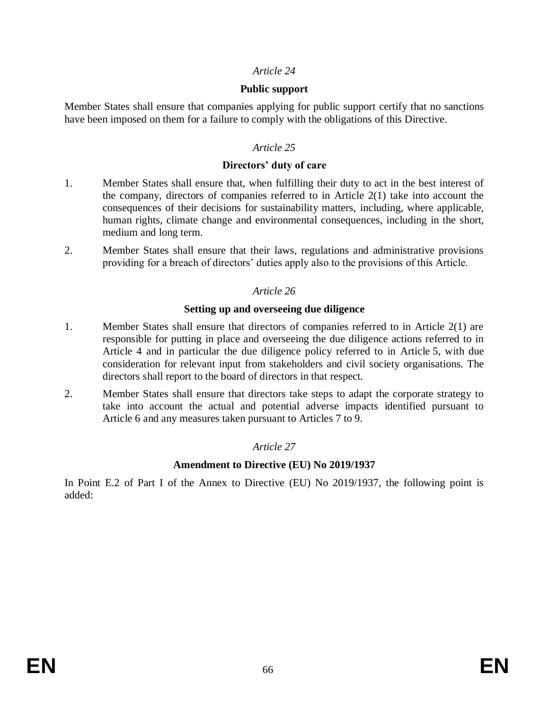#### *Article 24*

#### **Public support**

Member States shall ensure that companies applying for public support certify that no sanctions have been imposed on them for a failure to comply with the obligations of this Directive.

#### *Article 25*

#### **Directors' duty of care**

- 1. Member States shall ensure that, when fulfilling their duty to act in the best interest of the company, directors of companies referred to in Article 2(1) take into account the consequences of their decisions for sustainability matters, including, where applicable, human rights, climate change and environmental consequences, including in the short, medium and long term.
- 2. Member States shall ensure that their laws, regulations and administrative provisions providing for a breach of directors' duties apply also to the provisions of this Article.

#### *Article 26*

#### **Setting up and overseeing due diligence**

- 1. Member States shall ensure that directors of companies referred to in Article 2(1) are responsible for putting in place and overseeing the due diligence actions referred to in Article 4 and in particular the due diligence policy referred to in Article 5, with due consideration for relevant input from stakeholders and civil society organisations. The directors shall report to the board of directors in that respect.
- 2. Member States shall ensure that directors take steps to adapt the corporate strategy to take into account the actual and potential adverse impacts identified pursuant to Article 6 and any measures taken pursuant to Articles 7 to 9.

#### *Article 27*

#### **Amendment to Directive (EU) No 2019/1937**

In Point E.2 of Part I of the Annex to Directive (EU) No 2019/1937, the following point is added: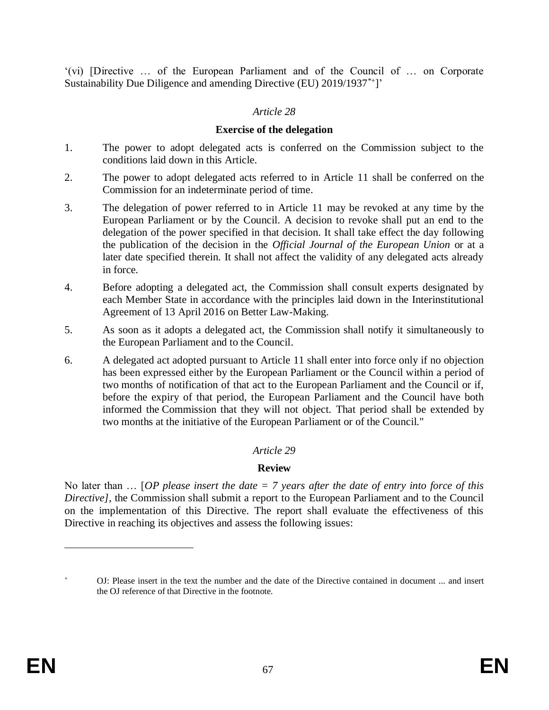'(vi) [Directive … of the European Parliament and of the Council of … on Corporate Sustainability Due Diligence and amending Directive (EU) 2019/1937\*+]'

### *Article 28*

#### **Exercise of the delegation**

- 1. The power to adopt delegated acts is conferred on the Commission subject to the conditions laid down in this Article.
- 2. The power to adopt delegated acts referred to in Article 11 shall be conferred on the Commission for an indeterminate period of time.
- 3. The delegation of power referred to in Article 11 may be revoked at any time by the European Parliament or by the Council. A decision to revoke shall put an end to the delegation of the power specified in that decision. It shall take effect the day following the publication of the decision in the *Official Journal of the European Union* or at a later date specified therein. It shall not affect the validity of any delegated acts already in force.
- 4. Before adopting a delegated act, the Commission shall consult experts designated by each Member State in accordance with the principles laid down in the Interinstitutional Agreement of 13 April 2016 on Better Law-Making.
- 5. As soon as it adopts a delegated act, the Commission shall notify it simultaneously to the European Parliament and to the Council.
- 6. A delegated act adopted pursuant to Article 11 shall enter into force only if no objection has been expressed either by the European Parliament or the Council within a period of two months of notification of that act to the European Parliament and the Council or if, before the expiry of that period, the European Parliament and the Council have both informed the Commission that they will not object. That period shall be extended by two months at the initiative of the European Parliament or of the Council."

#### *Article 29*

#### **Review**

No later than … [*OP please insert the date = 7 years after the date of entry into force of this Directive]*, the Commission shall submit a report to the European Parliament and to the Council on the implementation of this Directive. The report shall evaluate the effectiveness of this Directive in reaching its objectives and assess the following issues:

<sup>+</sup> OJ: Please insert in the text the number and the date of the Directive contained in document ... and insert the OJ reference of that Directive in the footnote.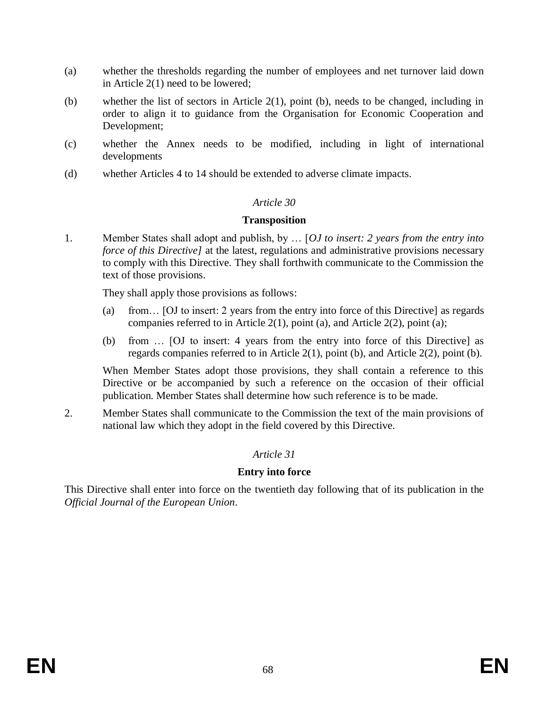- (a) whether the thresholds regarding the number of employees and net turnover laid down in Article 2(1) need to be lowered;
- (b) whether the list of sectors in Article 2(1), point (b), needs to be changed, including in order to align it to guidance from the Organisation for Economic Cooperation and Development;
- (c) whether the Annex needs to be modified, including in light of international developments
- (d) whether Articles 4 to 14 should be extended to adverse climate impacts.

#### *Article 30*

#### **Transposition**

1. Member States shall adopt and publish, by … [*OJ to insert: 2 years from the entry into force of this Directive]* at the latest, regulations and administrative provisions necessary to comply with this Directive. They shall forthwith communicate to the Commission the text of those provisions.

They shall apply those provisions as follows:

- (a) from… [OJ to insert: 2 years from the entry into force of this Directive] as regards companies referred to in Article 2(1), point (a), and Article 2(2), point (a);
- (b) from … [OJ to insert: 4 years from the entry into force of this Directive] as regards companies referred to in Article 2(1), point (b), and Article 2(2), point (b).

When Member States adopt those provisions, they shall contain a reference to this Directive or be accompanied by such a reference on the occasion of their official publication. Member States shall determine how such reference is to be made.

2. Member States shall communicate to the Commission the text of the main provisions of national law which they adopt in the field covered by this Directive.

# *Article 31*

# **Entry into force**

This Directive shall enter into force on the twentieth day following that of its publication in the *Official Journal of the European Union*.